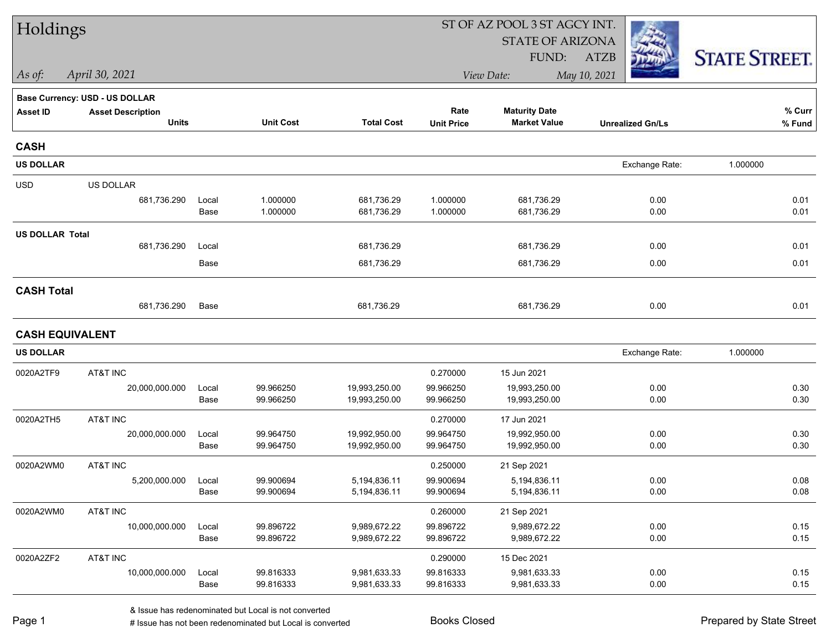| Holdings               |                                       |               |                        |                              | ST OF AZ POOL 3 ST AGCY INT. |                              |                         |                      |  |  |
|------------------------|---------------------------------------|---------------|------------------------|------------------------------|------------------------------|------------------------------|-------------------------|----------------------|--|--|
|                        |                                       |               |                        |                              |                              | <b>STATE OF ARIZONA</b>      |                         |                      |  |  |
|                        |                                       |               |                        |                              |                              | FUND:                        | <b>ATZB</b>             | <b>STATE STREET.</b> |  |  |
| As of:                 | April 30, 2021                        |               |                        |                              |                              | View Date:                   | May 10, 2021            |                      |  |  |
|                        | <b>Base Currency: USD - US DOLLAR</b> |               |                        |                              |                              |                              |                         |                      |  |  |
| <b>Asset ID</b>        | <b>Asset Description</b>              |               |                        |                              | Rate                         | <b>Maturity Date</b>         |                         | % Curr               |  |  |
|                        | <b>Units</b>                          |               | <b>Unit Cost</b>       | <b>Total Cost</b>            | <b>Unit Price</b>            | <b>Market Value</b>          | <b>Unrealized Gn/Ls</b> | % Fund               |  |  |
| <b>CASH</b>            |                                       |               |                        |                              |                              |                              |                         |                      |  |  |
| <b>US DOLLAR</b>       |                                       |               |                        |                              |                              |                              | Exchange Rate:          | 1.000000             |  |  |
| <b>USD</b>             | US DOLLAR                             |               |                        |                              |                              |                              |                         |                      |  |  |
|                        | 681,736.290                           | Local         | 1.000000               | 681,736.29                   | 1.000000                     | 681,736.29                   | 0.00                    | 0.01                 |  |  |
|                        |                                       | Base          | 1.000000               | 681,736.29                   | 1.000000                     | 681,736.29                   | 0.00                    | 0.01                 |  |  |
| <b>US DOLLAR Total</b> |                                       |               |                        |                              |                              |                              |                         |                      |  |  |
|                        | 681,736.290                           | Local         |                        | 681,736.29                   |                              | 681,736.29                   | 0.00                    | 0.01                 |  |  |
|                        |                                       | Base          |                        | 681,736.29                   |                              | 681,736.29                   | 0.00                    | 0.01                 |  |  |
| <b>CASH Total</b>      |                                       |               |                        |                              |                              |                              |                         |                      |  |  |
|                        | 681,736.290                           | Base          |                        | 681,736.29                   |                              | 681,736.29                   | 0.00                    | 0.01                 |  |  |
| <b>CASH EQUIVALENT</b> |                                       |               |                        |                              |                              |                              |                         |                      |  |  |
| <b>US DOLLAR</b>       |                                       |               |                        |                              |                              |                              | Exchange Rate:          | 1.000000             |  |  |
| 0020A2TF9              | AT&T INC                              |               |                        |                              | 0.270000                     | 15 Jun 2021                  |                         |                      |  |  |
|                        | 20,000,000.000                        | Local         | 99.966250              | 19,993,250.00                | 99.966250                    | 19,993,250.00                | 0.00                    | 0.30                 |  |  |
|                        |                                       | Base          | 99.966250              | 19,993,250.00                | 99.966250                    | 19,993,250.00                | 0.00                    | 0.30                 |  |  |
| 0020A2TH5              | AT&T INC                              |               |                        |                              | 0.270000                     | 17 Jun 2021                  |                         |                      |  |  |
|                        | 20,000,000.000                        | Local         | 99.964750              | 19,992,950.00                | 99.964750                    | 19,992,950.00                | 0.00                    | 0.30                 |  |  |
|                        |                                       | Base          | 99.964750              | 19,992,950.00                | 99.964750                    | 19,992,950.00                | 0.00                    | 0.30                 |  |  |
| 0020A2WM0              | AT&T INC                              |               |                        |                              | 0.250000                     | 21 Sep 2021                  |                         |                      |  |  |
|                        | 5,200,000.000                         | Local         | 99.900694              | 5,194,836.11                 | 99.900694                    | 5,194,836.11                 | 0.00                    | 0.08<br>0.08         |  |  |
|                        |                                       | Base          | 99.900694              | 5,194,836.11                 | 99.900694                    | 5,194,836.11                 | 0.00                    |                      |  |  |
| 0020A2WM0              | AT&T INC                              |               |                        |                              | 0.260000                     | 21 Sep 2021                  |                         |                      |  |  |
|                        | 10,000,000.000                        | Local<br>Base | 99.896722<br>99.896722 | 9,989,672.22<br>9,989,672.22 | 99.896722<br>99.896722       | 9,989,672.22<br>9,989,672.22 | 0.00<br>0.00            | 0.15<br>0.15         |  |  |
|                        |                                       |               |                        |                              |                              |                              |                         |                      |  |  |
| 0020A2ZF2              | AT&T INC                              |               |                        |                              | 0.290000                     | 15 Dec 2021                  |                         |                      |  |  |
|                        | 10,000,000.000                        | Local<br>Base | 99.816333<br>99.816333 | 9,981,633.33<br>9,981,633.33 | 99.816333<br>99.816333       | 9,981,633.33<br>9,981,633.33 | 0.00<br>0.00            | 0.15<br>0.15         |  |  |
|                        |                                       |               |                        |                              |                              |                              |                         |                      |  |  |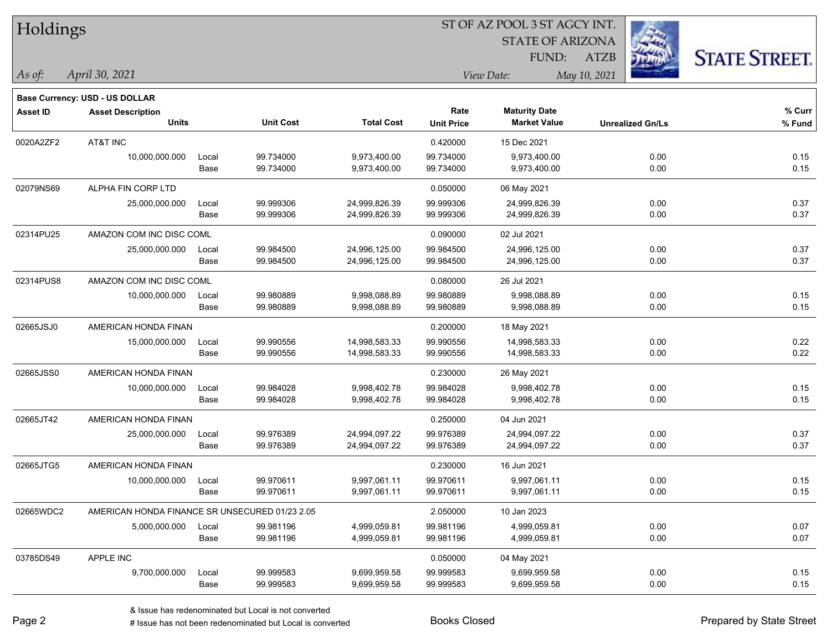| Holdings        |                                                |       |                  | ST OF AZ POOL 3 ST AGCY INT. |                   |                         |                         |                      |  |  |
|-----------------|------------------------------------------------|-------|------------------|------------------------------|-------------------|-------------------------|-------------------------|----------------------|--|--|
|                 |                                                |       |                  |                              |                   | <b>STATE OF ARIZONA</b> |                         |                      |  |  |
|                 |                                                |       |                  |                              |                   | FUND:                   | <b>ATZB</b>             | <b>STATE STREET.</b> |  |  |
| As of:          | April 30, 2021                                 |       |                  |                              |                   | View Date:              | May 10, 2021            |                      |  |  |
|                 |                                                |       |                  |                              |                   |                         |                         |                      |  |  |
|                 | Base Currency: USD - US DOLLAR                 |       |                  |                              | Rate              | <b>Maturity Date</b>    |                         | % Curr               |  |  |
| <b>Asset ID</b> | <b>Asset Description</b><br><b>Units</b>       |       | <b>Unit Cost</b> | <b>Total Cost</b>            | <b>Unit Price</b> | <b>Market Value</b>     | <b>Unrealized Gn/Ls</b> | % Fund               |  |  |
| 0020A2ZF2       | AT&T INC                                       |       |                  |                              | 0.420000          | 15 Dec 2021             |                         |                      |  |  |
|                 | 10,000,000.000                                 | Local | 99.734000        | 9,973,400.00                 | 99.734000         | 9,973,400.00            | 0.00                    | 0.15                 |  |  |
|                 |                                                | Base  | 99.734000        | 9,973,400.00                 | 99.734000         | 9,973,400.00            | 0.00                    | 0.15                 |  |  |
| 02079NS69       | ALPHA FIN CORP LTD                             |       |                  |                              | 0.050000          | 06 May 2021             |                         |                      |  |  |
|                 | 25,000,000.000                                 | Local | 99.999306        | 24,999,826.39                | 99.999306         | 24,999,826.39           | 0.00                    | 0.37                 |  |  |
|                 |                                                | Base  | 99.999306        | 24,999,826.39                | 99.999306         | 24,999,826.39           | 0.00                    | 0.37                 |  |  |
| 02314PU25       | AMAZON COM INC DISC COML                       |       |                  |                              | 0.090000          | 02 Jul 2021             |                         |                      |  |  |
|                 | 25,000,000.000                                 | Local | 99.984500        | 24,996,125.00                | 99.984500         | 24,996,125.00           | 0.00                    | 0.37                 |  |  |
|                 |                                                | Base  | 99.984500        | 24,996,125.00                | 99.984500         | 24,996,125.00           | 0.00                    | 0.37                 |  |  |
| 02314PUS8       | AMAZON COM INC DISC COML                       |       |                  |                              | 0.080000          | 26 Jul 2021             |                         |                      |  |  |
|                 | 10,000,000.000                                 | Local | 99.980889        | 9,998,088.89                 | 99.980889         | 9,998,088.89            | 0.00                    | 0.15                 |  |  |
|                 |                                                | Base  | 99.980889        | 9,998,088.89                 | 99.980889         | 9,998,088.89            | 0.00                    | 0.15                 |  |  |
| 02665JSJ0       | AMERICAN HONDA FINAN                           |       |                  |                              | 0.200000          | 18 May 2021             |                         |                      |  |  |
|                 | 15,000,000.000                                 | Local | 99.990556        | 14,998,583.33                | 99.990556         | 14,998,583.33           | 0.00                    | 0.22                 |  |  |
|                 |                                                | Base  | 99.990556        | 14,998,583.33                | 99.990556         | 14,998,583.33           | 0.00                    | 0.22                 |  |  |
| 02665JSS0       | AMERICAN HONDA FINAN                           |       |                  |                              | 0.230000          | 26 May 2021             |                         |                      |  |  |
|                 | 10,000,000.000                                 | Local | 99.984028        | 9,998,402.78                 | 99.984028         | 9,998,402.78            | 0.00                    | 0.15                 |  |  |
|                 |                                                | Base  | 99.984028        | 9,998,402.78                 | 99.984028         | 9,998,402.78            | 0.00                    | 0.15                 |  |  |
| 02665JT42       | AMERICAN HONDA FINAN                           |       |                  |                              | 0.250000          | 04 Jun 2021             |                         |                      |  |  |
|                 | 25,000,000.000                                 | Local | 99.976389        | 24,994,097.22                | 99.976389         | 24,994,097.22           | 0.00                    | 0.37                 |  |  |
|                 |                                                | Base  | 99.976389        | 24,994,097.22                | 99.976389         | 24,994,097.22           | 0.00                    | 0.37                 |  |  |
| 02665JTG5       | AMERICAN HONDA FINAN                           |       |                  |                              | 0.230000          | 16 Jun 2021             |                         |                      |  |  |
|                 | 10,000,000.000                                 | Local | 99.970611        | 9,997,061.11                 | 99.970611         | 9,997,061.11            | 0.00                    | 0.15                 |  |  |
|                 |                                                | Base  | 99.970611        | 9,997,061.11                 | 99.970611         | 9,997,061.11            | 0.00                    | 0.15                 |  |  |
| 02665WDC2       | AMERICAN HONDA FINANCE SR UNSECURED 01/23 2.05 |       |                  |                              | 2.050000          | 10 Jan 2023             |                         |                      |  |  |
|                 | 5,000,000.000                                  | Local | 99.981196        | 4,999,059.81                 | 99.981196         | 4,999,059.81            | 0.00                    | 0.07                 |  |  |
|                 |                                                | Base  | 99.981196        | 4,999,059.81                 | 99.981196         | 4,999,059.81            | 0.00                    | 0.07                 |  |  |
| 03785DS49       | APPLE INC                                      |       |                  |                              | 0.050000          | 04 May 2021             |                         |                      |  |  |
|                 | 9,700,000.000                                  | Local | 99.999583        | 9,699,959.58                 | 99.999583         | 9,699,959.58            | 0.00                    | 0.15                 |  |  |
|                 |                                                | Base  | 99.999583        | 9,699,959.58                 | 99.999583         | 9,699,959.58            | 0.00                    | 0.15                 |  |  |

 $\overline{\phantom{0}}$ 

 $\overline{\phantom{0}}$ 

 $\overline{\phantom{0}}$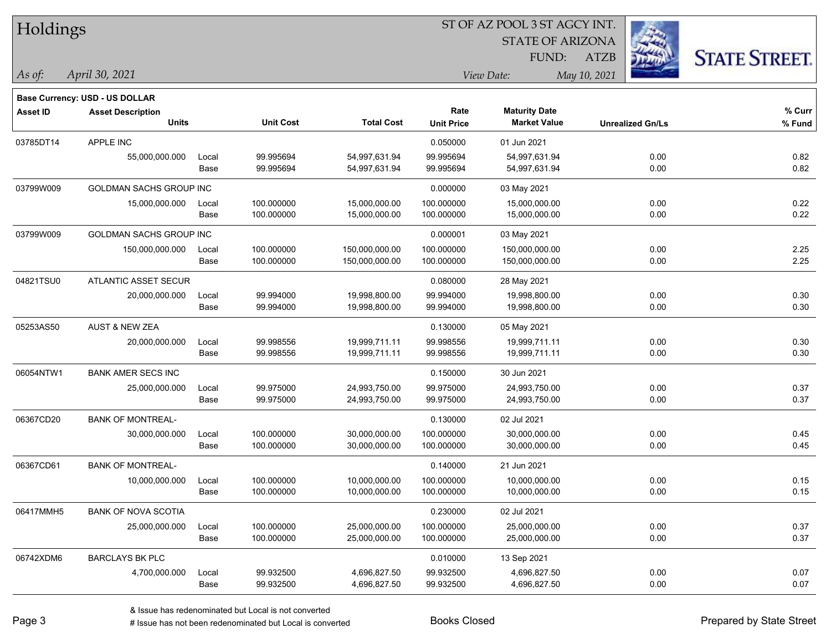| Holdings        |                                       |       |                  |                   |                   | ST OF AZ POOL 3 ST AGCY INT. |                         |                      |
|-----------------|---------------------------------------|-------|------------------|-------------------|-------------------|------------------------------|-------------------------|----------------------|
|                 |                                       |       |                  |                   |                   | <b>STATE OF ARIZONA</b>      |                         |                      |
|                 |                                       |       |                  |                   |                   | FUND:                        | <b>ATZB</b>             | <b>STATE STREET.</b> |
| $\vert$ As of:  | April 30, 2021                        |       |                  |                   |                   | View Date:                   | May 10, 2021            |                      |
|                 | <b>Base Currency: USD - US DOLLAR</b> |       |                  |                   |                   |                              |                         |                      |
| <b>Asset ID</b> | <b>Asset Description</b>              |       |                  |                   | Rate              | <b>Maturity Date</b>         |                         | $%$ Curr             |
|                 | <b>Units</b>                          |       | <b>Unit Cost</b> | <b>Total Cost</b> | <b>Unit Price</b> | <b>Market Value</b>          | <b>Unrealized Gn/Ls</b> | % Fund               |
| 03785DT14       | APPLE INC                             |       |                  |                   | 0.050000          | 01 Jun 2021                  |                         |                      |
|                 | 55,000,000.000                        | Local | 99.995694        | 54,997,631.94     | 99.995694         | 54,997,631.94                | 0.00                    | 0.82                 |
|                 |                                       | Base  | 99.995694        | 54,997,631.94     | 99.995694         | 54,997,631.94                | 0.00                    | 0.82                 |
| 03799W009       | GOLDMAN SACHS GROUP INC               |       |                  |                   | 0.000000          | 03 May 2021                  |                         |                      |
|                 | 15,000,000.000                        | Local | 100.000000       | 15,000,000.00     | 100.000000        | 15,000,000.00                | 0.00                    | 0.22                 |
|                 |                                       | Base  | 100.000000       | 15,000,000.00     | 100.000000        | 15,000,000.00                | 0.00                    | 0.22                 |
| 03799W009       | <b>GOLDMAN SACHS GROUP INC</b>        |       |                  |                   | 0.000001          | 03 May 2021                  |                         |                      |
|                 | 150,000,000.000                       | Local | 100.000000       | 150,000,000.00    | 100.000000        | 150,000,000.00               | 0.00                    | 2.25                 |
|                 |                                       | Base  | 100.000000       | 150,000,000.00    | 100.000000        | 150,000,000.00               | 0.00                    | 2.25                 |
| 04821TSU0       | ATLANTIC ASSET SECUR                  |       |                  |                   | 0.080000          | 28 May 2021                  |                         |                      |
|                 | 20,000,000.000                        | Local | 99.994000        | 19,998,800.00     | 99.994000         | 19,998,800.00                | 0.00                    | 0.30                 |
|                 |                                       | Base  | 99.994000        | 19,998,800.00     | 99.994000         | 19,998,800.00                | 0.00                    | 0.30                 |
| 05253AS50       | <b>AUST &amp; NEW ZEA</b>             |       |                  |                   | 0.130000          | 05 May 2021                  |                         |                      |
|                 | 20,000,000.000                        | Local | 99.998556        | 19,999,711.11     | 99.998556         | 19,999,711.11                | 0.00                    | 0.30                 |
|                 |                                       | Base  | 99.998556        | 19,999,711.11     | 99.998556         | 19,999,711.11                | 0.00                    | 0.30                 |
| 06054NTW1       | <b>BANK AMER SECS INC</b>             |       |                  |                   | 0.150000          | 30 Jun 2021                  |                         |                      |
|                 | 25,000,000.000                        | Local | 99.975000        | 24,993,750.00     | 99.975000         | 24,993,750.00                | 0.00                    | 0.37                 |
|                 |                                       | Base  | 99.975000        | 24,993,750.00     | 99.975000         | 24,993,750.00                | 0.00                    | 0.37                 |
| 06367CD20       | <b>BANK OF MONTREAL-</b>              |       |                  |                   | 0.130000          | 02 Jul 2021                  |                         |                      |
|                 | 30,000,000.000                        | Local | 100.000000       | 30,000,000.00     | 100.000000        | 30,000,000.00                | 0.00                    | 0.45                 |
|                 |                                       | Base  | 100.000000       | 30,000,000.00     | 100.000000        | 30,000,000.00                | 0.00                    | 0.45                 |
| 06367CD61       | <b>BANK OF MONTREAL-</b>              |       |                  |                   | 0.140000          | 21 Jun 2021                  |                         |                      |
|                 | 10,000,000.000                        | Local | 100.000000       | 10,000,000.00     | 100.000000        | 10,000,000.00                | 0.00                    | 0.15                 |
|                 |                                       | Base  | 100.000000       | 10,000,000.00     | 100.000000        | 10,000,000.00                | 0.00                    | 0.15                 |
| 06417MMH5       | <b>BANK OF NOVA SCOTIA</b>            |       |                  |                   | 0.230000          | 02 Jul 2021                  |                         |                      |
|                 | 25,000,000.000                        | Local | 100.000000       | 25,000,000.00     | 100.000000        | 25,000,000.00                | 0.00                    | 0.37                 |
|                 |                                       | Base  | 100.000000       | 25,000,000.00     | 100.000000        | 25,000,000.00                | 0.00                    | 0.37                 |
| 06742XDM6       | <b>BARCLAYS BK PLC</b>                |       |                  |                   | 0.010000          | 13 Sep 2021                  |                         |                      |
|                 | 4,700,000.000                         | Local | 99.932500        | 4,696,827.50      | 99.932500         | 4,696,827.50                 | 0.00                    | 0.07                 |
|                 |                                       | Base  | 99.932500        | 4,696,827.50      | 99.932500         | 4,696,827.50                 | 0.00                    | 0.07                 |

# Issue has not been redenominated but Local is converted Books Closed Prepared by State Street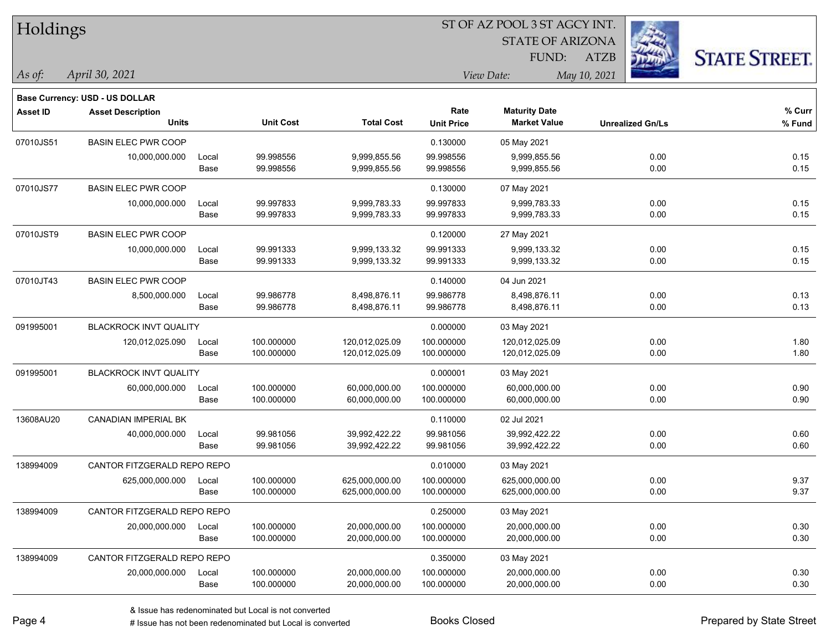| Holdings        |                                       |       |                  |                   | ST OF AZ POOL 3 ST AGCY INT. |                         |                         |                      |  |  |
|-----------------|---------------------------------------|-------|------------------|-------------------|------------------------------|-------------------------|-------------------------|----------------------|--|--|
|                 |                                       |       |                  |                   |                              | <b>STATE OF ARIZONA</b> |                         |                      |  |  |
|                 |                                       |       |                  |                   |                              | <b>FUND:</b>            | <b>ATZB</b>             | <b>STATE STREET.</b> |  |  |
| $\vert$ As of:  | April 30, 2021                        |       |                  |                   |                              | View Date:              | May 10, 2021            |                      |  |  |
|                 | <b>Base Currency: USD - US DOLLAR</b> |       |                  |                   |                              |                         |                         |                      |  |  |
| <b>Asset ID</b> | <b>Asset Description</b>              |       |                  |                   | Rate                         | <b>Maturity Date</b>    |                         | $%$ Curr             |  |  |
|                 | <b>Units</b>                          |       | <b>Unit Cost</b> | <b>Total Cost</b> | <b>Unit Price</b>            | <b>Market Value</b>     | <b>Unrealized Gn/Ls</b> | % Fund               |  |  |
| 07010JS51       | <b>BASIN ELEC PWR COOP</b>            |       |                  |                   | 0.130000                     | 05 May 2021             |                         |                      |  |  |
|                 | 10,000,000.000                        | Local | 99.998556        | 9,999,855.56      | 99.998556                    | 9,999,855.56            | 0.00                    | 0.15                 |  |  |
|                 |                                       | Base  | 99.998556        | 9,999,855.56      | 99.998556                    | 9,999,855.56            | 0.00                    | 0.15                 |  |  |
| 07010JS77       | <b>BASIN ELEC PWR COOP</b>            |       |                  |                   | 0.130000                     | 07 May 2021             |                         |                      |  |  |
|                 | 10,000,000.000                        | Local | 99.997833        | 9,999,783.33      | 99.997833                    | 9,999,783.33            | 0.00                    | 0.15                 |  |  |
|                 |                                       | Base  | 99.997833        | 9,999,783.33      | 99.997833                    | 9,999,783.33            | 0.00                    | 0.15                 |  |  |
| 07010JST9       | <b>BASIN ELEC PWR COOP</b>            |       |                  |                   | 0.120000                     | 27 May 2021             |                         |                      |  |  |
|                 | 10,000,000.000                        | Local | 99.991333        | 9,999,133.32      | 99.991333                    | 9,999,133.32            | 0.00                    | 0.15                 |  |  |
|                 |                                       | Base  | 99.991333        | 9,999,133.32      | 99.991333                    | 9,999,133.32            | 0.00                    | 0.15                 |  |  |
| 07010JT43       | <b>BASIN ELEC PWR COOP</b>            |       |                  |                   | 0.140000                     | 04 Jun 2021             |                         |                      |  |  |
|                 | 8,500,000.000                         | Local | 99.986778        | 8,498,876.11      | 99.986778                    | 8,498,876.11            | 0.00                    | 0.13                 |  |  |
|                 |                                       | Base  | 99.986778        | 8,498,876.11      | 99.986778                    | 8,498,876.11            | 0.00                    | 0.13                 |  |  |
| 091995001       | <b>BLACKROCK INVT QUALITY</b>         |       |                  |                   | 0.000000                     | 03 May 2021             |                         |                      |  |  |
|                 | 120,012,025.090                       | Local | 100.000000       | 120,012,025.09    | 100.000000                   | 120,012,025.09          | 0.00                    | 1.80                 |  |  |
|                 |                                       | Base  | 100.000000       | 120,012,025.09    | 100.000000                   | 120,012,025.09          | 0.00                    | 1.80                 |  |  |
| 091995001       | BLACKROCK INVT QUALITY                |       |                  |                   | 0.000001                     | 03 May 2021             |                         |                      |  |  |
|                 | 60,000,000.000                        | Local | 100.000000       | 60,000,000.00     | 100.000000                   | 60,000,000.00           | 0.00                    | 0.90                 |  |  |
|                 |                                       | Base  | 100.000000       | 60,000,000.00     | 100.000000                   | 60,000,000.00           | 0.00                    | 0.90                 |  |  |
| 13608AU20       | CANADIAN IMPERIAL BK                  |       |                  |                   | 0.110000                     | 02 Jul 2021             |                         |                      |  |  |
|                 | 40,000,000.000                        | Local | 99.981056        | 39,992,422.22     | 99.981056                    | 39,992,422.22           | 0.00                    | 0.60                 |  |  |
|                 |                                       | Base  | 99.981056        | 39,992,422.22     | 99.981056                    | 39,992,422.22           | 0.00                    | 0.60                 |  |  |
| 138994009       | CANTOR FITZGERALD REPO REPO           |       |                  |                   | 0.010000                     | 03 May 2021             |                         |                      |  |  |
|                 | 625,000,000.000                       | Local | 100.000000       | 625,000,000.00    | 100.000000                   | 625,000,000.00          | 0.00                    | 9.37                 |  |  |
|                 |                                       | Base  | 100.000000       | 625,000,000.00    | 100.000000                   | 625,000,000.00          | 0.00                    | 9.37                 |  |  |
| 138994009       | CANTOR FITZGERALD REPO REPO           |       |                  |                   | 0.250000                     | 03 May 2021             |                         |                      |  |  |
|                 | 20,000,000.000                        | Local | 100.000000       | 20,000,000.00     | 100.000000                   | 20,000,000.00           | 0.00                    | 0.30                 |  |  |
|                 |                                       | Base  | 100.000000       | 20,000,000.00     | 100.000000                   | 20,000,000.00           | 0.00                    | 0.30                 |  |  |
| 138994009       | CANTOR FITZGERALD REPO REPO           |       |                  |                   | 0.350000                     | 03 May 2021             |                         |                      |  |  |
|                 | 20,000,000.000                        | Local | 100.000000       | 20,000,000.00     | 100.000000                   | 20,000,000.00           | 0.00                    | 0.30                 |  |  |
|                 |                                       | Base  | 100.000000       | 20,000,000.00     | 100.000000                   | 20,000,000.00           | 0.00                    | 0.30                 |  |  |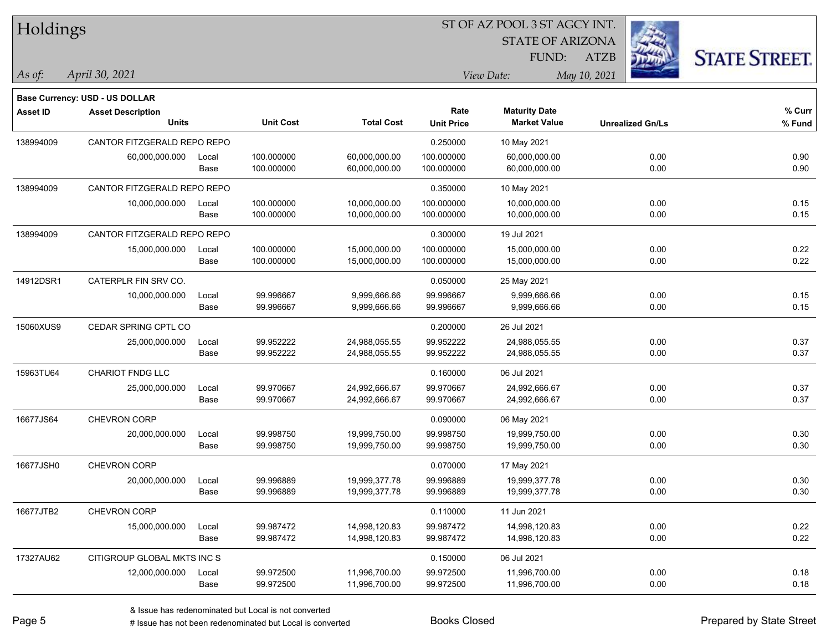| Holdings        |                                |       |                  |                   | ST OF AZ POOL 3 ST AGCY INT. |                         |                         |                      |  |  |
|-----------------|--------------------------------|-------|------------------|-------------------|------------------------------|-------------------------|-------------------------|----------------------|--|--|
|                 |                                |       |                  |                   |                              | <b>STATE OF ARIZONA</b> |                         |                      |  |  |
|                 |                                |       |                  |                   |                              | FUND:                   | <b>ATZB</b>             | <b>STATE STREET.</b> |  |  |
| As of:          | April 30, 2021                 |       |                  |                   |                              | View Date:              | May 10, 2021            |                      |  |  |
|                 | Base Currency: USD - US DOLLAR |       |                  |                   |                              |                         |                         |                      |  |  |
| <b>Asset ID</b> | <b>Asset Description</b>       |       |                  |                   | Rate                         | <b>Maturity Date</b>    |                         | % Curr               |  |  |
|                 | <b>Units</b>                   |       | <b>Unit Cost</b> | <b>Total Cost</b> | <b>Unit Price</b>            | <b>Market Value</b>     | <b>Unrealized Gn/Ls</b> | % Fund               |  |  |
| 138994009       | CANTOR FITZGERALD REPO REPO    |       |                  |                   | 0.250000                     | 10 May 2021             |                         |                      |  |  |
|                 | 60,000,000.000                 | Local | 100.000000       | 60,000,000.00     | 100.000000                   | 60,000,000.00           | 0.00                    | 0.90                 |  |  |
|                 |                                | Base  | 100.000000       | 60,000,000.00     | 100.000000                   | 60,000,000.00           | 0.00                    | 0.90                 |  |  |
| 138994009       | CANTOR FITZGERALD REPO REPO    |       |                  |                   | 0.350000                     | 10 May 2021             |                         |                      |  |  |
|                 | 10,000,000.000                 | Local | 100.000000       | 10,000,000.00     | 100.000000                   | 10,000,000.00           | 0.00                    | 0.15                 |  |  |
|                 |                                | Base  | 100.000000       | 10,000,000.00     | 100.000000                   | 10,000,000.00           | 0.00                    | 0.15                 |  |  |
| 138994009       | CANTOR FITZGERALD REPO REPO    |       |                  |                   | 0.300000                     | 19 Jul 2021             |                         |                      |  |  |
|                 | 15,000,000.000                 | Local | 100.000000       | 15,000,000.00     | 100.000000                   | 15,000,000.00           | 0.00                    | 0.22                 |  |  |
|                 |                                | Base  | 100.000000       | 15,000,000.00     | 100.000000                   | 15,000,000.00           | 0.00                    | 0.22                 |  |  |
| 14912DSR1       | CATERPLR FIN SRV CO.           |       |                  |                   | 0.050000                     | 25 May 2021             |                         |                      |  |  |
|                 | 10,000,000.000                 | Local | 99.996667        | 9,999,666.66      | 99.996667                    | 9,999,666.66            | 0.00                    | 0.15                 |  |  |
|                 |                                | Base  | 99.996667        | 9,999,666.66      | 99.996667                    | 9,999,666.66            | 0.00                    | 0.15                 |  |  |
| 15060XUS9       | CEDAR SPRING CPTL CO           |       |                  |                   | 0.200000                     | 26 Jul 2021             |                         |                      |  |  |
|                 | 25,000,000.000                 | Local | 99.952222        | 24,988,055.55     | 99.952222                    | 24,988,055.55           | 0.00                    | 0.37                 |  |  |
|                 |                                | Base  | 99.952222        | 24,988,055.55     | 99.952222                    | 24,988,055.55           | 0.00                    | 0.37                 |  |  |
| 15963TU64       | CHARIOT FNDG LLC               |       |                  |                   | 0.160000                     | 06 Jul 2021             |                         |                      |  |  |
|                 | 25,000,000.000                 | Local | 99.970667        | 24,992,666.67     | 99.970667                    | 24,992,666.67           | 0.00                    | 0.37                 |  |  |
|                 |                                | Base  | 99.970667        | 24,992,666.67     | 99.970667                    | 24,992,666.67           | 0.00                    | 0.37                 |  |  |
| 16677JS64       | CHEVRON CORP                   |       |                  |                   | 0.090000                     | 06 May 2021             |                         |                      |  |  |
|                 | 20,000,000.000                 | Local | 99.998750        | 19,999,750.00     | 99.998750                    | 19,999,750.00           | 0.00                    | 0.30                 |  |  |
|                 |                                | Base  | 99.998750        | 19,999,750.00     | 99.998750                    | 19,999,750.00           | 0.00                    | 0.30                 |  |  |
| 16677JSH0       | CHEVRON CORP                   |       |                  |                   | 0.070000                     | 17 May 2021             |                         |                      |  |  |
|                 | 20,000,000.000                 | Local | 99.996889        | 19,999,377.78     | 99.996889                    | 19,999,377.78           | 0.00                    | 0.30                 |  |  |
|                 |                                | Base  | 99.996889        | 19,999,377.78     | 99.996889                    | 19,999,377.78           | 0.00                    | 0.30                 |  |  |
| 16677JTB2       | CHEVRON CORP                   |       |                  |                   | 0.110000                     | 11 Jun 2021             |                         |                      |  |  |
|                 | 15,000,000.000                 | Local | 99.987472        | 14,998,120.83     | 99.987472                    | 14,998,120.83           | 0.00                    | 0.22                 |  |  |
|                 |                                | Base  | 99.987472        | 14,998,120.83     | 99.987472                    | 14,998,120.83           | 0.00                    | 0.22                 |  |  |
| 17327AU62       | CITIGROUP GLOBAL MKTS INC S    |       |                  |                   | 0.150000                     | 06 Jul 2021             |                         |                      |  |  |
|                 | 12,000,000.000                 | Local | 99.972500        | 11,996,700.00     | 99.972500                    | 11,996,700.00           | 0.00                    | 0.18                 |  |  |
|                 |                                | Base  | 99.972500        | 11,996,700.00     | 99.972500                    | 11,996,700.00           | 0.00                    | 0.18                 |  |  |

-

 $\overline{\phantom{0}}$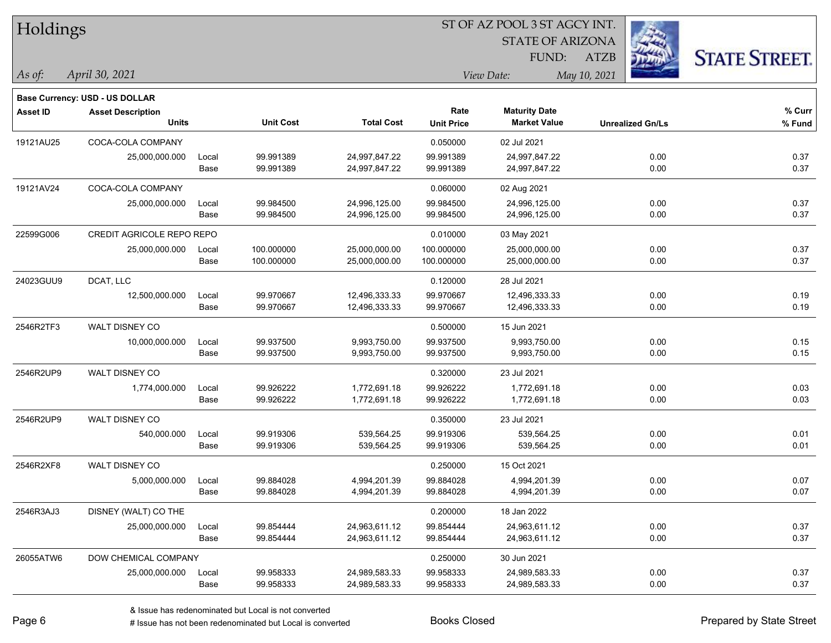| Holdings        |                                                                   |       |                  | ST OF AZ POOL 3 ST AGCY INT. |                   |                         |                         |                      |  |  |
|-----------------|-------------------------------------------------------------------|-------|------------------|------------------------------|-------------------|-------------------------|-------------------------|----------------------|--|--|
|                 |                                                                   |       |                  |                              |                   | <b>STATE OF ARIZONA</b> |                         |                      |  |  |
|                 |                                                                   |       |                  |                              |                   | <b>FUND:</b>            | <b>ATZB</b>             | <b>STATE STREET.</b> |  |  |
| $\vert$ As of:  | April 30, 2021                                                    |       |                  |                              |                   | View Date:              | May 10, 2021            |                      |  |  |
|                 |                                                                   |       |                  |                              |                   |                         |                         |                      |  |  |
| <b>Asset ID</b> | <b>Base Currency: USD - US DOLLAR</b><br><b>Asset Description</b> |       |                  |                              | Rate              | <b>Maturity Date</b>    |                         | % Curr               |  |  |
|                 | <b>Units</b>                                                      |       | <b>Unit Cost</b> | <b>Total Cost</b>            | <b>Unit Price</b> | <b>Market Value</b>     | <b>Unrealized Gn/Ls</b> | % Fund               |  |  |
| 19121AU25       | COCA-COLA COMPANY                                                 |       |                  |                              | 0.050000          | 02 Jul 2021             |                         |                      |  |  |
|                 | 25,000,000.000                                                    | Local | 99.991389        | 24,997,847.22                | 99.991389         | 24,997,847.22           | 0.00                    | 0.37                 |  |  |
|                 |                                                                   | Base  | 99.991389        | 24,997,847.22                | 99.991389         | 24,997,847.22           | 0.00                    | 0.37                 |  |  |
| 19121AV24       | COCA-COLA COMPANY                                                 |       |                  |                              | 0.060000          | 02 Aug 2021             |                         |                      |  |  |
|                 | 25,000,000.000                                                    | Local | 99.984500        | 24,996,125.00                | 99.984500         | 24,996,125.00           | 0.00                    | 0.37                 |  |  |
|                 |                                                                   | Base  | 99.984500        | 24,996,125.00                | 99.984500         | 24,996,125.00           | 0.00                    | 0.37                 |  |  |
| 22599G006       | CREDIT AGRICOLE REPO REPO                                         |       |                  |                              | 0.010000          | 03 May 2021             |                         |                      |  |  |
|                 | 25,000,000.000                                                    | Local | 100.000000       | 25,000,000.00                | 100.000000        | 25,000,000.00           | 0.00                    | 0.37                 |  |  |
|                 |                                                                   | Base  | 100.000000       | 25,000,000.00                | 100.000000        | 25,000,000.00           | 0.00                    | 0.37                 |  |  |
| 24023GUU9       | DCAT, LLC                                                         |       |                  |                              | 0.120000          | 28 Jul 2021             |                         |                      |  |  |
|                 | 12,500,000.000                                                    | Local | 99.970667        | 12,496,333.33                | 99.970667         | 12,496,333.33           | 0.00                    | 0.19                 |  |  |
|                 |                                                                   | Base  | 99.970667        | 12,496,333.33                | 99.970667         | 12,496,333.33           | 0.00                    | 0.19                 |  |  |
| 2546R2TF3       | WALT DISNEY CO                                                    |       |                  |                              | 0.500000          | 15 Jun 2021             |                         |                      |  |  |
|                 | 10,000,000.000                                                    | Local | 99.937500        | 9,993,750.00                 | 99.937500         | 9,993,750.00            | 0.00                    | 0.15                 |  |  |
|                 |                                                                   | Base  | 99.937500        | 9,993,750.00                 | 99.937500         | 9,993,750.00            | 0.00                    | 0.15                 |  |  |
| 2546R2UP9       | WALT DISNEY CO                                                    |       |                  |                              | 0.320000          | 23 Jul 2021             |                         |                      |  |  |
|                 | 1,774,000.000                                                     | Local | 99.926222        | 1,772,691.18                 | 99.926222         | 1,772,691.18            | 0.00                    | 0.03                 |  |  |
|                 |                                                                   | Base  | 99.926222        | 1,772,691.18                 | 99.926222         | 1,772,691.18            | 0.00                    | 0.03                 |  |  |
| 2546R2UP9       | WALT DISNEY CO                                                    |       |                  |                              | 0.350000          | 23 Jul 2021             |                         |                      |  |  |
|                 | 540,000.000                                                       | Local | 99.919306        | 539,564.25                   | 99.919306         | 539,564.25              | 0.00                    | 0.01                 |  |  |
|                 |                                                                   | Base  | 99.919306        | 539,564.25                   | 99.919306         | 539,564.25              | 0.00                    | 0.01                 |  |  |
| 2546R2XF8       | WALT DISNEY CO                                                    |       |                  |                              | 0.250000          | 15 Oct 2021             |                         |                      |  |  |
|                 | 5,000,000.000                                                     | Local | 99.884028        | 4,994,201.39                 | 99.884028         | 4,994,201.39            | 0.00                    | 0.07                 |  |  |
|                 |                                                                   | Base  | 99.884028        | 4,994,201.39                 | 99.884028         | 4,994,201.39            | 0.00                    | 0.07                 |  |  |
| 2546R3AJ3       | DISNEY (WALT) CO THE                                              |       |                  |                              | 0.200000          | 18 Jan 2022             |                         |                      |  |  |
|                 | 25,000,000.000                                                    | Local | 99.854444        | 24,963,611.12                | 99.854444         | 24,963,611.12           | 0.00                    | 0.37                 |  |  |
|                 |                                                                   | Base  | 99.854444        | 24,963,611.12                | 99.854444         | 24,963,611.12           | 0.00                    | 0.37                 |  |  |
| 26055ATW6       | DOW CHEMICAL COMPANY                                              |       |                  |                              | 0.250000          | 30 Jun 2021             |                         |                      |  |  |
|                 | 25,000,000.000                                                    | Local | 99.958333        | 24,989,583.33                | 99.958333         | 24,989,583.33           | 0.00                    | 0.37                 |  |  |
|                 |                                                                   | Base  | 99.958333        | 24,989,583.33                | 99.958333         | 24,989,583.33           | 0.00                    | 0.37                 |  |  |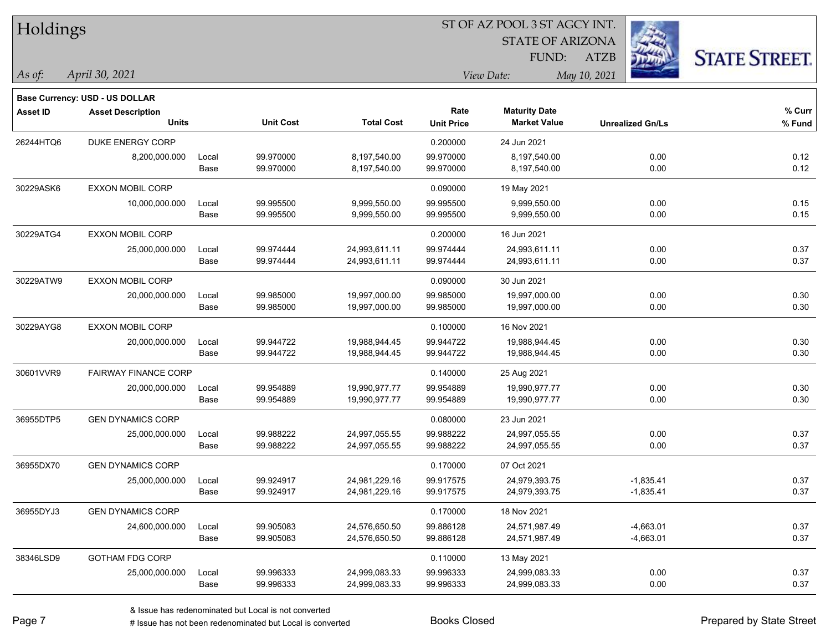| Holdings        |                                       |       |                  |                   |                            | ST OF AZ POOL 3 ST AGCY INT. |                         |                      |  |  |
|-----------------|---------------------------------------|-------|------------------|-------------------|----------------------------|------------------------------|-------------------------|----------------------|--|--|
|                 |                                       |       |                  |                   |                            | <b>STATE OF ARIZONA</b>      |                         |                      |  |  |
|                 |                                       |       |                  |                   |                            | FUND:                        | ATZB                    | <b>STATE STREET.</b> |  |  |
| As of:          | April 30, 2021                        |       |                  |                   | May 10, 2021<br>View Date: |                              |                         |                      |  |  |
|                 | <b>Base Currency: USD - US DOLLAR</b> |       |                  |                   |                            |                              |                         |                      |  |  |
| <b>Asset ID</b> | <b>Asset Description</b>              |       |                  |                   | Rate                       | <b>Maturity Date</b>         |                         | % Curr               |  |  |
|                 | <b>Units</b>                          |       | <b>Unit Cost</b> | <b>Total Cost</b> | <b>Unit Price</b>          | <b>Market Value</b>          | <b>Unrealized Gn/Ls</b> | % Fund               |  |  |
| 26244HTQ6       | DUKE ENERGY CORP                      |       |                  |                   | 0.200000                   | 24 Jun 2021                  |                         |                      |  |  |
|                 | 8,200,000.000                         | Local | 99.970000        | 8,197,540.00      | 99.970000                  | 8,197,540.00                 | 0.00                    | 0.12                 |  |  |
|                 |                                       | Base  | 99.970000        | 8,197,540.00      | 99.970000                  | 8,197,540.00                 | 0.00                    | 0.12                 |  |  |
| 30229ASK6       | <b>EXXON MOBIL CORP</b>               |       |                  |                   | 0.090000                   | 19 May 2021                  |                         |                      |  |  |
|                 | 10,000,000.000                        | Local | 99.995500        | 9,999,550.00      | 99.995500                  | 9,999,550.00                 | 0.00                    | 0.15                 |  |  |
|                 |                                       | Base  | 99.995500        | 9,999,550.00      | 99.995500                  | 9,999,550.00                 | 0.00                    | 0.15                 |  |  |
| 30229ATG4       | <b>EXXON MOBIL CORP</b>               |       |                  |                   | 0.200000                   | 16 Jun 2021                  |                         |                      |  |  |
|                 | 25,000,000.000                        | Local | 99.974444        | 24,993,611.11     | 99.974444                  | 24,993,611.11                | 0.00                    | 0.37                 |  |  |
|                 |                                       | Base  | 99.974444        | 24,993,611.11     | 99.974444                  | 24,993,611.11                | 0.00                    | 0.37                 |  |  |
| 30229ATW9       | <b>EXXON MOBIL CORP</b>               |       |                  |                   | 0.090000                   | 30 Jun 2021                  |                         |                      |  |  |
|                 | 20,000,000.000                        | Local | 99.985000        | 19,997,000.00     | 99.985000                  | 19,997,000.00                | 0.00                    | 0.30                 |  |  |
|                 |                                       | Base  | 99.985000        | 19,997,000.00     | 99.985000                  | 19,997,000.00                | 0.00                    | 0.30                 |  |  |
| 30229AYG8       | <b>EXXON MOBIL CORP</b>               |       |                  |                   | 0.100000                   | 16 Nov 2021                  |                         |                      |  |  |
|                 | 20,000,000.000                        | Local | 99.944722        | 19,988,944.45     | 99.944722                  | 19,988,944.45                | 0.00                    | 0.30                 |  |  |
|                 |                                       | Base  | 99.944722        | 19,988,944.45     | 99.944722                  | 19,988,944.45                | 0.00                    | 0.30                 |  |  |
| 30601VVR9       | <b>FAIRWAY FINANCE CORP</b>           |       |                  |                   | 0.140000                   | 25 Aug 2021                  |                         |                      |  |  |
|                 | 20,000,000.000                        | Local | 99.954889        | 19,990,977.77     | 99.954889                  | 19,990,977.77                | 0.00                    | 0.30                 |  |  |
|                 |                                       | Base  | 99.954889        | 19,990,977.77     | 99.954889                  | 19,990,977.77                | 0.00                    | 0.30                 |  |  |
| 36955DTP5       | <b>GEN DYNAMICS CORP</b>              |       |                  |                   | 0.080000                   | 23 Jun 2021                  |                         |                      |  |  |
|                 | 25,000,000.000                        | Local | 99.988222        | 24,997,055.55     | 99.988222                  | 24,997,055.55                | 0.00                    | 0.37                 |  |  |
|                 |                                       | Base  | 99.988222        | 24,997,055.55     | 99.988222                  | 24,997,055.55                | 0.00                    | 0.37                 |  |  |
| 36955DX70       | <b>GEN DYNAMICS CORP</b>              |       |                  |                   | 0.170000                   | 07 Oct 2021                  |                         |                      |  |  |
|                 | 25,000,000.000                        | Local | 99.924917        | 24,981,229.16     | 99.917575                  | 24,979,393.75                | $-1,835.41$             | 0.37                 |  |  |
|                 |                                       | Base  | 99.924917        | 24,981,229.16     | 99.917575                  | 24,979,393.75                | $-1,835.41$             | 0.37                 |  |  |
| 36955DYJ3       | <b>GEN DYNAMICS CORP</b>              |       |                  |                   | 0.170000                   | 18 Nov 2021                  |                         |                      |  |  |
|                 | 24,600,000.000                        | Local | 99.905083        | 24,576,650.50     | 99.886128                  | 24,571,987.49                | $-4,663.01$             | 0.37                 |  |  |
|                 |                                       | Base  | 99.905083        | 24,576,650.50     | 99.886128                  | 24,571,987.49                | $-4,663.01$             | 0.37                 |  |  |
| 38346LSD9       | <b>GOTHAM FDG CORP</b>                |       |                  |                   | 0.110000                   | 13 May 2021                  |                         |                      |  |  |
|                 | 25,000,000.000                        | Local | 99.996333        | 24,999,083.33     | 99.996333                  | 24,999,083.33                | 0.00                    | 0.37                 |  |  |
|                 |                                       | Base  | 99.996333        | 24,999,083.33     | 99.996333                  | 24,999,083.33                | 0.00                    | 0.37                 |  |  |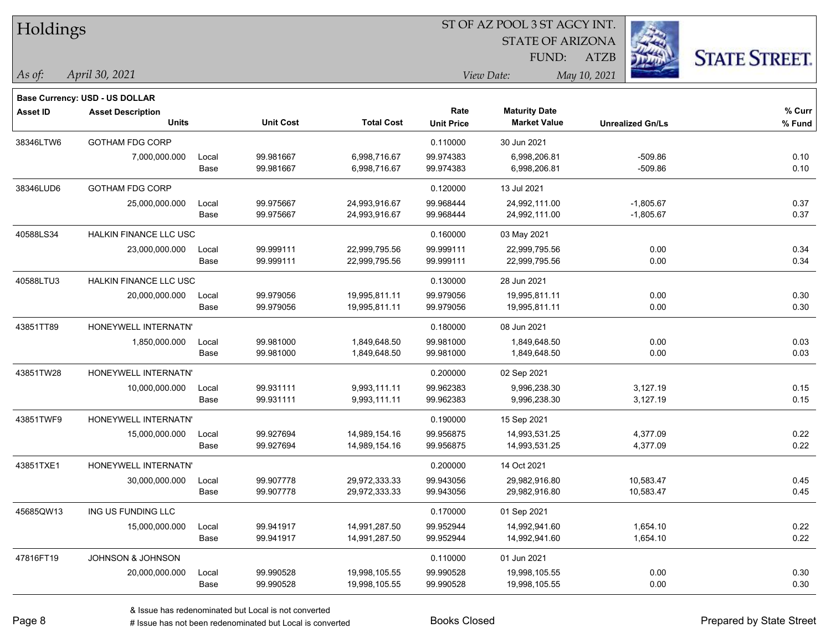| Holdings        |                                |       |                  | ST OF AZ POOL 3 ST AGCY INT. |                   |                         |                         |                      |  |  |
|-----------------|--------------------------------|-------|------------------|------------------------------|-------------------|-------------------------|-------------------------|----------------------|--|--|
|                 |                                |       |                  |                              |                   | <b>STATE OF ARIZONA</b> |                         |                      |  |  |
|                 |                                |       |                  |                              |                   | FUND:                   | <b>ATZB</b>             | <b>STATE STREET.</b> |  |  |
| As of:          | April 30, 2021                 |       |                  |                              |                   | View Date:              | May 10, 2021            |                      |  |  |
|                 | Base Currency: USD - US DOLLAR |       |                  |                              |                   |                         |                         |                      |  |  |
| <b>Asset ID</b> | <b>Asset Description</b>       |       |                  |                              | Rate              | <b>Maturity Date</b>    |                         | % Curr               |  |  |
|                 | <b>Units</b>                   |       | <b>Unit Cost</b> | <b>Total Cost</b>            | <b>Unit Price</b> | <b>Market Value</b>     | <b>Unrealized Gn/Ls</b> | % Fund               |  |  |
| 38346LTW6       | <b>GOTHAM FDG CORP</b>         |       |                  |                              | 0.110000          | 30 Jun 2021             |                         |                      |  |  |
|                 | 7,000,000.000                  | Local | 99.981667        | 6,998,716.67                 | 99.974383         | 6,998,206.81            | $-509.86$               | 0.10                 |  |  |
|                 |                                | Base  | 99.981667        | 6,998,716.67                 | 99.974383         | 6,998,206.81            | $-509.86$               | 0.10                 |  |  |
| 38346LUD6       | GOTHAM FDG CORP                |       |                  |                              | 0.120000          | 13 Jul 2021             |                         |                      |  |  |
|                 | 25,000,000.000                 | Local | 99.975667        | 24,993,916.67                | 99.968444         | 24,992,111.00           | $-1,805.67$             | 0.37                 |  |  |
|                 |                                | Base  | 99.975667        | 24,993,916.67                | 99.968444         | 24,992,111.00           | $-1,805.67$             | 0.37                 |  |  |
| 40588LS34       | HALKIN FINANCE LLC USC         |       |                  |                              | 0.160000          | 03 May 2021             |                         |                      |  |  |
|                 | 23,000,000.000                 | Local | 99.999111        | 22,999,795.56                | 99.999111         | 22,999,795.56           | 0.00                    | 0.34                 |  |  |
|                 |                                | Base  | 99.999111        | 22,999,795.56                | 99.999111         | 22,999,795.56           | 0.00                    | 0.34                 |  |  |
| 40588LTU3       | HALKIN FINANCE LLC USC         |       |                  |                              | 0.130000          | 28 Jun 2021             |                         |                      |  |  |
|                 | 20,000,000.000                 | Local | 99.979056        | 19,995,811.11                | 99.979056         | 19,995,811.11           | 0.00                    | 0.30                 |  |  |
|                 |                                | Base  | 99.979056        | 19,995,811.11                | 99.979056         | 19,995,811.11           | 0.00                    | 0.30                 |  |  |
| 43851TT89       | HONEYWELL INTERNATN'           |       |                  |                              | 0.180000          | 08 Jun 2021             |                         |                      |  |  |
|                 | 1,850,000.000                  | Local | 99.981000        | 1,849,648.50                 | 99.981000         | 1,849,648.50            | 0.00                    | 0.03                 |  |  |
|                 |                                | Base  | 99.981000        | 1,849,648.50                 | 99.981000         | 1,849,648.50            | 0.00                    | 0.03                 |  |  |
| 43851TW28       | HONEYWELL INTERNATN'           |       |                  |                              | 0.200000          | 02 Sep 2021             |                         |                      |  |  |
|                 | 10,000,000.000                 | Local | 99.931111        | 9,993,111.11                 | 99.962383         | 9,996,238.30            | 3,127.19                | 0.15                 |  |  |
|                 |                                | Base  | 99.931111        | 9,993,111.11                 | 99.962383         | 9,996,238.30            | 3,127.19                | 0.15                 |  |  |
| 43851TWF9       | HONEYWELL INTERNATN'           |       |                  |                              | 0.190000          | 15 Sep 2021             |                         |                      |  |  |
|                 | 15,000,000.000                 | Local | 99.927694        | 14,989,154.16                | 99.956875         | 14,993,531.25           | 4,377.09                | 0.22                 |  |  |
|                 |                                | Base  | 99.927694        | 14,989,154.16                | 99.956875         | 14,993,531.25           | 4,377.09                | 0.22                 |  |  |
| 43851TXE1       | HONEYWELL INTERNATN'           |       |                  |                              | 0.200000          | 14 Oct 2021             |                         |                      |  |  |
|                 | 30,000,000.000                 | Local | 99.907778        | 29,972,333.33                | 99.943056         | 29,982,916.80           | 10,583.47               | 0.45                 |  |  |
|                 |                                | Base  | 99.907778        | 29,972,333.33                | 99.943056         | 29,982,916.80           | 10,583.47               | 0.45                 |  |  |
| 45685QW13       | ING US FUNDING LLC             |       |                  |                              | 0.170000          | 01 Sep 2021             |                         |                      |  |  |
|                 | 15,000,000.000                 | Local | 99.941917        | 14,991,287.50                | 99.952944         | 14,992,941.60           | 1,654.10                | 0.22                 |  |  |
|                 |                                | Base  | 99.941917        | 14,991,287.50                | 99.952944         | 14,992,941.60           | 1,654.10                | 0.22                 |  |  |
| 47816FT19       | JOHNSON & JOHNSON              |       |                  |                              | 0.110000          | 01 Jun 2021             |                         |                      |  |  |
|                 | 20,000,000.000                 | Local | 99.990528        | 19,998,105.55                | 99.990528         | 19,998,105.55           | 0.00                    | 0.30                 |  |  |
|                 |                                | Base  | 99.990528        | 19,998,105.55                | 99.990528         | 19,998,105.55           | 0.00                    | 0.30                 |  |  |

 $\overline{\phantom{a}}$ 

 $\overline{\phantom{0}}$ 

 $\overline{\phantom{0}}$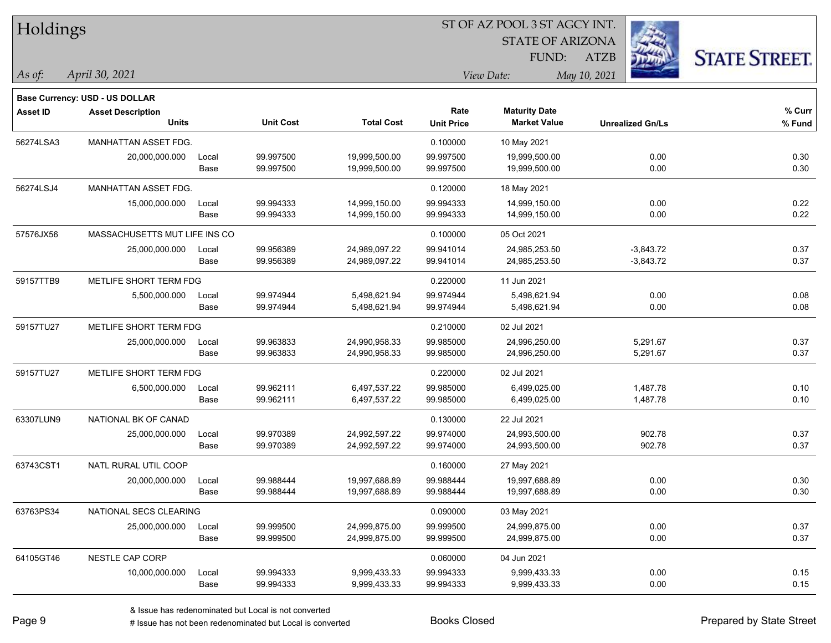| Holdings        |                                |       |                  |                   |                   | ST OF AZ POOL 3 ST AGCY INT. |                         |                      |
|-----------------|--------------------------------|-------|------------------|-------------------|-------------------|------------------------------|-------------------------|----------------------|
|                 |                                |       |                  |                   |                   | <b>STATE OF ARIZONA</b>      |                         |                      |
|                 |                                |       |                  |                   |                   | FUND:                        | <b>ATZB</b>             | <b>STATE STREET.</b> |
| As of:          | April 30, 2021                 |       |                  |                   |                   | View Date:                   | May 10, 2021            |                      |
|                 | Base Currency: USD - US DOLLAR |       |                  |                   |                   |                              |                         |                      |
| <b>Asset ID</b> | <b>Asset Description</b>       |       |                  |                   | Rate              | <b>Maturity Date</b>         |                         | % Curr               |
|                 | Units                          |       | <b>Unit Cost</b> | <b>Total Cost</b> | <b>Unit Price</b> | <b>Market Value</b>          | <b>Unrealized Gn/Ls</b> | % Fund               |
| 56274LSA3       | <b>MANHATTAN ASSET FDG.</b>    |       |                  |                   | 0.100000          | 10 May 2021                  |                         |                      |
|                 | 20,000,000.000                 | Local | 99.997500        | 19,999,500.00     | 99.997500         | 19,999,500.00                | 0.00                    | 0.30                 |
|                 |                                | Base  | 99.997500        | 19,999,500.00     | 99.997500         | 19,999,500.00                | 0.00                    | 0.30                 |
| 56274LSJ4       | MANHATTAN ASSET FDG.           |       |                  |                   | 0.120000          | 18 May 2021                  |                         |                      |
|                 | 15,000,000.000                 | Local | 99.994333        | 14,999,150.00     | 99.994333         | 14,999,150.00                | 0.00                    | 0.22                 |
|                 |                                | Base  | 99.994333        | 14,999,150.00     | 99.994333         | 14,999,150.00                | 0.00                    | 0.22                 |
| 57576JX56       | MASSACHUSETTS MUT LIFE INS CO  |       |                  |                   | 0.100000          | 05 Oct 2021                  |                         |                      |
|                 | 25,000,000.000                 | Local | 99.956389        | 24,989,097.22     | 99.941014         | 24,985,253.50                | $-3,843.72$             | 0.37                 |
|                 |                                | Base  | 99.956389        | 24,989,097.22     | 99.941014         | 24,985,253.50                | $-3,843.72$             | 0.37                 |
| 59157TTB9       | METLIFE SHORT TERM FDG         |       |                  |                   | 0.220000          | 11 Jun 2021                  |                         |                      |
|                 | 5,500,000.000                  | Local | 99.974944        | 5,498,621.94      | 99.974944         | 5,498,621.94                 | 0.00                    | 0.08                 |
|                 |                                | Base  | 99.974944        | 5,498,621.94      | 99.974944         | 5,498,621.94                 | 0.00                    | 0.08                 |
| 59157TU27       | METLIFE SHORT TERM FDG         |       |                  |                   | 0.210000          | 02 Jul 2021                  |                         |                      |
|                 | 25,000,000.000                 | Local | 99.963833        | 24,990,958.33     | 99.985000         | 24,996,250.00                | 5,291.67                | 0.37                 |
|                 |                                | Base  | 99.963833        | 24,990,958.33     | 99.985000         | 24,996,250.00                | 5,291.67                | 0.37                 |
| 59157TU27       | METLIFE SHORT TERM FDG         |       |                  |                   | 0.220000          | 02 Jul 2021                  |                         |                      |
|                 | 6,500,000.000                  | Local | 99.962111        | 6,497,537.22      | 99.985000         | 6,499,025.00                 | 1,487.78                | 0.10                 |
|                 |                                | Base  | 99.962111        | 6,497,537.22      | 99.985000         | 6,499,025.00                 | 1,487.78                | 0.10                 |
| 63307LUN9       | NATIONAL BK OF CANAD           |       |                  |                   | 0.130000          | 22 Jul 2021                  |                         |                      |
|                 | 25,000,000.000                 | Local | 99.970389        | 24,992,597.22     | 99.974000         | 24,993,500.00                | 902.78                  | 0.37                 |
|                 |                                | Base  | 99.970389        | 24,992,597.22     | 99.974000         | 24,993,500.00                | 902.78                  | 0.37                 |
| 63743CST1       | NATL RURAL UTIL COOP           |       |                  |                   | 0.160000          | 27 May 2021                  |                         |                      |
|                 | 20,000,000.000                 | Local | 99.988444        | 19,997,688.89     | 99.988444         | 19,997,688.89                | 0.00                    | 0.30                 |
|                 |                                | Base  | 99.988444        | 19,997,688.89     | 99.988444         | 19,997,688.89                | 0.00                    | 0.30                 |
| 63763PS34       | NATIONAL SECS CLEARING         |       |                  |                   | 0.090000          | 03 May 2021                  |                         |                      |
|                 | 25,000,000.000                 | Local | 99.999500        | 24,999,875.00     | 99.999500         | 24,999,875.00                | 0.00                    | 0.37                 |
|                 |                                | Base  | 99.999500        | 24,999,875.00     | 99.999500         | 24,999,875.00                | 0.00                    | 0.37                 |
| 64105GT46       | NESTLE CAP CORP                |       |                  |                   | 0.060000          | 04 Jun 2021                  |                         |                      |
|                 | 10,000,000.000                 | Local | 99.994333        | 9,999,433.33      | 99.994333         | 9,999,433.33                 | 0.00                    | 0.15                 |
|                 |                                | Base  | 99.994333        | 9,999,433.33      | 99.994333         | 9,999,433.33                 | 0.00                    | 0.15                 |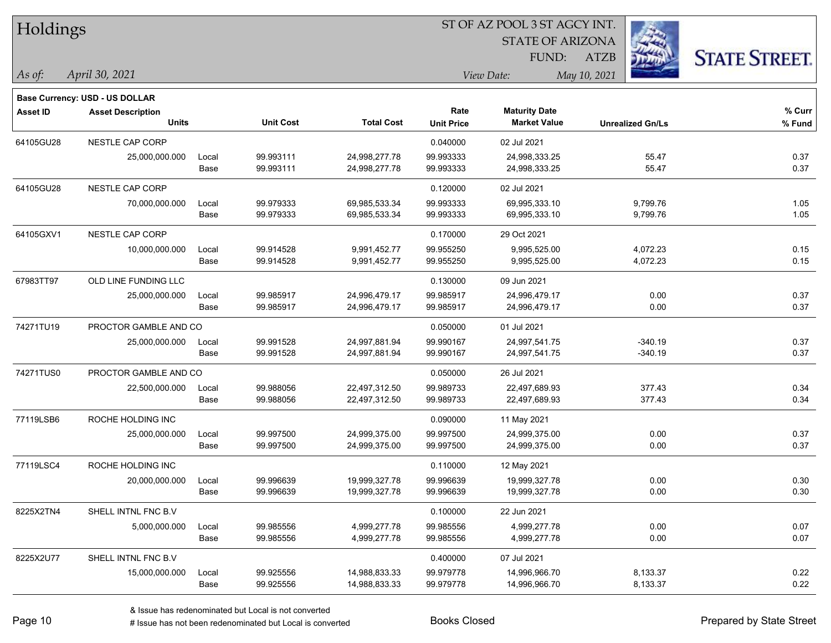| Holdings        |                                |       |                  |                   | ST OF AZ POOL 3 ST AGCY INT. |                         |                         |                      |  |  |
|-----------------|--------------------------------|-------|------------------|-------------------|------------------------------|-------------------------|-------------------------|----------------------|--|--|
|                 |                                |       |                  |                   |                              | <b>STATE OF ARIZONA</b> |                         |                      |  |  |
|                 |                                |       |                  |                   |                              | FUND:                   | <b>ATZB</b>             | <b>STATE STREET.</b> |  |  |
| As of:          | April 30, 2021                 |       |                  |                   |                              | View Date:              | May 10, 2021            |                      |  |  |
|                 | Base Currency: USD - US DOLLAR |       |                  |                   |                              |                         |                         |                      |  |  |
| <b>Asset ID</b> | <b>Asset Description</b>       |       |                  |                   | Rate                         | <b>Maturity Date</b>    |                         | % Curr               |  |  |
|                 | <b>Units</b>                   |       | <b>Unit Cost</b> | <b>Total Cost</b> | <b>Unit Price</b>            | <b>Market Value</b>     | <b>Unrealized Gn/Ls</b> | % Fund               |  |  |
| 64105GU28       | NESTLE CAP CORP                |       |                  |                   | 0.040000                     | 02 Jul 2021             |                         |                      |  |  |
|                 | 25,000,000.000                 | Local | 99.993111        | 24,998,277.78     | 99.993333                    | 24,998,333.25           | 55.47                   | 0.37                 |  |  |
|                 |                                | Base  | 99.993111        | 24,998,277.78     | 99.993333                    | 24,998,333.25           | 55.47                   | 0.37                 |  |  |
| 64105GU28       | NESTLE CAP CORP                |       |                  |                   | 0.120000                     | 02 Jul 2021             |                         |                      |  |  |
|                 | 70,000,000.000                 | Local | 99.979333        | 69,985,533.34     | 99.993333                    | 69,995,333.10           | 9,799.76                | 1.05                 |  |  |
|                 |                                | Base  | 99.979333        | 69,985,533.34     | 99.993333                    | 69,995,333.10           | 9,799.76                | 1.05                 |  |  |
| 64105GXV1       | NESTLE CAP CORP                |       |                  |                   | 0.170000                     | 29 Oct 2021             |                         |                      |  |  |
|                 | 10,000,000.000                 | Local | 99.914528        | 9,991,452.77      | 99.955250                    | 9,995,525.00            | 4,072.23                | 0.15                 |  |  |
|                 |                                | Base  | 99.914528        | 9,991,452.77      | 99.955250                    | 9,995,525.00            | 4,072.23                | 0.15                 |  |  |
| 67983TT97       | OLD LINE FUNDING LLC           |       |                  |                   | 0.130000                     | 09 Jun 2021             |                         |                      |  |  |
|                 | 25,000,000.000                 | Local | 99.985917        | 24,996,479.17     | 99.985917                    | 24,996,479.17           | 0.00                    | 0.37                 |  |  |
|                 |                                | Base  | 99.985917        | 24,996,479.17     | 99.985917                    | 24,996,479.17           | 0.00                    | 0.37                 |  |  |
| 74271TU19       | PROCTOR GAMBLE AND CO          |       |                  |                   | 0.050000                     | 01 Jul 2021             |                         |                      |  |  |
|                 | 25,000,000.000                 | Local | 99.991528        | 24,997,881.94     | 99.990167                    | 24,997,541.75           | $-340.19$               | 0.37                 |  |  |
|                 |                                | Base  | 99.991528        | 24,997,881.94     | 99.990167                    | 24,997,541.75           | $-340.19$               | 0.37                 |  |  |
| 74271TUS0       | PROCTOR GAMBLE AND CO          |       |                  |                   | 0.050000                     | 26 Jul 2021             |                         |                      |  |  |
|                 | 22,500,000.000                 | Local | 99.988056        | 22,497,312.50     | 99.989733                    | 22,497,689.93           | 377.43                  | 0.34                 |  |  |
|                 |                                | Base  | 99.988056        | 22,497,312.50     | 99.989733                    | 22,497,689.93           | 377.43                  | 0.34                 |  |  |
| 77119LSB6       | ROCHE HOLDING INC              |       |                  |                   | 0.090000                     | 11 May 2021             |                         |                      |  |  |
|                 | 25,000,000.000                 | Local | 99.997500        | 24,999,375.00     | 99.997500                    | 24,999,375.00           | 0.00                    | 0.37                 |  |  |
|                 |                                | Base  | 99.997500        | 24,999,375.00     | 99.997500                    | 24,999,375.00           | 0.00                    | 0.37                 |  |  |
| 77119LSC4       | ROCHE HOLDING INC              |       |                  |                   | 0.110000                     | 12 May 2021             |                         |                      |  |  |
|                 | 20,000,000.000                 | Local | 99.996639        | 19,999,327.78     | 99.996639                    | 19,999,327.78           | 0.00                    | 0.30                 |  |  |
|                 |                                | Base  | 99.996639        | 19,999,327.78     | 99.996639                    | 19,999,327.78           | 0.00                    | 0.30                 |  |  |
| 8225X2TN4       | SHELL INTNL FNC B.V            |       |                  |                   | 0.100000                     | 22 Jun 2021             |                         |                      |  |  |
|                 | 5,000,000.000                  | Local | 99.985556        | 4,999,277.78      | 99.985556                    | 4,999,277.78            | 0.00                    | 0.07                 |  |  |
|                 |                                | Base  | 99.985556        | 4,999,277.78      | 99.985556                    | 4,999,277.78            | 0.00                    | 0.07                 |  |  |
| 8225X2U77       | SHELL INTNL FNC B.V            |       |                  |                   | 0.400000                     | 07 Jul 2021             |                         |                      |  |  |
|                 | 15,000,000.000                 | Local | 99.925556        | 14,988,833.33     | 99.979778                    | 14,996,966.70           | 8,133.37                | 0.22                 |  |  |
|                 |                                | Base  | 99.925556        | 14,988,833.33     | 99.979778                    | 14,996,966.70           | 8,133.37                | 0.22                 |  |  |

 $\overline{\phantom{0}}$ 

 $\overline{\phantom{a}}$ 

 $\overline{\phantom{0}}$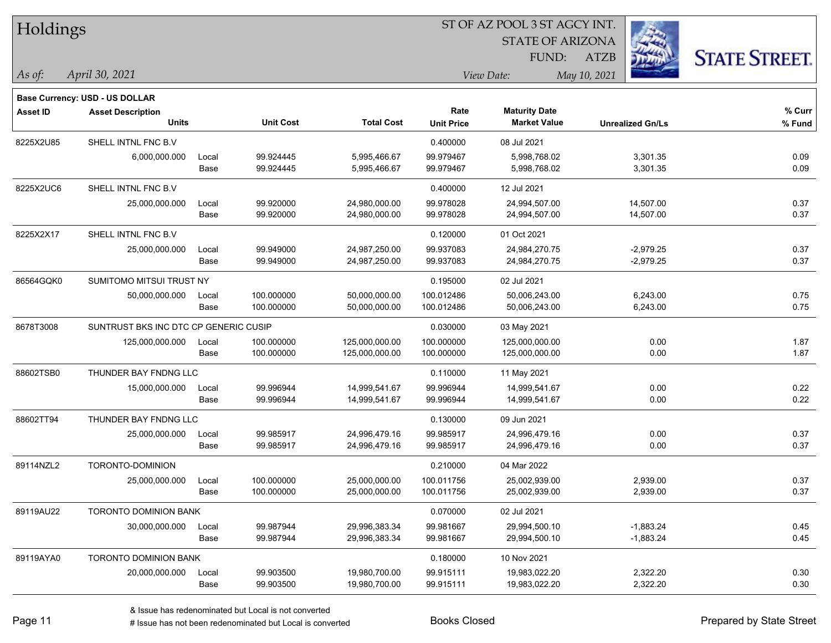| Holdings        |                                       |       |                  |                   | ST OF AZ POOL 3 ST AGCY INT. |                         |                         |                      |  |  |
|-----------------|---------------------------------------|-------|------------------|-------------------|------------------------------|-------------------------|-------------------------|----------------------|--|--|
|                 |                                       |       |                  |                   |                              | <b>STATE OF ARIZONA</b> |                         |                      |  |  |
|                 |                                       |       |                  |                   |                              | FUND:                   | <b>ATZB</b>             | <b>STATE STREET.</b> |  |  |
| $\vert$ As of:  | April 30, 2021                        |       |                  |                   | View Date:                   |                         | May 10, 2021            |                      |  |  |
|                 | <b>Base Currency: USD - US DOLLAR</b> |       |                  |                   |                              |                         |                         |                      |  |  |
| <b>Asset ID</b> | <b>Asset Description</b>              |       |                  |                   | Rate                         | <b>Maturity Date</b>    |                         | $%$ Curr             |  |  |
|                 | <b>Units</b>                          |       | <b>Unit Cost</b> | <b>Total Cost</b> | <b>Unit Price</b>            | <b>Market Value</b>     | <b>Unrealized Gn/Ls</b> | % Fund               |  |  |
| 8225X2U85       | SHELL INTNL FNC B.V                   |       |                  |                   | 0.400000                     | 08 Jul 2021             |                         |                      |  |  |
|                 | 6,000,000.000                         | Local | 99.924445        | 5,995,466.67      | 99.979467                    | 5,998,768.02            | 3,301.35                | 0.09                 |  |  |
|                 |                                       | Base  | 99.924445        | 5,995,466.67      | 99.979467                    | 5,998,768.02            | 3,301.35                | 0.09                 |  |  |
| 8225X2UC6       | SHELL INTNL FNC B.V                   |       |                  |                   | 0.400000                     | 12 Jul 2021             |                         |                      |  |  |
|                 | 25,000,000.000                        | Local | 99.920000        | 24,980,000.00     | 99.978028                    | 24,994,507.00           | 14,507.00               | 0.37                 |  |  |
|                 |                                       | Base  | 99.920000        | 24,980,000.00     | 99.978028                    | 24,994,507.00           | 14,507.00               | 0.37                 |  |  |
| 8225X2X17       | SHELL INTNL FNC B.V                   |       |                  |                   | 0.120000                     | 01 Oct 2021             |                         |                      |  |  |
|                 | 25,000,000.000                        | Local | 99.949000        | 24,987,250.00     | 99.937083                    | 24,984,270.75           | $-2,979.25$             | 0.37                 |  |  |
|                 |                                       | Base  | 99.949000        | 24,987,250.00     | 99.937083                    | 24,984,270.75           | $-2,979.25$             | 0.37                 |  |  |
| 86564GQK0       | SUMITOMO MITSUI TRUST NY              |       |                  |                   | 0.195000                     | 02 Jul 2021             |                         |                      |  |  |
|                 | 50,000,000.000                        | Local | 100.000000       | 50,000,000.00     | 100.012486                   | 50,006,243.00           | 6,243.00                | 0.75                 |  |  |
|                 |                                       | Base  | 100.000000       | 50,000,000.00     | 100.012486                   | 50,006,243.00           | 6,243.00                | 0.75                 |  |  |
| 8678T3008       | SUNTRUST BKS INC DTC CP GENERIC CUSIP |       |                  |                   | 0.030000                     | 03 May 2021             |                         |                      |  |  |
|                 | 125,000,000.000                       | Local | 100.000000       | 125,000,000.00    | 100.000000                   | 125,000,000.00          | 0.00                    | 1.87                 |  |  |
|                 |                                       | Base  | 100.000000       | 125,000,000.00    | 100.000000                   | 125,000,000.00          | 0.00                    | 1.87                 |  |  |
| 88602TSB0       | THUNDER BAY FNDNG LLC                 |       |                  |                   | 0.110000                     | 11 May 2021             |                         |                      |  |  |
|                 | 15,000,000.000                        | Local | 99.996944        | 14,999,541.67     | 99.996944                    | 14,999,541.67           | 0.00                    | 0.22                 |  |  |
|                 |                                       | Base  | 99.996944        | 14,999,541.67     | 99.996944                    | 14,999,541.67           | 0.00                    | 0.22                 |  |  |
| 88602TT94       | THUNDER BAY FNDNG LLC                 |       |                  |                   | 0.130000                     | 09 Jun 2021             |                         |                      |  |  |
|                 | 25,000,000.000                        | Local | 99.985917        | 24,996,479.16     | 99.985917                    | 24,996,479.16           | 0.00                    | 0.37                 |  |  |
|                 |                                       | Base  | 99.985917        | 24,996,479.16     | 99.985917                    | 24,996,479.16           | 0.00                    | 0.37                 |  |  |
| 89114NZL2       | TORONTO-DOMINION                      |       |                  |                   | 0.210000                     | 04 Mar 2022             |                         |                      |  |  |
|                 | 25,000,000.000                        | Local | 100.000000       | 25,000,000.00     | 100.011756                   | 25,002,939.00           | 2,939.00                | 0.37                 |  |  |
|                 |                                       | Base  | 100.000000       | 25,000,000.00     | 100.011756                   | 25,002,939.00           | 2,939.00                | 0.37                 |  |  |
| 89119AU22       | TORONTO DOMINION BANK                 |       |                  |                   | 0.070000                     | 02 Jul 2021             |                         |                      |  |  |
|                 | 30,000,000.000                        | Local | 99.987944        | 29,996,383.34     | 99.981667                    | 29,994,500.10           | $-1,883.24$             | 0.45                 |  |  |
|                 |                                       | Base  | 99.987944        | 29,996,383.34     | 99.981667                    | 29,994,500.10           | $-1,883.24$             | 0.45                 |  |  |
| 89119AYA0       | TORONTO DOMINION BANK                 |       |                  |                   | 0.180000                     | 10 Nov 2021             |                         |                      |  |  |
|                 | 20,000,000.000                        | Local | 99.903500        | 19,980,700.00     | 99.915111                    | 19,983,022.20           | 2,322.20                | 0.30                 |  |  |
|                 |                                       | Base  | 99.903500        | 19,980,700.00     | 99.915111                    | 19,983,022.20           | 2,322.20                | 0.30                 |  |  |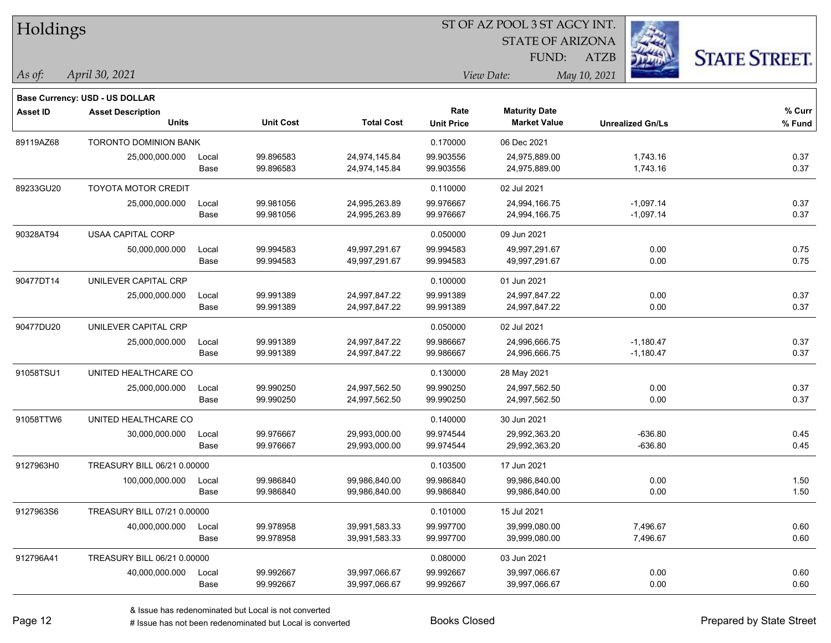| Holdings        |                                |       |                  | ST OF AZ POOL 3 ST AGCY INT. |                   |                         |                         |                      |  |  |
|-----------------|--------------------------------|-------|------------------|------------------------------|-------------------|-------------------------|-------------------------|----------------------|--|--|
|                 |                                |       |                  |                              |                   | <b>STATE OF ARIZONA</b> |                         |                      |  |  |
|                 |                                |       |                  |                              |                   | FUND:                   | <b>ATZB</b>             | <b>STATE STREET.</b> |  |  |
| As of:          | April 30, 2021                 |       |                  |                              |                   | View Date:              | May 10, 2021            |                      |  |  |
|                 | Base Currency: USD - US DOLLAR |       |                  |                              |                   |                         |                         |                      |  |  |
| <b>Asset ID</b> | <b>Asset Description</b>       |       |                  |                              | Rate              | <b>Maturity Date</b>    |                         | % Curr               |  |  |
|                 | <b>Units</b>                   |       | <b>Unit Cost</b> | <b>Total Cost</b>            | <b>Unit Price</b> | <b>Market Value</b>     | <b>Unrealized Gn/Ls</b> | % Fund               |  |  |
| 89119AZ68       | <b>TORONTO DOMINION BANK</b>   |       |                  |                              | 0.170000          | 06 Dec 2021             |                         |                      |  |  |
|                 | 25,000,000.000                 | Local | 99.896583        | 24,974,145.84                | 99.903556         | 24,975,889.00           | 1,743.16                | 0.37                 |  |  |
|                 |                                | Base  | 99.896583        | 24,974,145.84                | 99.903556         | 24,975,889.00           | 1,743.16                | 0.37                 |  |  |
| 89233GU20       | <b>TOYOTA MOTOR CREDIT</b>     |       |                  |                              | 0.110000          | 02 Jul 2021             |                         |                      |  |  |
|                 | 25,000,000.000                 | Local | 99.981056        | 24,995,263.89                | 99.976667         | 24,994,166.75           | $-1,097.14$             | 0.37                 |  |  |
|                 |                                | Base  | 99.981056        | 24,995,263.89                | 99.976667         | 24,994,166.75           | $-1,097.14$             | 0.37                 |  |  |
| 90328AT94       | <b>USAA CAPITAL CORP</b>       |       |                  |                              | 0.050000          | 09 Jun 2021             |                         |                      |  |  |
|                 | 50,000,000.000                 | Local | 99.994583        | 49,997,291.67                | 99.994583         | 49,997,291.67           | 0.00                    | 0.75                 |  |  |
|                 |                                | Base  | 99.994583        | 49,997,291.67                | 99.994583         | 49,997,291.67           | 0.00                    | 0.75                 |  |  |
| 90477DT14       | UNILEVER CAPITAL CRP           |       |                  |                              | 0.100000          | 01 Jun 2021             |                         |                      |  |  |
|                 | 25,000,000.000                 | Local | 99.991389        | 24,997,847.22                | 99.991389         | 24,997,847.22           | 0.00                    | 0.37                 |  |  |
|                 |                                | Base  | 99.991389        | 24,997,847.22                | 99.991389         | 24,997,847.22           | 0.00                    | 0.37                 |  |  |
| 90477DU20       | UNILEVER CAPITAL CRP           |       |                  |                              | 0.050000          | 02 Jul 2021             |                         |                      |  |  |
|                 | 25,000,000.000                 | Local | 99.991389        | 24,997,847.22                | 99.986667         | 24,996,666.75           | $-1,180.47$             | 0.37                 |  |  |
|                 |                                | Base  | 99.991389        | 24,997,847.22                | 99.986667         | 24,996,666.75           | $-1,180.47$             | 0.37                 |  |  |
| 91058TSU1       | UNITED HEALTHCARE CO           |       |                  |                              | 0.130000          | 28 May 2021             |                         |                      |  |  |
|                 | 25,000,000.000                 | Local | 99.990250        | 24,997,562.50                | 99.990250         | 24,997,562.50           | 0.00                    | 0.37                 |  |  |
|                 |                                | Base  | 99.990250        | 24,997,562.50                | 99.990250         | 24,997,562.50           | 0.00                    | 0.37                 |  |  |
| 91058TTW6       | UNITED HEALTHCARE CO           |       |                  |                              | 0.140000          | 30 Jun 2021             |                         |                      |  |  |
|                 | 30,000,000.000                 | Local | 99.976667        | 29,993,000.00                | 99.974544         | 29,992,363.20           | $-636.80$               | 0.45                 |  |  |
|                 |                                | Base  | 99.976667        | 29,993,000.00                | 99.974544         | 29,992,363.20           | $-636.80$               | 0.45                 |  |  |
| 9127963H0       | TREASURY BILL 06/21 0.00000    |       |                  |                              | 0.103500          | 17 Jun 2021             |                         |                      |  |  |
|                 | 100,000,000.000                | Local | 99.986840        | 99,986,840.00                | 99.986840         | 99,986,840.00           | 0.00                    | 1.50                 |  |  |
|                 |                                | Base  | 99.986840        | 99,986,840.00                | 99.986840         | 99,986,840.00           | 0.00                    | 1.50                 |  |  |
| 9127963S6       | TREASURY BILL 07/21 0.00000    |       |                  |                              | 0.101000          | 15 Jul 2021             |                         |                      |  |  |
|                 | 40,000,000.000                 | Local | 99.978958        | 39,991,583.33                | 99.997700         | 39,999,080.00           | 7,496.67                | 0.60                 |  |  |
|                 |                                | Base  | 99.978958        | 39,991,583.33                | 99.997700         | 39,999,080.00           | 7,496.67                | 0.60                 |  |  |
| 912796A41       | TREASURY BILL 06/21 0.00000    |       |                  |                              | 0.080000          | 03 Jun 2021             |                         |                      |  |  |
|                 | 40,000,000.000                 | Local | 99.992667        | 39,997,066.67                | 99.992667         | 39,997,066.67           | 0.00                    | 0.60                 |  |  |
|                 |                                | Base  | 99.992667        | 39,997,066.67                | 99.992667         | 39,997,066.67           | 0.00                    | 0.60                 |  |  |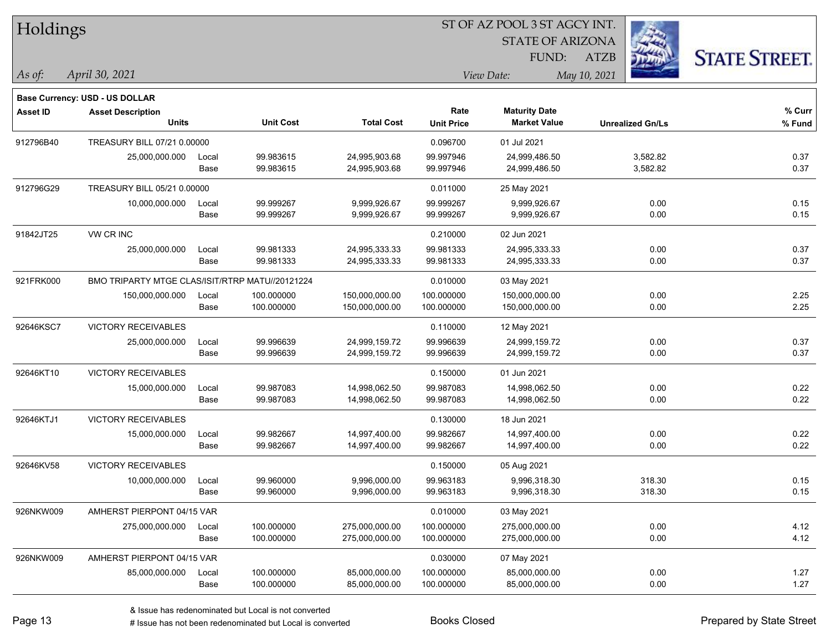| Holdings        |                                                 |       |                  |                   | 51 OF AZ POOL 351 AGCY INT. |                         |                         |                      |  |  |
|-----------------|-------------------------------------------------|-------|------------------|-------------------|-----------------------------|-------------------------|-------------------------|----------------------|--|--|
|                 |                                                 |       |                  |                   |                             | <b>STATE OF ARIZONA</b> | <b>FEB</b>              |                      |  |  |
|                 |                                                 |       |                  |                   |                             | FUND:                   | <b>ATZB</b>             | <b>STATE STREET.</b> |  |  |
| $ $ As of:      | April 30, 2021                                  |       |                  |                   |                             | View Date:              | May 10, 2021            |                      |  |  |
|                 | <b>Base Currency: USD - US DOLLAR</b>           |       |                  |                   |                             |                         |                         |                      |  |  |
| <b>Asset ID</b> | <b>Asset Description</b>                        |       |                  |                   | Rate                        | <b>Maturity Date</b>    |                         | % Curr               |  |  |
|                 | <b>Units</b>                                    |       | <b>Unit Cost</b> | <b>Total Cost</b> | <b>Unit Price</b>           | <b>Market Value</b>     | <b>Unrealized Gn/Ls</b> | % Fund               |  |  |
| 912796B40       | TREASURY BILL 07/21 0.00000                     |       |                  |                   | 0.096700                    | 01 Jul 2021             |                         |                      |  |  |
|                 | 25,000,000.000                                  | Local | 99.983615        | 24,995,903.68     | 99.997946                   | 24,999,486.50           | 3,582.82                | 0.37                 |  |  |
|                 |                                                 | Base  | 99.983615        | 24,995,903.68     | 99.997946                   | 24,999,486.50           | 3,582.82                | 0.37                 |  |  |
| 912796G29       | TREASURY BILL 05/21 0.00000                     |       |                  |                   | 0.011000                    | 25 May 2021             |                         |                      |  |  |
|                 | 10,000,000.000                                  | Local | 99.999267        | 9,999,926.67      | 99.999267                   | 9,999,926.67            | 0.00                    | 0.15                 |  |  |
|                 |                                                 | Base  | 99.999267        | 9,999,926.67      | 99.999267                   | 9,999,926.67            | 0.00                    | 0.15                 |  |  |
| 91842JT25       | VW CR INC                                       |       |                  |                   | 0.210000                    | 02 Jun 2021             |                         |                      |  |  |
|                 | 25,000,000.000                                  | Local | 99.981333        | 24,995,333.33     | 99.981333                   | 24,995,333.33           | 0.00                    | 0.37                 |  |  |
|                 |                                                 | Base  | 99.981333        | 24,995,333.33     | 99.981333                   | 24,995,333.33           | 0.00                    | 0.37                 |  |  |
| 921FRK000       | BMO TRIPARTY MTGE CLAS/ISIT/RTRP MATU//20121224 |       |                  |                   | 0.010000                    | 03 May 2021             |                         |                      |  |  |
|                 | 150,000,000.000                                 | Local | 100.000000       | 150,000,000.00    | 100.000000                  | 150,000,000.00          | 0.00                    | 2.25                 |  |  |
|                 |                                                 | Base  | 100.000000       | 150,000,000.00    | 100.000000                  | 150,000,000.00          | 0.00                    | 2.25                 |  |  |
| 92646KSC7       | <b>VICTORY RECEIVABLES</b>                      |       |                  |                   | 0.110000                    | 12 May 2021             |                         |                      |  |  |
|                 | 25,000,000.000                                  | Local | 99.996639        | 24,999,159.72     | 99.996639                   | 24,999,159.72           | 0.00                    | 0.37                 |  |  |
|                 |                                                 | Base  | 99.996639        | 24,999,159.72     | 99.996639                   | 24,999,159.72           | 0.00                    | 0.37                 |  |  |
| 92646KT10       | <b>VICTORY RECEIVABLES</b>                      |       |                  |                   | 0.150000                    | 01 Jun 2021             |                         |                      |  |  |
|                 | 15,000,000.000                                  | Local | 99.987083        | 14,998,062.50     | 99.987083                   | 14,998,062.50           | 0.00                    | 0.22                 |  |  |
|                 |                                                 | Base  | 99.987083        | 14,998,062.50     | 99.987083                   | 14,998,062.50           | 0.00                    | 0.22                 |  |  |
| 92646KTJ1       | VICTORY RECEIVABLES                             |       |                  |                   | 0.130000                    | 18 Jun 2021             |                         |                      |  |  |
|                 | 15,000,000.000                                  | Local | 99.982667        | 14,997,400.00     | 99.982667                   | 14,997,400.00           | 0.00                    | 0.22                 |  |  |
|                 |                                                 | Base  | 99.982667        | 14,997,400.00     | 99.982667                   | 14,997,400.00           | 0.00                    | 0.22                 |  |  |
| 92646KV58       | <b>VICTORY RECEIVABLES</b>                      |       |                  |                   | 0.150000                    | 05 Aug 2021             |                         |                      |  |  |
|                 | 10,000,000.000                                  | Local | 99.960000        | 9,996,000.00      | 99.963183                   | 9,996,318.30            | 318.30                  | 0.15                 |  |  |
|                 |                                                 | Base  | 99.960000        | 9,996,000.00      | 99.963183                   | 9,996,318.30            | 318.30                  | 0.15                 |  |  |
| 926NKW009       | AMHERST PIERPONT 04/15 VAR                      |       |                  |                   | 0.010000                    | 03 May 2021             |                         |                      |  |  |
|                 | 275,000,000.000                                 | Local | 100.000000       | 275,000,000.00    | 100.000000                  | 275,000,000.00          | 0.00                    | 4.12                 |  |  |
|                 |                                                 | Base  | 100.000000       | 275,000,000.00    | 100.000000                  | 275,000,000.00          | 0.00                    | 4.12                 |  |  |
| 926NKW009       | AMHERST PIERPONT 04/15 VAR                      |       |                  |                   | 0.030000                    | 07 May 2021             |                         |                      |  |  |
|                 | 85,000,000.000                                  | Local | 100.000000       | 85,000,000.00     | 100.000000                  | 85,000,000.00           | 0.00                    | 1.27                 |  |  |
|                 |                                                 | Base  | 100.000000       | 85,000,000.00     | 100.000000                  | 85,000,000.00           | 0.00                    | 1.27                 |  |  |

ST OF A Z POOL 2 ST ACCV INT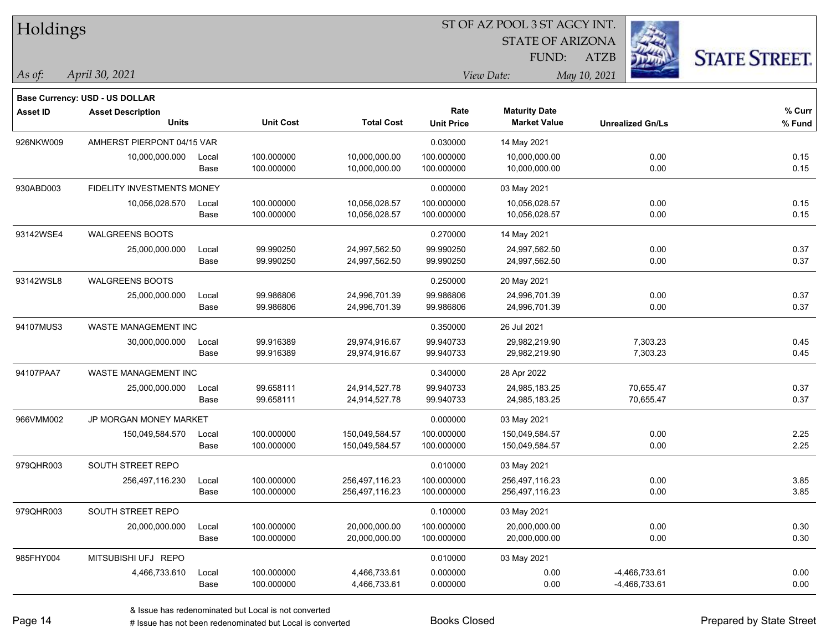| Holdings        |                                       |       |                  |                   |                   | ST OF AZ POOL 3 ST AGCY INT. |                         |                      |
|-----------------|---------------------------------------|-------|------------------|-------------------|-------------------|------------------------------|-------------------------|----------------------|
|                 |                                       |       |                  |                   |                   | <b>STATE OF ARIZONA</b>      |                         |                      |
|                 |                                       |       |                  |                   |                   | FUND:                        | <b>ATZB</b>             | <b>STATE STREET.</b> |
| As of:          | April 30, 2021                        |       |                  |                   | View Date:        |                              |                         |                      |
|                 | <b>Base Currency: USD - US DOLLAR</b> |       |                  |                   |                   |                              |                         |                      |
| <b>Asset ID</b> | <b>Asset Description</b>              |       |                  |                   | Rate              | <b>Maturity Date</b>         |                         | % Curr               |
|                 | <b>Units</b>                          |       | <b>Unit Cost</b> | <b>Total Cost</b> | <b>Unit Price</b> | <b>Market Value</b>          | <b>Unrealized Gn/Ls</b> | % Fund               |
| 926NKW009       | AMHERST PIERPONT 04/15 VAR            |       |                  |                   | 0.030000          | 14 May 2021                  |                         |                      |
|                 | 10,000,000.000                        | Local | 100.000000       | 10,000,000.00     | 100.000000        | 10,000,000.00                | 0.00                    | 0.15                 |
|                 |                                       | Base  | 100.000000       | 10,000,000.00     | 100.000000        | 10,000,000.00                | 0.00                    | 0.15                 |
| 930ABD003       | FIDELITY INVESTMENTS MONEY            |       |                  |                   | 0.000000          | 03 May 2021                  |                         |                      |
|                 | 10,056,028.570                        | Local | 100.000000       | 10,056,028.57     | 100.000000        | 10,056,028.57                | 0.00                    | 0.15                 |
|                 |                                       | Base  | 100.000000       | 10,056,028.57     | 100.000000        | 10,056,028.57                | 0.00                    | 0.15                 |
| 93142WSE4       | <b>WALGREENS BOOTS</b>                |       |                  |                   | 0.270000          | 14 May 2021                  |                         |                      |
|                 | 25,000,000.000                        | Local | 99.990250        | 24,997,562.50     | 99.990250         | 24,997,562.50                | 0.00                    | 0.37                 |
|                 |                                       | Base  | 99.990250        | 24,997,562.50     | 99.990250         | 24,997,562.50                | 0.00                    | 0.37                 |
| 93142WSL8       | <b>WALGREENS BOOTS</b>                |       |                  |                   | 0.250000          | 20 May 2021                  |                         |                      |
|                 | 25,000,000.000                        | Local | 99.986806        | 24,996,701.39     | 99.986806         | 24,996,701.39                | 0.00                    | 0.37                 |
|                 |                                       | Base  | 99.986806        | 24,996,701.39     | 99.986806         | 24,996,701.39                | 0.00                    | 0.37                 |
| 94107MUS3       | WASTE MANAGEMENT INC                  |       |                  |                   | 0.350000          | 26 Jul 2021                  |                         |                      |
|                 | 30,000,000.000                        | Local | 99.916389        | 29,974,916.67     | 99.940733         | 29,982,219.90                | 7,303.23                | 0.45                 |
|                 |                                       | Base  | 99.916389        | 29,974,916.67     | 99.940733         | 29,982,219.90                | 7,303.23                | 0.45                 |
| 94107PAA7       | WASTE MANAGEMENT INC                  |       |                  |                   | 0.340000          | 28 Apr 2022                  |                         |                      |
|                 | 25,000,000.000                        | Local | 99.658111        | 24,914,527.78     | 99.940733         | 24,985,183.25                | 70,655.47               | 0.37                 |
|                 |                                       | Base  | 99.658111        | 24,914,527.78     | 99.940733         | 24,985,183.25                | 70,655.47               | 0.37                 |
| 966VMM002       | JP MORGAN MONEY MARKET                |       |                  |                   | 0.000000          | 03 May 2021                  |                         |                      |
|                 | 150,049,584.570                       | Local | 100.000000       | 150,049,584.57    | 100.000000        | 150,049,584.57               | 0.00                    | 2.25                 |
|                 |                                       | Base  | 100.000000       | 150,049,584.57    | 100.000000        | 150,049,584.57               | 0.00                    | 2.25                 |
| 979QHR003       | SOUTH STREET REPO                     |       |                  |                   | 0.010000          | 03 May 2021                  |                         |                      |
|                 | 256,497,116.230                       | Local | 100.000000       | 256,497,116.23    | 100.000000        | 256,497,116.23               | 0.00                    | 3.85                 |
|                 |                                       | Base  | 100.000000       | 256,497,116.23    | 100.000000        | 256,497,116.23               | 0.00                    | 3.85                 |
| 979QHR003       | SOUTH STREET REPO                     |       |                  |                   | 0.100000          | 03 May 2021                  |                         |                      |
|                 | 20,000,000.000                        | Local | 100.000000       | 20,000,000.00     | 100.000000        | 20,000,000.00                | 0.00                    | 0.30                 |
|                 |                                       | Base  | 100.000000       | 20,000,000.00     | 100.000000        | 20,000,000.00                | 0.00                    | 0.30                 |
| 985FHY004       | MITSUBISHI UFJ REPO                   |       |                  |                   | 0.010000          | 03 May 2021                  |                         |                      |
|                 | 4,466,733.610                         | Local | 100.000000       | 4,466,733.61      | 0.000000          | 0.00                         | -4,466,733.61           | 0.00                 |
|                 |                                       | Base  | 100.000000       | 4,466,733.61      | 0.000000          | 0.00                         | -4,466,733.61           | 0.00                 |

e e

۰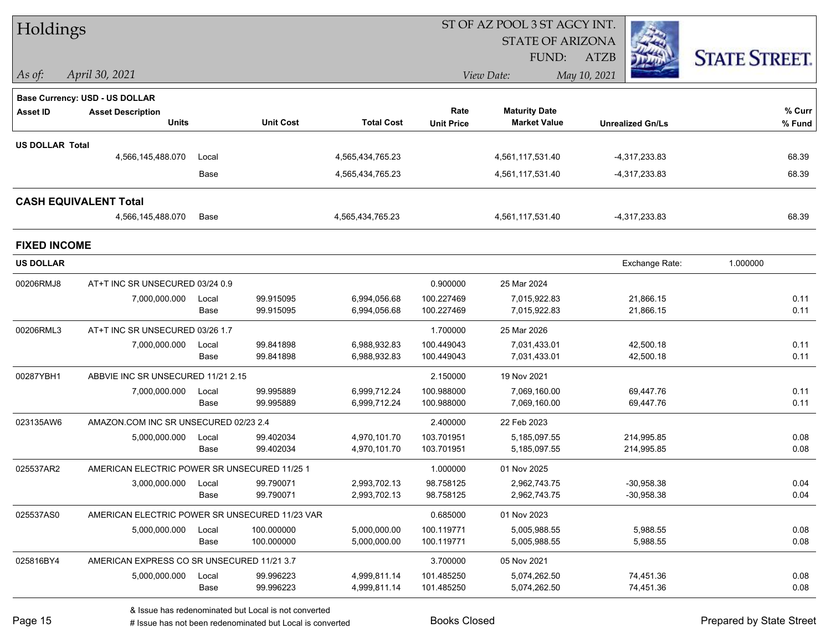| Holdings               |                                                            |       |                  |                   |                   |                         |                         |  |                      |
|------------------------|------------------------------------------------------------|-------|------------------|-------------------|-------------------|-------------------------|-------------------------|--|----------------------|
|                        |                                                            |       |                  |                   |                   | <b>STATE OF ARIZONA</b> |                         |  |                      |
|                        |                                                            |       |                  |                   |                   | FUND:                   | <b>ATZB</b>             |  | <b>STATE STREET.</b> |
| As of:                 | April 30, 2021                                             |       |                  |                   |                   | View Date:              | May 10, 2021            |  |                      |
|                        |                                                            |       |                  |                   |                   |                         |                         |  |                      |
| <b>Asset ID</b>        | Base Currency: USD - US DOLLAR<br><b>Asset Description</b> |       |                  |                   | Rate              | <b>Maturity Date</b>    |                         |  | % Curr               |
|                        | <b>Units</b>                                               |       | <b>Unit Cost</b> | <b>Total Cost</b> | <b>Unit Price</b> | <b>Market Value</b>     | <b>Unrealized Gn/Ls</b> |  | % Fund               |
| <b>US DOLLAR Total</b> |                                                            |       |                  |                   |                   |                         |                         |  |                      |
|                        | 4,566,145,488.070                                          | Local |                  | 4,565,434,765.23  |                   | 4,561,117,531.40        | -4,317,233.83           |  | 68.39                |
|                        |                                                            | Base  |                  | 4,565,434,765.23  |                   | 4,561,117,531.40        | -4,317,233.83           |  | 68.39                |
|                        | <b>CASH EQUIVALENT Total</b>                               |       |                  |                   |                   |                         |                         |  |                      |
|                        | 4,566,145,488.070                                          | Base  |                  | 4,565,434,765.23  |                   | 4,561,117,531.40        | $-4,317,233.83$         |  | 68.39                |
| <b>FIXED INCOME</b>    |                                                            |       |                  |                   |                   |                         |                         |  |                      |
| <b>US DOLLAR</b>       |                                                            |       |                  |                   |                   |                         | Exchange Rate:          |  | 1.000000             |
| 00206RMJ8              | AT+T INC SR UNSECURED 03/24 0.9                            |       |                  |                   | 0.900000          | 25 Mar 2024             |                         |  |                      |
|                        | 7,000,000.000                                              | Local | 99.915095        | 6,994,056.68      | 100.227469        | 7,015,922.83            | 21,866.15               |  | 0.11                 |
|                        |                                                            | Base  | 99.915095        | 6,994,056.68      | 100.227469        | 7,015,922.83            | 21,866.15               |  | 0.11                 |
| 00206RML3              | AT+T INC SR UNSECURED 03/26 1.7                            |       |                  |                   | 1.700000          | 25 Mar 2026             |                         |  |                      |
|                        | 7,000,000.000                                              | Local | 99.841898        | 6,988,932.83      | 100.449043        | 7,031,433.01            | 42,500.18               |  | 0.11                 |
|                        |                                                            | Base  | 99.841898        | 6,988,932.83      | 100.449043        | 7,031,433.01            | 42,500.18               |  | 0.11                 |
| 00287YBH1              | ABBVIE INC SR UNSECURED 11/21 2.15                         |       |                  |                   | 2.150000          | 19 Nov 2021             |                         |  |                      |
|                        | 7,000,000.000                                              | Local | 99.995889        | 6,999,712.24      | 100.988000        | 7,069,160.00            | 69,447.76               |  | 0.11                 |
|                        |                                                            | Base  | 99.995889        | 6,999,712.24      | 100.988000        | 7,069,160.00            | 69,447.76               |  | 0.11                 |
| 023135AW6              | AMAZON.COM INC SR UNSECURED 02/23 2.4                      |       |                  |                   | 2.400000          | 22 Feb 2023             |                         |  |                      |
|                        | 5,000,000.000                                              | Local | 99.402034        | 4,970,101.70      | 103.701951        | 5,185,097.55            | 214,995.85              |  | 0.08                 |
|                        |                                                            | Base  | 99.402034        | 4,970,101.70      | 103.701951        | 5,185,097.55            | 214,995.85              |  | 0.08                 |
| 025537AR2              | AMERICAN ELECTRIC POWER SR UNSECURED 11/25 1               |       |                  |                   | 1.000000          | 01 Nov 2025             |                         |  |                      |
|                        | 3,000,000.000 Local                                        |       | 99.790071        | 2,993,702.13      | 98.758125         | 2,962,743.75            | $-30,958.38$            |  | 0.04                 |
|                        |                                                            | Base  | 99.790071        | 2,993,702.13      | 98.758125         | 2,962,743.75            | $-30,958.38$            |  | 0.04                 |
| 025537AS0              | AMERICAN ELECTRIC POWER SR UNSECURED 11/23 VAR             |       |                  |                   | 0.685000          | 01 Nov 2023             |                         |  |                      |
|                        | 5,000,000.000                                              | Local | 100.000000       | 5,000,000.00      | 100.119771        | 5,005,988.55            | 5,988.55                |  | 0.08                 |
|                        |                                                            | Base  | 100.000000       | 5,000,000.00      | 100.119771        | 5,005,988.55            | 5,988.55                |  | 0.08                 |
| 025816BY4              | AMERICAN EXPRESS CO SR UNSECURED 11/21 3.7                 |       |                  |                   | 3.700000          | 05 Nov 2021             |                         |  |                      |
|                        | 5,000,000.000                                              | Local | 99.996223        | 4,999,811.14      | 101.485250        | 5,074,262.50            | 74,451.36               |  | 0.08                 |
|                        |                                                            | Base  | 99.996223        | 4,999,811.14      | 101.485250        | 5,074,262.50            | 74,451.36               |  | 0.08                 |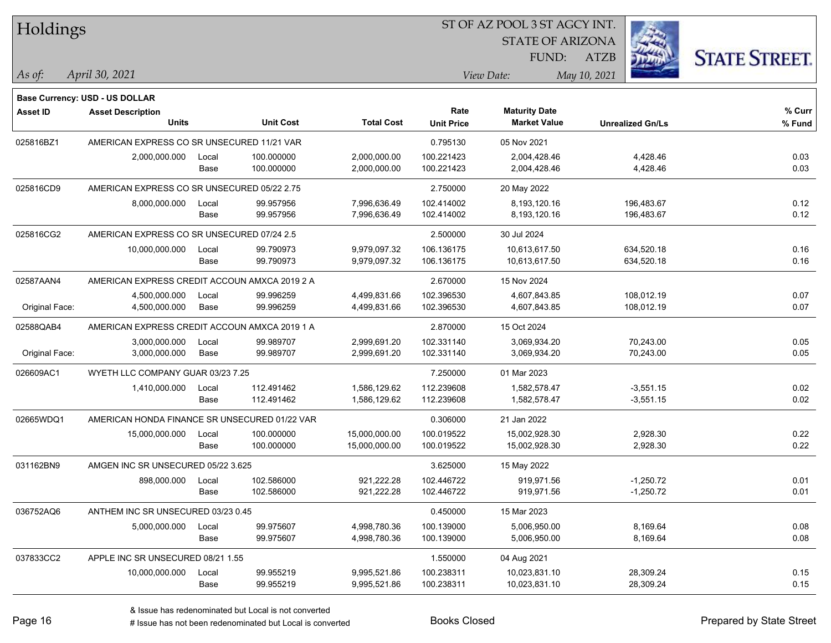| Holdings        |                                               |       |                  |                   |                   | ST OF AZ POOL 3 ST AGCY INT. |                         |                      |  |
|-----------------|-----------------------------------------------|-------|------------------|-------------------|-------------------|------------------------------|-------------------------|----------------------|--|
|                 |                                               |       |                  |                   |                   | <b>STATE OF ARIZONA</b>      |                         |                      |  |
|                 |                                               |       |                  |                   |                   | <b>FUND:</b>                 | <b>ATZB</b>             | <b>STATE STREET.</b> |  |
| As of:          | April 30, 2021                                |       |                  |                   |                   | View Date:                   | May 10, 2021            |                      |  |
|                 | <b>Base Currency: USD - US DOLLAR</b>         |       |                  |                   |                   |                              |                         |                      |  |
| <b>Asset ID</b> | <b>Asset Description</b>                      |       |                  |                   | Rate              | <b>Maturity Date</b>         |                         | % Curr               |  |
|                 | Units                                         |       | <b>Unit Cost</b> | <b>Total Cost</b> | <b>Unit Price</b> | <b>Market Value</b>          | <b>Unrealized Gn/Ls</b> | % Fund               |  |
| 025816BZ1       | AMERICAN EXPRESS CO SR UNSECURED 11/21 VAR    |       |                  |                   | 0.795130          | 05 Nov 2021                  |                         |                      |  |
|                 | 2,000,000.000                                 | Local | 100.000000       | 2,000,000.00      | 100.221423        | 2,004,428.46                 | 4,428.46                | 0.03                 |  |
|                 |                                               | Base  | 100.000000       | 2,000,000.00      | 100.221423        | 2,004,428.46                 | 4,428.46                | 0.03                 |  |
| 025816CD9       | AMERICAN EXPRESS CO SR UNSECURED 05/22 2.75   |       |                  |                   | 2.750000          | 20 May 2022                  |                         |                      |  |
|                 | 8,000,000.000                                 | Local | 99.957956        | 7,996,636.49      | 102.414002        | 8,193,120.16                 | 196,483.67              | 0.12                 |  |
|                 |                                               | Base  | 99.957956        | 7,996,636.49      | 102.414002        | 8,193,120.16                 | 196,483.67              | 0.12                 |  |
| 025816CG2       | AMERICAN EXPRESS CO SR UNSECURED 07/24 2.5    |       |                  |                   | 2.500000          | 30 Jul 2024                  |                         |                      |  |
|                 | 10,000,000.000                                | Local | 99.790973        | 9,979,097.32      | 106.136175        | 10,613,617.50                | 634,520.18              | 0.16                 |  |
|                 |                                               | Base  | 99.790973        | 9,979,097.32      | 106.136175        | 10,613,617.50                | 634,520.18              | 0.16                 |  |
| 02587AAN4       | AMERICAN EXPRESS CREDIT ACCOUN AMXCA 2019 2 A |       |                  |                   | 2.670000          | 15 Nov 2024                  |                         |                      |  |
|                 | 4,500,000.000                                 | Local | 99.996259        | 4,499,831.66      | 102.396530        | 4,607,843.85                 | 108,012.19              | 0.07                 |  |
| Original Face:  | 4,500,000.000                                 | Base  | 99.996259        | 4,499,831.66      | 102.396530        | 4,607,843.85                 | 108,012.19              | 0.07                 |  |
| 02588QAB4       | AMERICAN EXPRESS CREDIT ACCOUN AMXCA 2019 1 A |       |                  |                   | 2.870000          | 15 Oct 2024                  |                         |                      |  |
|                 | 3,000,000.000                                 | Local | 99.989707        | 2,999,691.20      | 102.331140        | 3,069,934.20                 | 70,243.00               | 0.05                 |  |
| Original Face:  | 3,000,000.000                                 | Base  | 99.989707        | 2,999,691.20      | 102.331140        | 3,069,934.20                 | 70,243.00               | 0.05                 |  |
| 026609AC1       | WYETH LLC COMPANY GUAR 03/23 7.25             |       |                  |                   | 7.250000          | 01 Mar 2023                  |                         |                      |  |
|                 | 1,410,000.000                                 | Local | 112.491462       | 1,586,129.62      | 112.239608        | 1,582,578.47                 | $-3,551.15$             | 0.02                 |  |
|                 |                                               | Base  | 112.491462       | 1,586,129.62      | 112.239608        | 1,582,578.47                 | $-3,551.15$             | 0.02                 |  |
| 02665WDQ1       | AMERICAN HONDA FINANCE SR UNSECURED 01/22 VAR |       |                  |                   | 0.306000          | 21 Jan 2022                  |                         |                      |  |
|                 | 15,000,000.000                                | Local | 100.000000       | 15,000,000.00     | 100.019522        | 15,002,928.30                | 2,928.30                | 0.22                 |  |
|                 |                                               | Base  | 100.000000       | 15,000,000.00     | 100.019522        | 15,002,928.30                | 2,928.30                | 0.22                 |  |
| 031162BN9       | AMGEN INC SR UNSECURED 05/22 3.625            |       |                  |                   | 3.625000          | 15 May 2022                  |                         |                      |  |
|                 | 898,000.000                                   | Local | 102.586000       | 921,222.28        | 102.446722        | 919,971.56                   | $-1,250.72$             | 0.01                 |  |
|                 |                                               | Base  | 102.586000       | 921,222.28        | 102.446722        | 919,971.56                   | $-1,250.72$             | 0.01                 |  |
| 036752AQ6       | ANTHEM INC SR UNSECURED 03/23 0.45            |       |                  |                   | 0.450000          | 15 Mar 2023                  |                         |                      |  |
|                 | 5,000,000.000                                 | Local | 99.975607        | 4,998,780.36      | 100.139000        | 5,006,950.00                 | 8,169.64                | 0.08                 |  |
|                 |                                               | Base  | 99.975607        | 4,998,780.36      | 100.139000        | 5,006,950.00                 | 8,169.64                | 0.08                 |  |
| 037833CC2       | APPLE INC SR UNSECURED 08/21 1.55             |       |                  |                   | 1.550000          | 04 Aug 2021                  |                         |                      |  |
|                 | 10,000,000.000                                | Local | 99.955219        | 9,995,521.86      | 100.238311        | 10,023,831.10                | 28,309.24               | 0.15                 |  |
|                 |                                               | Base  | 99.955219        | 9,995,521.86      | 100.238311        | 10,023,831.10                | 28,309.24               | 0.15                 |  |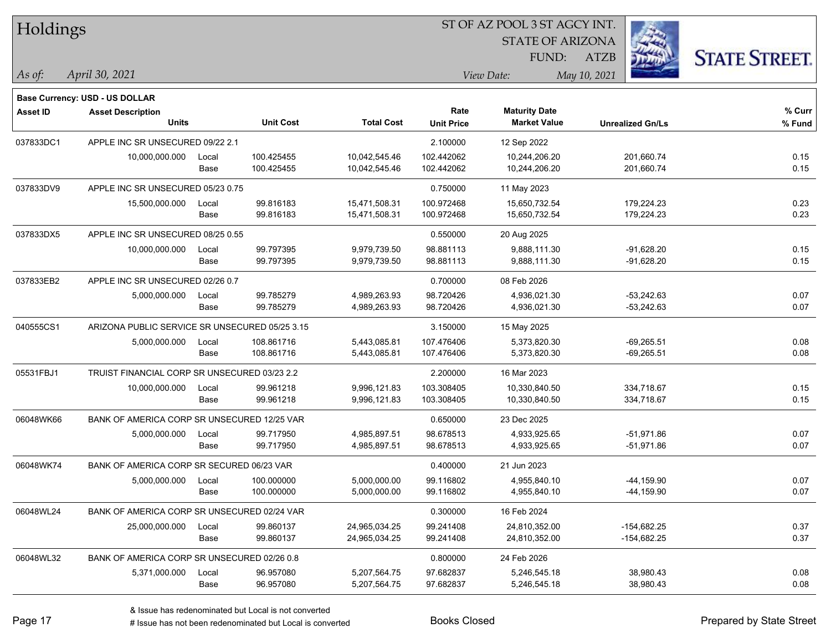| Holdings        |                                                |       |                  |                   |                   | ST OF AZ POOL 3 ST AGCY INT. |                         |                      |
|-----------------|------------------------------------------------|-------|------------------|-------------------|-------------------|------------------------------|-------------------------|----------------------|
|                 |                                                |       |                  |                   |                   | <b>STATE OF ARIZONA</b>      |                         |                      |
|                 |                                                |       |                  |                   |                   | FUND:                        | <b>ATZB</b>             | <b>STATE STREET.</b> |
| $\vert$ As of:  | April 30, 2021                                 |       |                  |                   |                   | View Date:                   | May 10, 2021            |                      |
|                 | Base Currency: USD - US DOLLAR                 |       |                  |                   |                   |                              |                         |                      |
| <b>Asset ID</b> | <b>Asset Description</b>                       |       |                  |                   | Rate              | <b>Maturity Date</b>         |                         | % Curr               |
|                 | Units                                          |       | <b>Unit Cost</b> | <b>Total Cost</b> | <b>Unit Price</b> | <b>Market Value</b>          | <b>Unrealized Gn/Ls</b> | % Fund               |
| 037833DC1       | APPLE INC SR UNSECURED 09/22 2.1               |       |                  |                   | 2.100000          | 12 Sep 2022                  |                         |                      |
|                 | 10,000,000.000                                 | Local | 100.425455       | 10,042,545.46     | 102.442062        | 10,244,206.20                | 201,660.74              | 0.15                 |
|                 |                                                | Base  | 100.425455       | 10,042,545.46     | 102.442062        | 10,244,206.20                | 201,660.74              | 0.15                 |
| 037833DV9       | APPLE INC SR UNSECURED 05/23 0.75              |       |                  |                   | 0.750000          | 11 May 2023                  |                         |                      |
|                 | 15,500,000.000                                 | Local | 99.816183        | 15,471,508.31     | 100.972468        | 15,650,732.54                | 179,224.23              | 0.23                 |
|                 |                                                | Base  | 99.816183        | 15,471,508.31     | 100.972468        | 15,650,732.54                | 179,224.23              | 0.23                 |
| 037833DX5       | APPLE INC SR UNSECURED 08/25 0.55              |       |                  |                   | 0.550000          | 20 Aug 2025                  |                         |                      |
|                 | 10,000,000.000                                 | Local | 99.797395        | 9,979,739.50      | 98.881113         | 9,888,111.30                 | $-91,628.20$            | 0.15                 |
|                 |                                                | Base  | 99.797395        | 9,979,739.50      | 98.881113         | 9,888,111.30                 | $-91,628.20$            | 0.15                 |
| 037833EB2       | APPLE INC SR UNSECURED 02/26 0.7               |       |                  |                   | 0.700000          | 08 Feb 2026                  |                         |                      |
|                 | 5,000,000.000                                  | Local | 99.785279        | 4,989,263.93      | 98.720426         | 4,936,021.30                 | $-53,242.63$            | 0.07                 |
|                 |                                                | Base  | 99.785279        | 4,989,263.93      | 98.720426         | 4,936,021.30                 | $-53,242.63$            | 0.07                 |
| 040555CS1       | ARIZONA PUBLIC SERVICE SR UNSECURED 05/25 3.15 |       |                  |                   | 3.150000          | 15 May 2025                  |                         |                      |
|                 | 5,000,000.000                                  | Local | 108.861716       | 5,443,085.81      | 107.476406        | 5,373,820.30                 | $-69,265.51$            | 0.08                 |
|                 |                                                | Base  | 108.861716       | 5,443,085.81      | 107.476406        | 5,373,820.30                 | $-69,265.51$            | 0.08                 |
| 05531FBJ1       | TRUIST FINANCIAL CORP SR UNSECURED 03/23 2.2   |       |                  |                   | 2.200000          | 16 Mar 2023                  |                         |                      |
|                 | 10,000,000.000                                 | Local | 99.961218        | 9,996,121.83      | 103.308405        | 10,330,840.50                | 334,718.67              | 0.15                 |
|                 |                                                | Base  | 99.961218        | 9,996,121.83      | 103.308405        | 10,330,840.50                | 334,718.67              | 0.15                 |
| 06048WK66       | BANK OF AMERICA CORP SR UNSECURED 12/25 VAR    |       |                  |                   | 0.650000          | 23 Dec 2025                  |                         |                      |
|                 | 5,000,000.000                                  | Local | 99.717950        | 4,985,897.51      | 98.678513         | 4,933,925.65                 | $-51,971.86$            | 0.07                 |
|                 |                                                | Base  | 99.717950        | 4,985,897.51      | 98.678513         | 4,933,925.65                 | $-51,971.86$            | 0.07                 |
| 06048WK74       | BANK OF AMERICA CORP SR SECURED 06/23 VAR      |       |                  |                   | 0.400000          | 21 Jun 2023                  |                         |                      |
|                 | 5,000,000.000                                  | Local | 100.000000       | 5,000,000.00      | 99.116802         | 4,955,840.10                 | $-44, 159.90$           | 0.07                 |
|                 |                                                | Base  | 100.000000       | 5,000,000.00      | 99.116802         | 4,955,840.10                 | $-44,159.90$            | 0.07                 |
| 06048WL24       | BANK OF AMERICA CORP SR UNSECURED 02/24 VAR    |       |                  |                   | 0.300000          | 16 Feb 2024                  |                         |                      |
|                 | 25,000,000.000                                 | Local | 99.860137        | 24,965,034.25     | 99.241408         | 24,810,352.00                | $-154,682.25$           | 0.37                 |
|                 |                                                | Base  | 99.860137        | 24,965,034.25     | 99.241408         | 24,810,352.00                | $-154,682.25$           | 0.37                 |
| 06048WL32       | BANK OF AMERICA CORP SR UNSECURED 02/26 0.8    |       |                  |                   | 0.800000          | 24 Feb 2026                  |                         |                      |
|                 | 5,371,000.000                                  | Local | 96.957080        | 5,207,564.75      | 97.682837         | 5,246,545.18                 | 38,980.43               | 0.08                 |
|                 |                                                | Base  | 96.957080        | 5,207,564.75      | 97.682837         | 5,246,545.18                 | 38,980.43               | 0.08                 |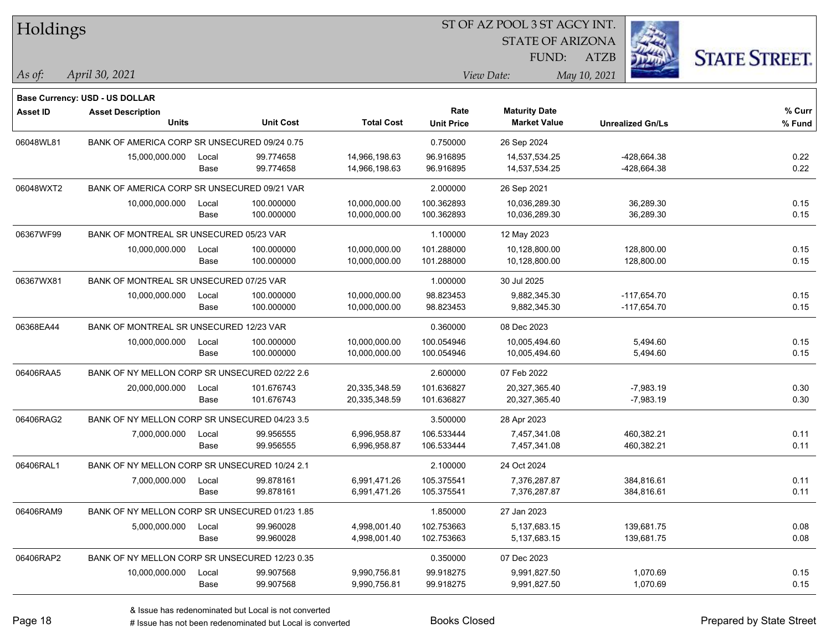| Holdings        |                                                |       |                  |                   |                   | ST OF AZ POOL 3 ST AGCY INT. |                         |                      |
|-----------------|------------------------------------------------|-------|------------------|-------------------|-------------------|------------------------------|-------------------------|----------------------|
|                 |                                                |       |                  |                   |                   | <b>STATE OF ARIZONA</b>      |                         |                      |
|                 |                                                |       |                  |                   |                   | FUND:                        | <b>ATZB</b>             | <b>STATE STREET.</b> |
| As of:          | April 30, 2021                                 |       |                  |                   |                   | View Date:                   | May 10, 2021            |                      |
|                 | <b>Base Currency: USD - US DOLLAR</b>          |       |                  |                   |                   |                              |                         |                      |
| <b>Asset ID</b> | <b>Asset Description</b>                       |       |                  |                   | Rate              | <b>Maturity Date</b>         |                         | % Curr               |
|                 | <b>Units</b>                                   |       | <b>Unit Cost</b> | <b>Total Cost</b> | <b>Unit Price</b> | <b>Market Value</b>          | <b>Unrealized Gn/Ls</b> | % Fund               |
| 06048WL81       | BANK OF AMERICA CORP SR UNSECURED 09/24 0.75   |       |                  |                   | 0.750000          | 26 Sep 2024                  |                         |                      |
|                 | 15,000,000.000                                 | Local | 99.774658        | 14,966,198.63     | 96.916895         | 14,537,534.25                | -428,664.38             | 0.22                 |
|                 |                                                | Base  | 99.774658        | 14,966,198.63     | 96.916895         | 14,537,534.25                | -428,664.38             | 0.22                 |
| 06048WXT2       | BANK OF AMERICA CORP SR UNSECURED 09/21 VAR    |       |                  |                   | 2.000000          | 26 Sep 2021                  |                         |                      |
|                 | 10,000,000.000                                 | Local | 100.000000       | 10,000,000.00     | 100.362893        | 10,036,289.30                | 36,289.30               | 0.15                 |
|                 |                                                | Base  | 100.000000       | 10,000,000.00     | 100.362893        | 10,036,289.30                | 36,289.30               | 0.15                 |
| 06367WF99       | BANK OF MONTREAL SR UNSECURED 05/23 VAR        |       |                  |                   | 1.100000          | 12 May 2023                  |                         |                      |
|                 | 10,000,000.000                                 | Local | 100.000000       | 10,000,000.00     | 101.288000        | 10,128,800.00                | 128,800.00              | 0.15                 |
|                 |                                                | Base  | 100.000000       | 10,000,000.00     | 101.288000        | 10,128,800.00                | 128,800.00              | 0.15                 |
| 06367WX81       | BANK OF MONTREAL SR UNSECURED 07/25 VAR        |       |                  |                   | 1.000000          | 30 Jul 2025                  |                         |                      |
|                 | 10,000,000.000                                 | Local | 100.000000       | 10,000,000.00     | 98.823453         | 9,882,345.30                 | $-117,654.70$           | 0.15                 |
|                 |                                                | Base  | 100.000000       | 10,000,000.00     | 98.823453         | 9,882,345.30                 | $-117,654.70$           | 0.15                 |
| 06368EA44       | BANK OF MONTREAL SR UNSECURED 12/23 VAR        |       |                  |                   | 0.360000          | 08 Dec 2023                  |                         |                      |
|                 | 10,000,000.000                                 | Local | 100.000000       | 10,000,000.00     | 100.054946        | 10,005,494.60                | 5,494.60                | 0.15                 |
|                 |                                                | Base  | 100.000000       | 10,000,000.00     | 100.054946        | 10,005,494.60                | 5,494.60                | 0.15                 |
| 06406RAA5       | BANK OF NY MELLON CORP SR UNSECURED 02/22 2.6  |       |                  |                   | 2.600000          | 07 Feb 2022                  |                         |                      |
|                 | 20,000,000.000                                 | Local | 101.676743       | 20,335,348.59     | 101.636827        | 20,327,365.40                | $-7,983.19$             | 0.30                 |
|                 |                                                | Base  | 101.676743       | 20,335,348.59     | 101.636827        | 20,327,365.40                | $-7,983.19$             | 0.30                 |
| 06406RAG2       | BANK OF NY MELLON CORP SR UNSECURED 04/23 3.5  |       |                  |                   | 3.500000          | 28 Apr 2023                  |                         |                      |
|                 | 7,000,000.000                                  | Local | 99.956555        | 6,996,958.87      | 106.533444        | 7,457,341.08                 | 460,382.21              | 0.11                 |
|                 |                                                | Base  | 99.956555        | 6,996,958.87      | 106.533444        | 7,457,341.08                 | 460,382.21              | 0.11                 |
| 06406RAL1       | BANK OF NY MELLON CORP SR UNSECURED 10/24 2.1  |       |                  |                   | 2.100000          | 24 Oct 2024                  |                         |                      |
|                 | 7,000,000.000                                  | Local | 99.878161        | 6,991,471.26      | 105.375541        | 7,376,287.87                 | 384,816.61              | 0.11                 |
|                 |                                                | Base  | 99.878161        | 6,991,471.26      | 105.375541        | 7,376,287.87                 | 384,816.61              | 0.11                 |
| 06406RAM9       | BANK OF NY MELLON CORP SR UNSECURED 01/23 1.85 |       |                  |                   | 1.850000          | 27 Jan 2023                  |                         |                      |
|                 | 5,000,000.000                                  | Local | 99.960028        | 4,998,001.40      | 102.753663        | 5,137,683.15                 | 139,681.75              | 0.08                 |
|                 |                                                | Base  | 99.960028        | 4,998,001.40      | 102.753663        | 5,137,683.15                 | 139,681.75              | 0.08                 |
| 06406RAP2       | BANK OF NY MELLON CORP SR UNSECURED 12/23 0.35 |       |                  |                   | 0.350000          | 07 Dec 2023                  |                         |                      |
|                 | 10,000,000.000                                 | Local | 99.907568        | 9,990,756.81      | 99.918275         | 9,991,827.50                 | 1,070.69                | 0.15                 |
|                 |                                                | Base  | 99.907568        | 9,990,756.81      | 99.918275         | 9,991,827.50                 | 1,070.69                | 0.15                 |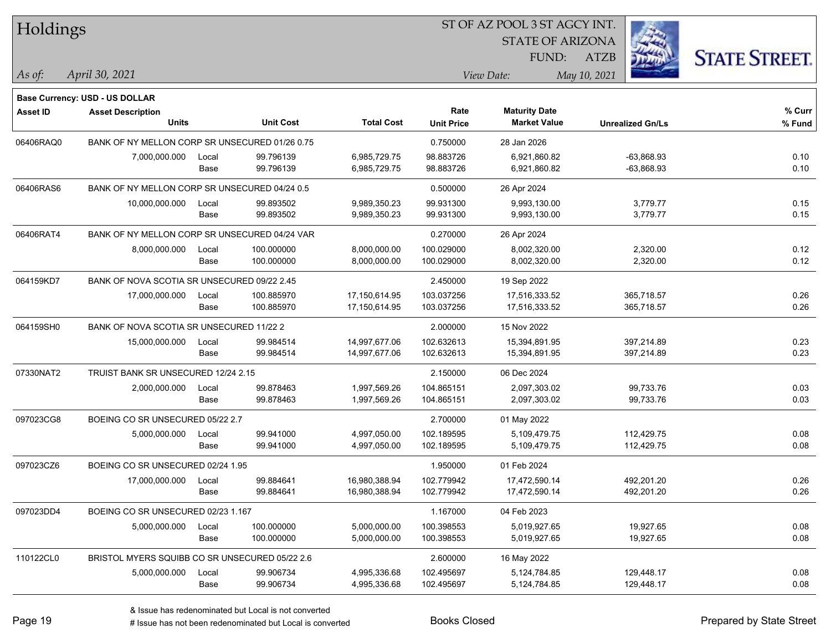| Holdings        |                                                |       |                  |                   | 51 OF AZ POOL 351 AGCY INT. |                         |                         |                      |  |  |
|-----------------|------------------------------------------------|-------|------------------|-------------------|-----------------------------|-------------------------|-------------------------|----------------------|--|--|
|                 |                                                |       |                  |                   |                             | <b>STATE OF ARIZONA</b> | Ż.                      |                      |  |  |
|                 |                                                |       |                  |                   |                             | FUND:                   | ATZB                    | <b>STATE STREET.</b> |  |  |
| As of:          | April 30, 2021                                 |       |                  |                   |                             | View Date:              | May 10, 2021            |                      |  |  |
|                 |                                                |       |                  |                   |                             |                         |                         |                      |  |  |
|                 | Base Currency: USD - US DOLLAR                 |       |                  |                   |                             |                         |                         |                      |  |  |
| <b>Asset ID</b> | <b>Asset Description</b>                       |       |                  |                   | Rate                        | <b>Maturity Date</b>    |                         | % Curr               |  |  |
|                 | <b>Units</b>                                   |       | <b>Unit Cost</b> | <b>Total Cost</b> | <b>Unit Price</b>           | <b>Market Value</b>     | <b>Unrealized Gn/Ls</b> | % Fund               |  |  |
| 06406RAQ0       | BANK OF NY MELLON CORP SR UNSECURED 01/26 0.75 |       |                  |                   | 0.750000                    | 28 Jan 2026             |                         |                      |  |  |
|                 | 7,000,000.000                                  | Local | 99.796139        | 6,985,729.75      | 98.883726                   | 6,921,860.82            | $-63,868.93$            | 0.10                 |  |  |
|                 |                                                | Base  | 99.796139        | 6,985,729.75      | 98.883726                   | 6,921,860.82            | $-63,868.93$            | 0.10                 |  |  |
| 06406RAS6       | BANK OF NY MELLON CORP SR UNSECURED 04/24 0.5  |       |                  |                   | 0.500000                    | 26 Apr 2024             |                         |                      |  |  |
|                 | 10,000,000.000                                 | Local | 99.893502        | 9,989,350.23      | 99.931300                   | 9,993,130.00            | 3,779.77                | 0.15                 |  |  |
|                 |                                                | Base  | 99.893502        | 9,989,350.23      | 99.931300                   | 9,993,130.00            | 3,779.77                | 0.15                 |  |  |
| 06406RAT4       | BANK OF NY MELLON CORP SR UNSECURED 04/24 VAR  |       |                  |                   | 0.270000                    | 26 Apr 2024             |                         |                      |  |  |
|                 | 8,000,000.000                                  | Local | 100.000000       | 8,000,000.00      | 100.029000                  | 8,002,320.00            | 2,320.00                | 0.12                 |  |  |
|                 |                                                | Base  | 100.000000       | 8,000,000.00      | 100.029000                  | 8,002,320.00            | 2,320.00                | 0.12                 |  |  |
| 064159KD7       | BANK OF NOVA SCOTIA SR UNSECURED 09/22 2.45    |       |                  |                   | 2.450000                    | 19 Sep 2022             |                         |                      |  |  |
|                 | 17,000,000.000                                 | Local | 100.885970       | 17,150,614.95     | 103.037256                  | 17,516,333.52           | 365,718.57              | 0.26                 |  |  |
|                 |                                                | Base  | 100.885970       | 17,150,614.95     | 103.037256                  | 17,516,333.52           | 365,718.57              | 0.26                 |  |  |
| 064159SH0       | BANK OF NOVA SCOTIA SR UNSECURED 11/22 2       |       |                  |                   | 2.000000                    | 15 Nov 2022             |                         |                      |  |  |
|                 | 15,000,000.000                                 | Local | 99.984514        | 14,997,677.06     | 102.632613                  | 15,394,891.95           | 397,214.89              | 0.23                 |  |  |
|                 |                                                | Base  | 99.984514        | 14,997,677.06     | 102.632613                  | 15,394,891.95           | 397,214.89              | 0.23                 |  |  |
| 07330NAT2       | TRUIST BANK SR UNSECURED 12/24 2.15            |       |                  |                   | 2.150000                    | 06 Dec 2024             |                         |                      |  |  |
|                 | 2,000,000.000                                  | Local | 99.878463        | 1,997,569.26      | 104.865151                  | 2,097,303.02            | 99,733.76               | 0.03                 |  |  |
|                 |                                                | Base  | 99.878463        | 1,997,569.26      | 104.865151                  | 2,097,303.02            | 99,733.76               | 0.03                 |  |  |
| 097023CG8       | BOEING CO SR UNSECURED 05/22 2.7               |       |                  |                   | 2.700000                    | 01 May 2022             |                         |                      |  |  |
|                 | 5,000,000.000                                  | Local | 99.941000        | 4,997,050.00      | 102.189595                  | 5,109,479.75            | 112,429.75              | 0.08                 |  |  |
|                 |                                                | Base  | 99.941000        | 4,997,050.00      | 102.189595                  | 5,109,479.75            | 112,429.75              | 0.08                 |  |  |
| 097023CZ6       | BOEING CO SR UNSECURED 02/24 1.95              |       |                  |                   | 1.950000                    | 01 Feb 2024             |                         |                      |  |  |
|                 | 17,000,000.000                                 | Local | 99.884641        | 16,980,388.94     | 102.779942                  | 17,472,590.14           | 492,201.20              | 0.26                 |  |  |
|                 |                                                | Base  | 99.884641        | 16,980,388.94     | 102.779942                  | 17,472,590.14           | 492,201.20              | 0.26                 |  |  |
| 097023DD4       | BOEING CO SR UNSECURED 02/23 1.167             |       |                  |                   | 1.167000                    | 04 Feb 2023             |                         |                      |  |  |
|                 | 5,000,000.000                                  | Local | 100.000000       | 5,000,000.00      | 100.398553                  | 5,019,927.65            | 19,927.65               | 0.08                 |  |  |
|                 |                                                | Base  | 100.000000       | 5,000,000.00      | 100.398553                  | 5,019,927.65            | 19,927.65               | 0.08                 |  |  |
| 110122CL0       | BRISTOL MYERS SQUIBB CO SR UNSECURED 05/22 2.6 |       |                  |                   | 2.600000                    | 16 May 2022             |                         |                      |  |  |
|                 | 5,000,000.000                                  | Local | 99.906734        | 4,995,336.68      | 102.495697                  | 5,124,784.85            | 129,448.17              | 0.08                 |  |  |
|                 |                                                | Base  | 99.906734        | 4,995,336.68      | 102.495697                  | 5,124,784.85            | 129,448.17              | 0.08                 |  |  |
|                 |                                                |       |                  |                   |                             |                         |                         |                      |  |  |

ST OF A Z POOL 2 ST ACCV INT

# Issue has not been redenominated but Local is converted Books Closed Prepared by State Street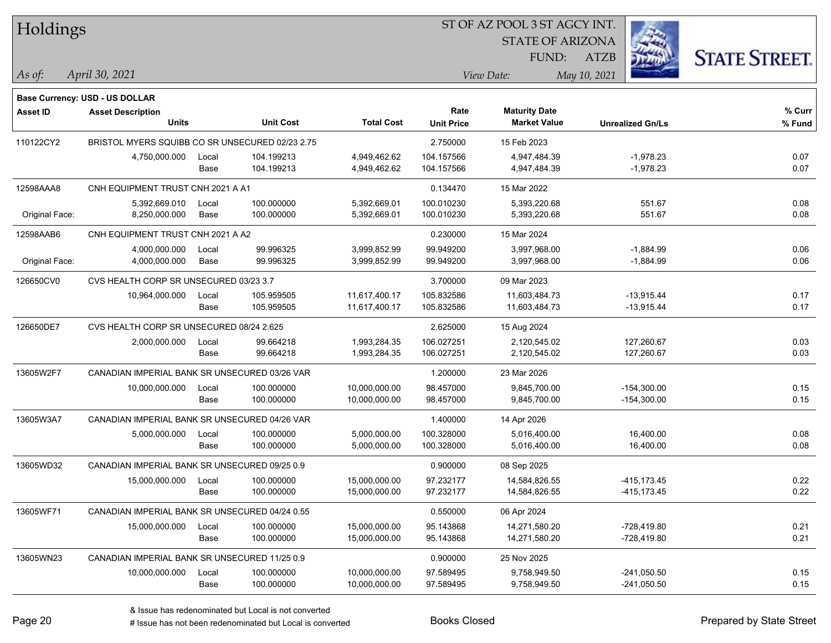| Holdings |
|----------|
|          |

STATE OF ARIZONA FUND:

ATZB



| As ot: | 202 <sub>1</sub><br>30<br>1nr <sub>1</sub><br>---- | <i>Jate:</i><br> | V(a) |
|--------|----------------------------------------------------|------------------|------|
|        |                                                    |                  |      |
|        |                                                    |                  |      |

|                 | Base Currency: USD - US DOLLAR                  |               |                          |                                |                           |                                             |                                |                  |
|-----------------|-------------------------------------------------|---------------|--------------------------|--------------------------------|---------------------------|---------------------------------------------|--------------------------------|------------------|
| <b>Asset ID</b> | <b>Asset Description</b><br><b>Units</b>        |               | <b>Unit Cost</b>         | <b>Total Cost</b>              | Rate<br><b>Unit Price</b> | <b>Maturity Date</b><br><b>Market Value</b> | <b>Unrealized Gn/Ls</b>        | % Curr<br>% Fund |
| 110122CY2       | BRISTOL MYERS SQUIBB CO SR UNSECURED 02/23 2.75 |               |                          |                                | 2.750000                  | 15 Feb 2023                                 |                                |                  |
|                 | 4,750,000.000                                   | Local<br>Base | 104.199213<br>104.199213 | 4,949,462.62<br>4,949,462.62   | 104.157566<br>104.157566  | 4,947,484.39<br>4,947,484.39                | $-1,978.23$<br>$-1,978.23$     | 0.07<br>0.07     |
| 12598AAA8       | CNH EQUIPMENT TRUST CNH 2021 A A1               |               |                          |                                | 0.134470                  | 15 Mar 2022                                 |                                |                  |
| Original Face:  | 5,392,669.010<br>8,250,000.000                  | Local<br>Base | 100.000000<br>100.000000 | 5,392,669.01<br>5,392,669.01   | 100.010230<br>100.010230  | 5,393,220.68<br>5,393,220.68                | 551.67<br>551.67               | 0.08<br>0.08     |
| 12598AAB6       | CNH EQUIPMENT TRUST CNH 2021 A A2               |               |                          |                                | 0.230000                  | 15 Mar 2024                                 |                                |                  |
| Original Face:  | 4,000,000.000<br>4,000,000.000                  | Local<br>Base | 99.996325<br>99.996325   | 3,999,852.99<br>3,999,852.99   | 99.949200<br>99.949200    | 3,997,968.00<br>3,997,968.00                | $-1,884.99$<br>$-1,884.99$     | 0.06<br>0.06     |
| 126650CV0       | CVS HEALTH CORP SR UNSECURED 03/23 3.7          |               |                          |                                | 3.700000                  | 09 Mar 2023                                 |                                |                  |
|                 | 10,964,000.000                                  | Local<br>Base | 105.959505<br>105.959505 | 11,617,400.17<br>11,617,400.17 | 105.832586<br>105.832586  | 11,603,484.73<br>11,603,484.73              | $-13,915.44$<br>$-13,915.44$   | 0.17<br>0.17     |
| 126650DE7       | CVS HEALTH CORP SR UNSECURED 08/24 2.625        |               |                          |                                | 2.625000                  | 15 Aug 2024                                 |                                |                  |
|                 | 2,000,000.000                                   | Local<br>Base | 99.664218<br>99.664218   | 1,993,284.35<br>1,993,284.35   | 106.027251<br>106.027251  | 2,120,545.02<br>2,120,545.02                | 127,260.67<br>127,260.67       | 0.03<br>0.03     |
| 13605W2F7       | CANADIAN IMPERIAL BANK SR UNSECURED 03/26 VAR   |               |                          |                                | 1.200000                  | 23 Mar 2026                                 |                                |                  |
|                 | 10,000,000.000                                  | Local<br>Base | 100.000000<br>100.000000 | 10,000,000.00<br>10,000,000.00 | 98.457000<br>98.457000    | 9,845,700.00<br>9,845,700.00                | $-154,300.00$<br>$-154,300.00$ | 0.15<br>0.15     |
| 13605W3A7       | CANADIAN IMPERIAL BANK SR UNSECURED 04/26 VAR   |               |                          |                                | 1.400000                  | 14 Apr 2026                                 |                                |                  |
|                 | 5,000,000.000                                   | Local<br>Base | 100.000000<br>100.000000 | 5,000,000.00<br>5,000,000.00   | 100.328000<br>100.328000  | 5,016,400.00<br>5,016,400.00                | 16,400.00<br>16,400.00         | 0.08<br>0.08     |
| 13605WD32       | CANADIAN IMPERIAL BANK SR UNSECURED 09/25 0.9   |               |                          |                                | 0.900000                  | 08 Sep 2025                                 |                                |                  |
|                 | 15,000,000.000                                  | Local<br>Base | 100.000000<br>100.000000 | 15,000,000.00<br>15,000,000.00 | 97.232177<br>97.232177    | 14,584,826.55<br>14,584,826.55              | -415,173.45<br>$-415, 173.45$  | 0.22<br>0.22     |
| 13605WF71       | CANADIAN IMPERIAL BANK SR UNSECURED 04/24 0.55  |               |                          |                                | 0.550000                  | 06 Apr 2024                                 |                                |                  |
|                 | 15,000,000.000                                  | Local<br>Base | 100.000000<br>100.000000 | 15,000,000.00<br>15,000,000.00 | 95.143868<br>95.143868    | 14,271,580.20<br>14,271,580.20              | $-728,419.80$<br>$-728,419.80$ | 0.21<br>0.21     |
| 13605WN23       | CANADIAN IMPERIAL BANK SR UNSECURED 11/25 0.9   |               |                          |                                | 0.900000                  | 25 Nov 2025                                 |                                |                  |
|                 | 10,000,000.000                                  | Local<br>Base | 100.000000<br>100.000000 | 10,000,000.00<br>10,000,000.00 | 97.589495<br>97.589495    | 9,758,949.50<br>9,758,949.50                | $-241,050.50$<br>$-241,050.50$ | 0.15<br>0.15     |

# Issue has not been redenominated but Local is converted Books Closed Prepared by State Street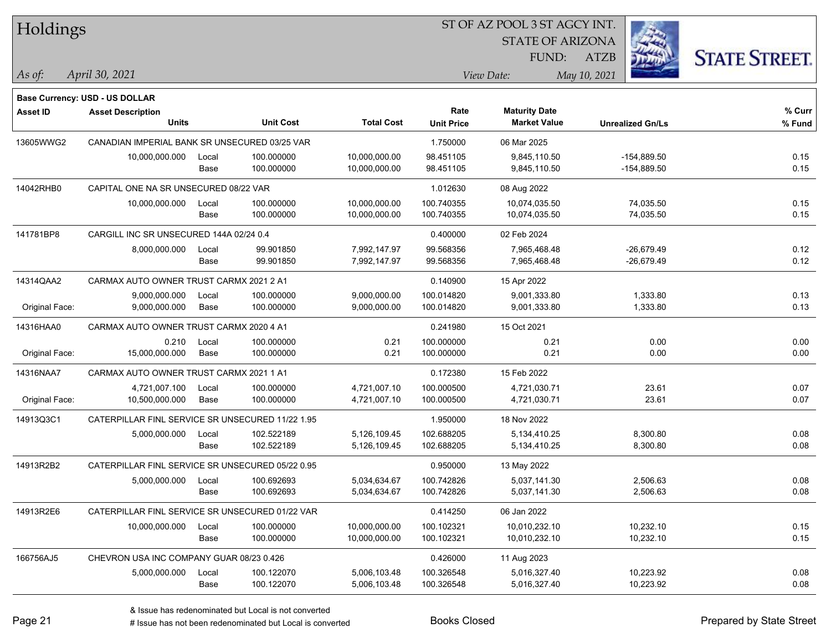| Holdings        |                                                  |       |                  |                   |                   | ST OF AZ POOL 3 ST AGCY INT. |                         |                      |
|-----------------|--------------------------------------------------|-------|------------------|-------------------|-------------------|------------------------------|-------------------------|----------------------|
|                 |                                                  |       |                  |                   |                   | <b>STATE OF ARIZONA</b>      |                         |                      |
|                 |                                                  |       |                  |                   |                   | FUND:                        | <b>ATZB</b>             | <b>STATE STREET.</b> |
| As of:          | April 30, 2021                                   |       |                  |                   |                   | View Date:                   | May 10, 2021            |                      |
|                 | Base Currency: USD - US DOLLAR                   |       |                  |                   |                   |                              |                         |                      |
| <b>Asset ID</b> | <b>Asset Description</b>                         |       |                  |                   | Rate              | <b>Maturity Date</b>         |                         | % Curr               |
|                 | <b>Units</b>                                     |       | <b>Unit Cost</b> | <b>Total Cost</b> | <b>Unit Price</b> | <b>Market Value</b>          | <b>Unrealized Gn/Ls</b> | % Fund               |
| 13605WWG2       | CANADIAN IMPERIAL BANK SR UNSECURED 03/25 VAR    |       |                  |                   | 1.750000          | 06 Mar 2025                  |                         |                      |
|                 | 10,000,000.000                                   | Local | 100.000000       | 10,000,000.00     | 98.451105         | 9,845,110.50                 | $-154,889.50$           | 0.15                 |
|                 |                                                  | Base  | 100.000000       | 10,000,000.00     | 98.451105         | 9,845,110.50                 | $-154,889.50$           | 0.15                 |
| 14042RHB0       | CAPITAL ONE NA SR UNSECURED 08/22 VAR            |       |                  |                   | 1.012630          | 08 Aug 2022                  |                         |                      |
|                 | 10,000,000.000                                   | Local | 100.000000       | 10,000,000.00     | 100.740355        | 10,074,035.50                | 74,035.50               | 0.15                 |
|                 |                                                  | Base  | 100.000000       | 10,000,000.00     | 100.740355        | 10,074,035.50                | 74,035.50               | 0.15                 |
| 141781BP8       | CARGILL INC SR UNSECURED 144A 02/24 0.4          |       |                  |                   | 0.400000          | 02 Feb 2024                  |                         |                      |
|                 | 8,000,000.000                                    | Local | 99.901850        | 7,992,147.97      | 99.568356         | 7,965,468.48                 | $-26,679.49$            | 0.12                 |
|                 |                                                  | Base  | 99.901850        | 7,992,147.97      | 99.568356         | 7,965,468.48                 | $-26,679.49$            | 0.12                 |
| 14314QAA2       | CARMAX AUTO OWNER TRUST CARMX 2021 2 A1          |       |                  |                   | 0.140900          | 15 Apr 2022                  |                         |                      |
|                 | 9,000,000.000                                    | Local | 100.000000       | 9,000,000.00      | 100.014820        | 9,001,333.80                 | 1,333.80                | 0.13                 |
| Original Face:  | 9,000,000.000                                    | Base  | 100.000000       | 9,000,000.00      | 100.014820        | 9,001,333.80                 | 1,333.80                | 0.13                 |
| 14316HAA0       | CARMAX AUTO OWNER TRUST CARMX 2020 4 A1          |       |                  |                   | 0.241980          | 15 Oct 2021                  |                         |                      |
|                 | 0.210                                            | Local | 100.000000       | 0.21              | 100.000000        | 0.21                         | 0.00                    | 0.00                 |
| Original Face:  | 15,000,000.000                                   | Base  | 100.000000       | 0.21              | 100.000000        | 0.21                         | 0.00                    | 0.00                 |
| 14316NAA7       | CARMAX AUTO OWNER TRUST CARMX 2021 1 A1          |       |                  |                   | 0.172380          | 15 Feb 2022                  |                         |                      |
|                 | 4,721,007.100                                    | Local | 100.000000       | 4,721,007.10      | 100.000500        | 4,721,030.71                 | 23.61                   | 0.07                 |
| Original Face:  | 10,500,000.000                                   | Base  | 100.000000       | 4,721,007.10      | 100.000500        | 4,721,030.71                 | 23.61                   | 0.07                 |
| 14913Q3C1       | CATERPILLAR FINL SERVICE SR UNSECURED 11/22 1.95 |       |                  |                   | 1.950000          | 18 Nov 2022                  |                         |                      |
|                 | 5,000,000.000                                    | Local | 102.522189       | 5,126,109.45      | 102.688205        | 5,134,410.25                 | 8,300.80                | 0.08                 |
|                 |                                                  | Base  | 102.522189       | 5,126,109.45      | 102.688205        | 5,134,410.25                 | 8,300.80                | 0.08                 |
| 14913R2B2       | CATERPILLAR FINL SERVICE SR UNSECURED 05/22 0.95 |       |                  |                   | 0.950000          | 13 May 2022                  |                         |                      |
|                 | 5,000,000.000                                    | Local | 100.692693       | 5,034,634.67      | 100.742826        | 5,037,141.30                 | 2,506.63                | 0.08                 |
|                 |                                                  | Base  | 100.692693       | 5,034,634.67      | 100.742826        | 5,037,141.30                 | 2,506.63                | 0.08                 |
| 14913R2E6       | CATERPILLAR FINL SERVICE SR UNSECURED 01/22 VAR  |       |                  |                   | 0.414250          | 06 Jan 2022                  |                         |                      |
|                 | 10,000,000.000                                   | Local | 100.000000       | 10,000,000.00     | 100.102321        | 10,010,232.10                | 10,232.10               | 0.15                 |
|                 |                                                  | Base  | 100.000000       | 10,000,000.00     | 100.102321        | 10,010,232.10                | 10,232.10               | 0.15                 |
| 166756AJ5       | CHEVRON USA INC COMPANY GUAR 08/23 0.426         |       |                  |                   | 0.426000          | 11 Aug 2023                  |                         |                      |
|                 | 5,000,000.000                                    | Local | 100.122070       | 5,006,103.48      | 100.326548        | 5,016,327.40                 | 10,223.92               | 0.08                 |
|                 |                                                  | Base  | 100.122070       | 5,006,103.48      | 100.326548        | 5,016,327.40                 | 10,223.92               | 0.08                 |

 $\overline{\phantom{0}}$ 

 $\overline{\phantom{0}}$ 

# Issue has not been redenominated but Local is converted Books Closed Prepared by State Street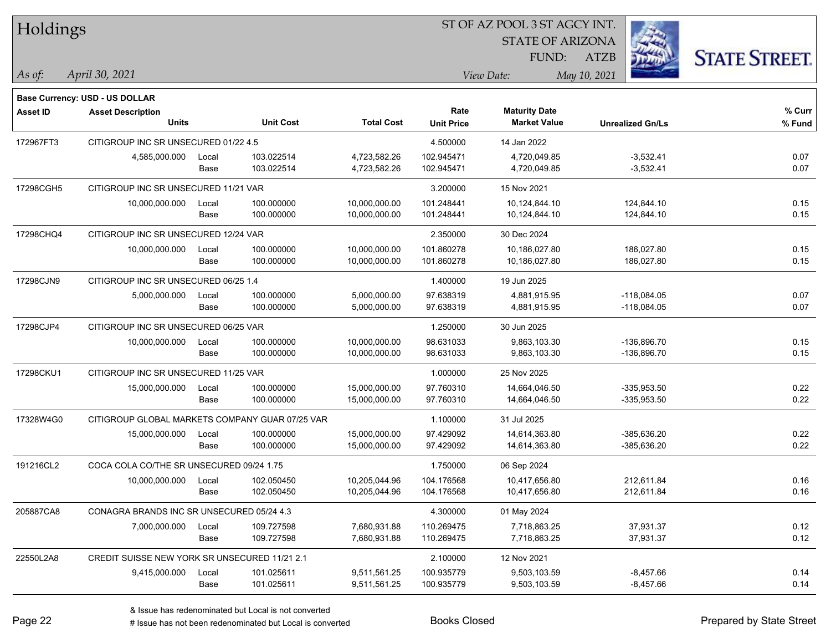| Holdings        |                                                 |       |                  |                   |                   | ST OF AZ POOL 3 ST AGCY INT. |                         |                      |
|-----------------|-------------------------------------------------|-------|------------------|-------------------|-------------------|------------------------------|-------------------------|----------------------|
|                 |                                                 |       |                  |                   |                   | <b>STATE OF ARIZONA</b>      |                         |                      |
|                 |                                                 |       |                  |                   |                   | FUND:                        | <b>ATZB</b>             | <b>STATE STREET.</b> |
| $\vert$ As of:  | April 30, 2021                                  |       |                  |                   |                   | View Date:                   | May 10, 2021            |                      |
|                 | Base Currency: USD - US DOLLAR                  |       |                  |                   |                   |                              |                         |                      |
| <b>Asset ID</b> | <b>Asset Description</b>                        |       |                  |                   | Rate              | <b>Maturity Date</b>         |                         | % Curr               |
|                 | <b>Units</b>                                    |       | <b>Unit Cost</b> | <b>Total Cost</b> | <b>Unit Price</b> | <b>Market Value</b>          | <b>Unrealized Gn/Ls</b> | % Fund               |
| 172967FT3       | CITIGROUP INC SR UNSECURED 01/22 4.5            |       |                  |                   | 4.500000          | 14 Jan 2022                  |                         |                      |
|                 | 4,585,000.000                                   | Local | 103.022514       | 4,723,582.26      | 102.945471        | 4,720,049.85                 | $-3,532.41$             | 0.07                 |
|                 |                                                 | Base  | 103.022514       | 4,723,582.26      | 102.945471        | 4,720,049.85                 | $-3,532.41$             | 0.07                 |
| 17298CGH5       | CITIGROUP INC SR UNSECURED 11/21 VAR            |       |                  |                   | 3.200000          | 15 Nov 2021                  |                         |                      |
|                 | 10,000,000.000                                  | Local | 100.000000       | 10,000,000.00     | 101.248441        | 10,124,844.10                | 124,844.10              | 0.15                 |
|                 |                                                 | Base  | 100.000000       | 10,000,000.00     | 101.248441        | 10,124,844.10                | 124,844.10              | 0.15                 |
| 17298CHQ4       | CITIGROUP INC SR UNSECURED 12/24 VAR            |       |                  |                   | 2.350000          | 30 Dec 2024                  |                         |                      |
|                 | 10,000,000.000                                  | Local | 100.000000       | 10,000,000.00     | 101.860278        | 10,186,027.80                | 186,027.80              | 0.15                 |
|                 |                                                 | Base  | 100.000000       | 10,000,000.00     | 101.860278        | 10,186,027.80                | 186,027.80              | 0.15                 |
| 17298CJN9       | CITIGROUP INC SR UNSECURED 06/25 1.4            |       |                  |                   | 1.400000          | 19 Jun 2025                  |                         |                      |
|                 | 5,000,000.000                                   | Local | 100.000000       | 5,000,000.00      | 97.638319         | 4.881.915.95                 | $-118,084.05$           | 0.07                 |
|                 |                                                 | Base  | 100.000000       | 5,000,000.00      | 97.638319         | 4,881,915.95                 | $-118,084.05$           | 0.07                 |
| 17298CJP4       | CITIGROUP INC SR UNSECURED 06/25 VAR            |       |                  |                   | 1.250000          | 30 Jun 2025                  |                         |                      |
|                 | 10,000,000.000                                  | Local | 100.000000       | 10,000,000.00     | 98.631033         | 9,863,103.30                 | $-136,896.70$           | 0.15                 |
|                 |                                                 | Base  | 100.000000       | 10,000,000.00     | 98.631033         | 9,863,103.30                 | $-136,896.70$           | 0.15                 |
| 17298CKU1       | CITIGROUP INC SR UNSECURED 11/25 VAR            |       |                  |                   | 1.000000          | 25 Nov 2025                  |                         |                      |
|                 | 15,000,000.000                                  | Local | 100.000000       | 15,000,000.00     | 97.760310         | 14,664,046.50                | $-335,953.50$           | 0.22                 |
|                 |                                                 | Base  | 100.000000       | 15,000,000.00     | 97.760310         | 14,664,046.50                | $-335,953.50$           | 0.22                 |
| 17328W4G0       | CITIGROUP GLOBAL MARKETS COMPANY GUAR 07/25 VAR |       |                  |                   | 1.100000          | 31 Jul 2025                  |                         |                      |
|                 | 15,000,000.000                                  | Local | 100.000000       | 15,000,000.00     | 97.429092         | 14,614,363.80                | -385,636.20             | 0.22                 |
|                 |                                                 | Base  | 100.000000       | 15,000,000.00     | 97.429092         | 14,614,363.80                | -385,636.20             | 0.22                 |
| 191216CL2       | COCA COLA CO/THE SR UNSECURED 09/24 1.75        |       |                  |                   | 1.750000          | 06 Sep 2024                  |                         |                      |
|                 | 10,000,000.000                                  | Local | 102.050450       | 10,205,044.96     | 104.176568        | 10,417,656.80                | 212.611.84              | 0.16                 |
|                 |                                                 | Base  | 102.050450       | 10,205,044.96     | 104.176568        | 10,417,656.80                | 212,611.84              | 0.16                 |
| 205887CA8       | CONAGRA BRANDS INC SR UNSECURED 05/24 4.3       |       |                  |                   | 4.300000          | 01 May 2024                  |                         |                      |
|                 | 7,000,000.000                                   | Local | 109.727598       | 7,680,931.88      | 110.269475        | 7,718,863.25                 | 37,931.37               | 0.12                 |
|                 |                                                 | Base  | 109.727598       | 7,680,931.88      | 110.269475        | 7,718,863.25                 | 37,931.37               | 0.12                 |
| 22550L2A8       | CREDIT SUISSE NEW YORK SR UNSECURED 11/21 2.1   |       |                  |                   | 2.100000          | 12 Nov 2021                  |                         |                      |
|                 | 9,415,000.000                                   | Local | 101.025611       | 9,511,561.25      | 100.935779        | 9,503,103.59                 | $-8,457.66$             | 0.14                 |
|                 |                                                 | Base  | 101.025611       | 9,511,561.25      | 100.935779        | 9,503,103.59                 | $-8,457.66$             | 0.14                 |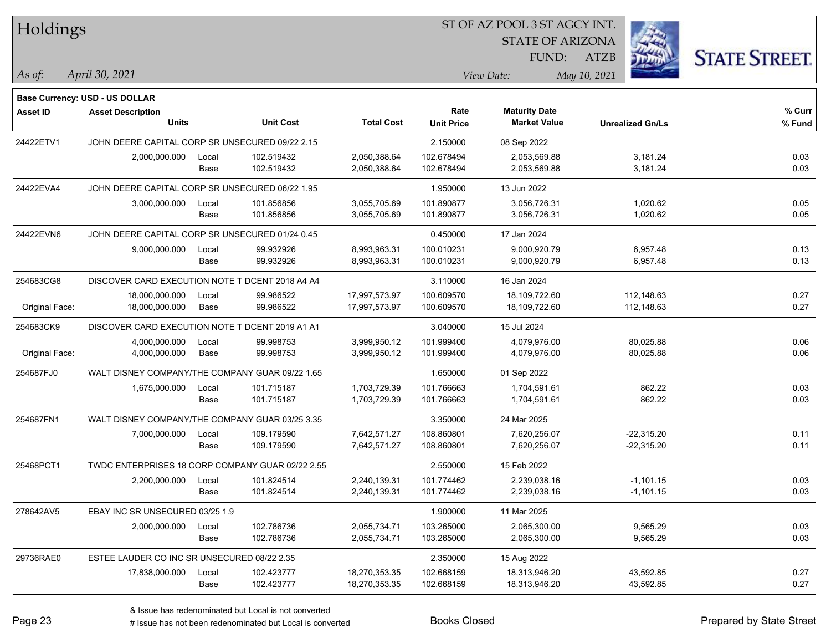| Holdings        |                                                  |       |                  |                   | ST OF AZ POOL 3 ST AGCY INT. |                         |                         |                      |
|-----------------|--------------------------------------------------|-------|------------------|-------------------|------------------------------|-------------------------|-------------------------|----------------------|
|                 |                                                  |       |                  |                   |                              | <b>STATE OF ARIZONA</b> |                         |                      |
|                 |                                                  |       |                  |                   |                              | FUND:                   | <b>ATZB</b>             | <b>STATE STREET.</b> |
| As of:          | April 30, 2021                                   |       |                  |                   |                              | View Date:              | May 10, 2021            |                      |
|                 | Base Currency: USD - US DOLLAR                   |       |                  |                   |                              |                         |                         |                      |
| <b>Asset ID</b> | <b>Asset Description</b>                         |       |                  |                   | Rate                         | <b>Maturity Date</b>    |                         | % Curr               |
|                 | <b>Units</b>                                     |       | <b>Unit Cost</b> | <b>Total Cost</b> | <b>Unit Price</b>            | <b>Market Value</b>     | <b>Unrealized Gn/Ls</b> | % Fund               |
| 24422ETV1       | JOHN DEERE CAPITAL CORP SR UNSECURED 09/22 2.15  |       |                  |                   | 2.150000                     | 08 Sep 2022             |                         |                      |
|                 | 2,000,000.000                                    | Local | 102.519432       | 2,050,388.64      | 102.678494                   | 2,053,569.88            | 3,181.24                | 0.03                 |
|                 |                                                  | Base  | 102.519432       | 2,050,388.64      | 102.678494                   | 2,053,569.88            | 3,181.24                | 0.03                 |
| 24422EVA4       | JOHN DEERE CAPITAL CORP SR UNSECURED 06/22 1.95  |       |                  |                   | 1.950000                     | 13 Jun 2022             |                         |                      |
|                 | 3,000,000.000                                    | Local | 101.856856       | 3,055,705.69      | 101.890877                   | 3,056,726.31            | 1,020.62                | 0.05                 |
|                 |                                                  | Base  | 101.856856       | 3,055,705.69      | 101.890877                   | 3,056,726.31            | 1,020.62                | 0.05                 |
| 24422EVN6       | JOHN DEERE CAPITAL CORP SR UNSECURED 01/24 0.45  |       |                  |                   | 0.450000                     | 17 Jan 2024             |                         |                      |
|                 | 9,000,000.000                                    | Local | 99.932926        | 8,993,963.31      | 100.010231                   | 9,000,920.79            | 6,957.48                | 0.13                 |
|                 |                                                  | Base  | 99.932926        | 8,993,963.31      | 100.010231                   | 9,000,920.79            | 6,957.48                | 0.13                 |
| 254683CG8       | DISCOVER CARD EXECUTION NOTE T DCENT 2018 A4 A4  |       |                  |                   | 3.110000                     | 16 Jan 2024             |                         |                      |
|                 | 18,000,000.000                                   | Local | 99.986522        | 17,997,573.97     | 100.609570                   | 18,109,722.60           | 112,148.63              | 0.27                 |
| Original Face:  | 18,000,000.000                                   | Base  | 99.986522        | 17,997,573.97     | 100.609570                   | 18,109,722.60           | 112,148.63              | 0.27                 |
| 254683CK9       | DISCOVER CARD EXECUTION NOTE T DCENT 2019 A1 A1  |       |                  |                   | 3.040000                     | 15 Jul 2024             |                         |                      |
|                 | 4,000,000.000                                    | Local | 99.998753        | 3,999,950.12      | 101.999400                   | 4,079,976.00            | 80,025.88               | 0.06                 |
| Original Face:  | 4,000,000.000                                    | Base  | 99.998753        | 3,999,950.12      | 101.999400                   | 4,079,976.00            | 80,025.88               | 0.06                 |
| 254687FJ0       | WALT DISNEY COMPANY/THE COMPANY GUAR 09/22 1.65  |       |                  |                   | 1.650000                     | 01 Sep 2022             |                         |                      |
|                 | 1,675,000.000                                    | Local | 101.715187       | 1,703,729.39      | 101.766663                   | 1,704,591.61            | 862.22                  | 0.03                 |
|                 |                                                  | Base  | 101.715187       | 1,703,729.39      | 101.766663                   | 1,704,591.61            | 862.22                  | 0.03                 |
| 254687FN1       | WALT DISNEY COMPANY/THE COMPANY GUAR 03/25 3.35  |       |                  |                   | 3.350000                     | 24 Mar 2025             |                         |                      |
|                 | 7,000,000.000                                    | Local | 109.179590       | 7,642,571.27      | 108.860801                   | 7,620,256.07            | $-22,315.20$            | 0.11                 |
|                 |                                                  | Base  | 109.179590       | 7,642,571.27      | 108.860801                   | 7,620,256.07            | $-22,315.20$            | 0.11                 |
| 25468PCT1       | TWDC ENTERPRISES 18 CORP COMPANY GUAR 02/22 2.55 |       |                  |                   | 2.550000                     | 15 Feb 2022             |                         |                      |
|                 | 2,200,000.000                                    | Local | 101.824514       | 2,240,139.31      | 101.774462                   | 2,239,038.16            | $-1,101.15$             | 0.03                 |
|                 |                                                  | Base  | 101.824514       | 2,240,139.31      | 101.774462                   | 2,239,038.16            | $-1,101.15$             | 0.03                 |
| 278642AV5       | EBAY INC SR UNSECURED 03/25 1.9                  |       |                  |                   | 1.900000                     | 11 Mar 2025             |                         |                      |
|                 | 2,000,000.000                                    | Local | 102.786736       | 2,055,734.71      | 103.265000                   | 2,065,300.00            | 9,565.29                | 0.03                 |
|                 |                                                  | Base  | 102.786736       | 2,055,734.71      | 103.265000                   | 2,065,300.00            | 9,565.29                | 0.03                 |
| 29736RAE0       | ESTEE LAUDER CO INC SR UNSECURED 08/22 2.35      |       |                  |                   | 2.350000                     | 15 Aug 2022             |                         |                      |
|                 | 17,838,000.000                                   | Local | 102.423777       | 18,270,353.35     | 102.668159                   | 18,313,946.20           | 43,592.85               | 0.27                 |
|                 |                                                  | Base  | 102.423777       | 18,270,353.35     | 102.668159                   | 18,313,946.20           | 43,592.85               | 0.27                 |

 $\overline{\phantom{0}}$ 

 $\overline{\phantom{a}}$ 

 $\overline{\phantom{a}}$ 

 $\overline{\phantom{a}}$ 

 $\overline{\phantom{a}}$ 

 $\overline{\phantom{0}}$ 

# Issue has not been redenominated but Local is converted Books Closed Prepared by State Street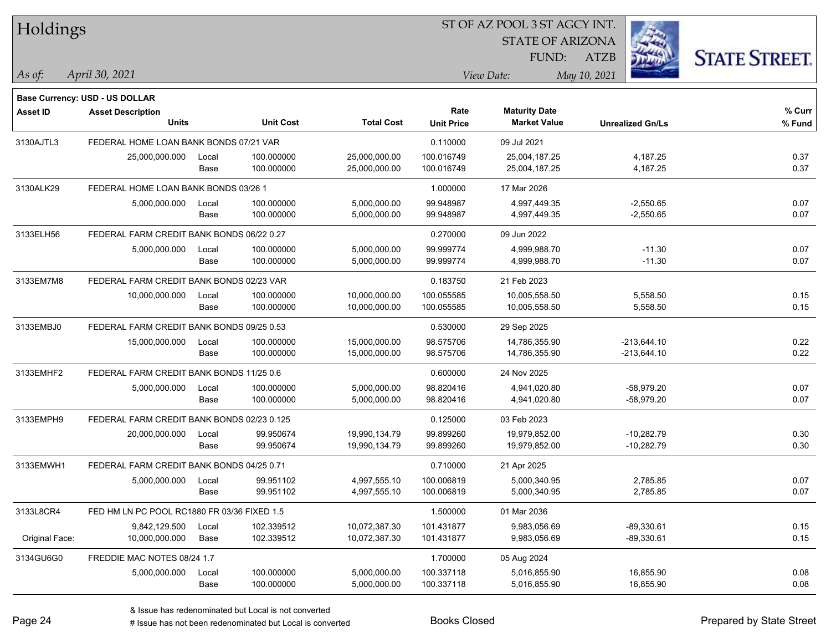| Holdings        |                                             |       |                  |                   |                   |                         |                         |                      |
|-----------------|---------------------------------------------|-------|------------------|-------------------|-------------------|-------------------------|-------------------------|----------------------|
|                 |                                             |       |                  |                   |                   | <b>STATE OF ARIZONA</b> |                         |                      |
|                 |                                             |       |                  |                   |                   | FUND:                   | <b>ATZB</b>             | <b>STATE STREET.</b> |
| As of:          | April 30, 2021                              |       |                  |                   |                   | View Date:              | May 10, 2021            |                      |
|                 |                                             |       |                  |                   |                   |                         |                         |                      |
|                 | Base Currency: USD - US DOLLAR              |       |                  |                   | Rate              | <b>Maturity Date</b>    |                         | % Curr               |
| <b>Asset ID</b> | <b>Asset Description</b><br><b>Units</b>    |       | <b>Unit Cost</b> | <b>Total Cost</b> | <b>Unit Price</b> | <b>Market Value</b>     | <b>Unrealized Gn/Ls</b> | % Fund               |
| 3130AJTL3       | FEDERAL HOME LOAN BANK BONDS 07/21 VAR      |       |                  |                   | 0.110000          | 09 Jul 2021             |                         |                      |
|                 | 25,000,000.000                              | Local | 100.000000       | 25,000,000.00     | 100.016749        | 25,004,187.25           | 4,187.25                | 0.37                 |
|                 |                                             | Base  | 100.000000       | 25,000,000.00     | 100.016749        | 25,004,187.25           | 4,187.25                | 0.37                 |
| 3130ALK29       | FEDERAL HOME LOAN BANK BONDS 03/26 1        |       |                  |                   | 1.000000          | 17 Mar 2026             |                         |                      |
|                 | 5,000,000.000                               | Local | 100.000000       | 5,000,000.00      | 99.948987         | 4,997,449.35            | $-2,550.65$             | 0.07                 |
|                 |                                             | Base  | 100.000000       | 5,000,000.00      | 99.948987         | 4,997,449.35            | $-2,550.65$             | 0.07                 |
| 3133ELH56       | FEDERAL FARM CREDIT BANK BONDS 06/22 0.27   |       |                  |                   | 0.270000          | 09 Jun 2022             |                         |                      |
|                 | 5,000,000.000                               | Local | 100.000000       | 5,000,000.00      | 99.999774         | 4,999,988.70            | $-11.30$                | 0.07                 |
|                 |                                             | Base  | 100.000000       | 5,000,000.00      | 99.999774         | 4,999,988.70            | $-11.30$                | 0.07                 |
| 3133EM7M8       | FEDERAL FARM CREDIT BANK BONDS 02/23 VAR    |       |                  |                   | 0.183750          | 21 Feb 2023             |                         |                      |
|                 | 10,000,000.000                              | Local | 100.000000       | 10,000,000.00     | 100.055585        | 10,005,558.50           | 5,558.50                | 0.15                 |
|                 |                                             | Base  | 100.000000       | 10,000,000.00     | 100.055585        | 10,005,558.50           | 5,558.50                | 0.15                 |
| 3133EMBJ0       | FEDERAL FARM CREDIT BANK BONDS 09/25 0.53   |       |                  |                   | 0.530000          | 29 Sep 2025             |                         |                      |
|                 | 15,000,000.000                              | Local | 100.000000       | 15,000,000.00     | 98.575706         | 14,786,355.90           | $-213,644.10$           | 0.22                 |
|                 |                                             | Base  | 100.000000       | 15,000,000.00     | 98.575706         | 14,786,355.90           | $-213,644.10$           | 0.22                 |
| 3133EMHF2       | FEDERAL FARM CREDIT BANK BONDS 11/25 0.6    |       |                  |                   | 0.600000          | 24 Nov 2025             |                         |                      |
|                 | 5,000,000.000                               | Local | 100.000000       | 5,000,000.00      | 98.820416         | 4,941,020.80            | -58,979.20              | 0.07                 |
|                 |                                             | Base  | 100.000000       | 5,000,000.00      | 98.820416         | 4,941,020.80            | $-58,979.20$            | 0.07                 |
| 3133EMPH9       | FEDERAL FARM CREDIT BANK BONDS 02/23 0.125  |       |                  |                   | 0.125000          | 03 Feb 2023             |                         |                      |
|                 | 20,000,000.000                              | Local | 99.950674        | 19,990,134.79     | 99.899260         | 19,979,852.00           | $-10,282.79$            | 0.30                 |
|                 |                                             | Base  | 99.950674        | 19,990,134.79     | 99.899260         | 19,979,852.00           | $-10,282.79$            | 0.30                 |
| 3133EMWH1       | FEDERAL FARM CREDIT BANK BONDS 04/25 0.71   |       |                  |                   | 0.710000          | 21 Apr 2025             |                         |                      |
|                 | 5,000,000.000                               | Local | 99.951102        | 4,997,555.10      | 100.006819        | 5,000,340.95            | 2,785.85                | 0.07                 |
|                 |                                             | Base  | 99.951102        | 4,997,555.10      | 100.006819        | 5,000,340.95            | 2,785.85                | 0.07                 |
| 3133L8CR4       | FED HM LN PC POOL RC1880 FR 03/36 FIXED 1.5 |       |                  |                   | 1.500000          | 01 Mar 2036             |                         |                      |
|                 | 9,842,129.500                               | Local | 102.339512       | 10,072,387.30     | 101.431877        | 9,983,056.69            | $-89,330.61$            | 0.15                 |
| Original Face:  | 10,000,000.000                              | Base  | 102.339512       | 10,072,387.30     | 101.431877        | 9,983,056.69            | $-89,330.61$            | 0.15                 |
| 3134GU6G0       | FREDDIE MAC NOTES 08/24 1.7                 |       |                  |                   | 1.700000          | 05 Aug 2024             |                         |                      |
|                 | 5,000,000.000                               | Local | 100.000000       | 5,000,000.00      | 100.337118        | 5,016,855.90            | 16,855.90               | 0.08                 |
|                 |                                             | Base  | 100.000000       | 5,000,000.00      | 100.337118        | 5,016,855.90            | 16,855.90               | 0.08                 |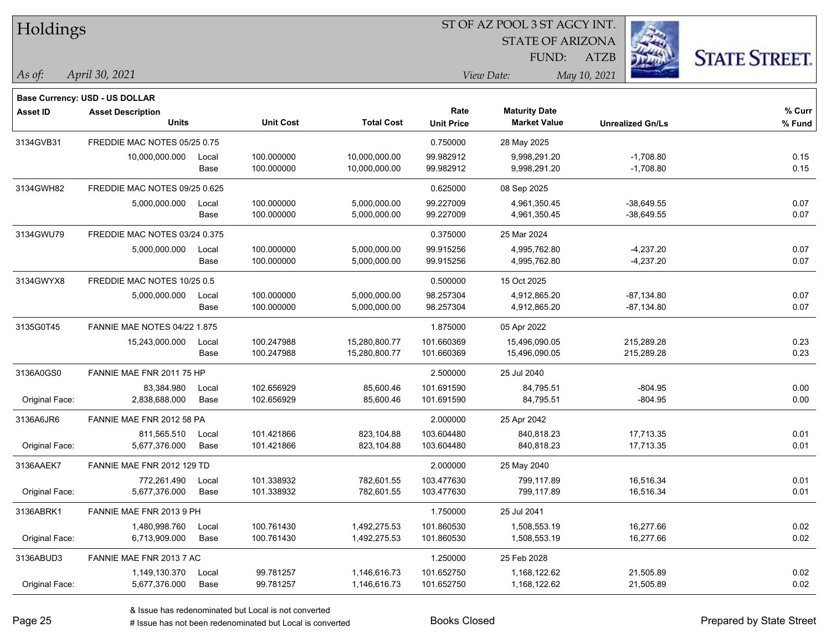| Holdings        |                                                            |       |                  |                   |                   |                         |                         |                      |
|-----------------|------------------------------------------------------------|-------|------------------|-------------------|-------------------|-------------------------|-------------------------|----------------------|
|                 |                                                            |       |                  |                   |                   | <b>STATE OF ARIZONA</b> |                         |                      |
|                 |                                                            |       |                  |                   |                   | FUND:                   | <b>ATZB</b>             | <b>STATE STREET.</b> |
| As of:          | April 30, 2021                                             |       |                  |                   |                   | View Date:              | May 10, 2021            |                      |
|                 |                                                            |       |                  |                   |                   |                         |                         |                      |
| <b>Asset ID</b> | Base Currency: USD - US DOLLAR<br><b>Asset Description</b> |       |                  |                   | Rate              | <b>Maturity Date</b>    |                         | % Curr               |
|                 | <b>Units</b>                                               |       | <b>Unit Cost</b> | <b>Total Cost</b> | <b>Unit Price</b> | <b>Market Value</b>     | <b>Unrealized Gn/Ls</b> | % Fund               |
| 3134GVB31       | FREDDIE MAC NOTES 05/25 0.75                               |       |                  |                   | 0.750000          | 28 May 2025             |                         |                      |
|                 | 10,000,000.000                                             | Local | 100.000000       | 10,000,000.00     | 99.982912         | 9,998,291.20            | $-1,708.80$             | 0.15                 |
|                 |                                                            | Base  | 100.000000       | 10,000,000.00     | 99.982912         | 9,998,291.20            | $-1,708.80$             | 0.15                 |
| 3134GWH82       | FREDDIE MAC NOTES 09/25 0.625                              |       |                  |                   | 0.625000          | 08 Sep 2025             |                         |                      |
|                 | 5,000,000.000                                              | Local | 100.000000       | 5,000,000.00      | 99.227009         | 4,961,350.45            | $-38,649.55$            | 0.07                 |
|                 |                                                            | Base  | 100.000000       | 5,000,000.00      | 99.227009         | 4,961,350.45            | $-38,649.55$            | 0.07                 |
| 3134GWU79       | FREDDIE MAC NOTES 03/24 0.375                              |       |                  |                   | 0.375000          | 25 Mar 2024             |                         |                      |
|                 | 5,000,000.000                                              | Local | 100.000000       | 5,000,000.00      | 99.915256         | 4,995,762.80            | $-4,237.20$             | 0.07                 |
|                 |                                                            | Base  | 100.000000       | 5,000,000.00      | 99.915256         | 4,995,762.80            | $-4,237.20$             | 0.07                 |
| 3134GWYX8       | FREDDIE MAC NOTES 10/25 0.5                                |       |                  |                   | 0.500000          | 15 Oct 2025             |                         |                      |
|                 | 5,000,000.000                                              | Local | 100.000000       | 5,000,000.00      | 98.257304         | 4,912,865.20            | $-87,134.80$            | 0.07                 |
|                 |                                                            | Base  | 100.000000       | 5,000,000.00      | 98.257304         | 4,912,865.20            | -87,134.80              | 0.07                 |
| 3135G0T45       | <b>FANNIE MAE NOTES 04/22 1.875</b>                        |       |                  |                   | 1.875000          | 05 Apr 2022             |                         |                      |
|                 | 15,243,000.000                                             | Local | 100.247988       | 15,280,800.77     | 101.660369        | 15,496,090.05           | 215,289.28              | 0.23                 |
|                 |                                                            | Base  | 100.247988       | 15,280,800.77     | 101.660369        | 15,496,090.05           | 215,289.28              | 0.23                 |
| 3136A0GS0       | FANNIE MAE FNR 2011 75 HP                                  |       |                  |                   | 2.500000          | 25 Jul 2040             |                         |                      |
|                 | 83,384.980                                                 | Local | 102.656929       | 85,600.46         | 101.691590        | 84,795.51               | $-804.95$               | 0.00                 |
| Original Face:  | 2,838,688.000                                              | Base  | 102.656929       | 85,600.46         | 101.691590        | 84,795.51               | $-804.95$               | 0.00                 |
| 3136A6JR6       | FANNIE MAE FNR 2012 58 PA                                  |       |                  |                   | 2.000000          | 25 Apr 2042             |                         |                      |
|                 | 811.565.510                                                | Local | 101.421866       | 823,104.88        | 103.604480        | 840,818.23              | 17,713.35               | 0.01                 |
| Original Face:  | 5,677,376.000                                              | Base  | 101.421866       | 823,104.88        | 103.604480        | 840,818.23              | 17,713.35               | 0.01                 |
| 3136AAEK7       | FANNIE MAE FNR 2012 129 TD                                 |       |                  |                   | 2.000000          | 25 May 2040             |                         |                      |
|                 | 772,261.490                                                | Local | 101.338932       | 782,601.55        | 103.477630        | 799.117.89              | 16,516.34               | 0.01                 |
| Original Face:  | 5,677,376.000                                              | Base  | 101.338932       | 782,601.55        | 103.477630        | 799,117.89              | 16,516.34               | 0.01                 |
| 3136ABRK1       | FANNIE MAE FNR 2013 9 PH                                   |       |                  |                   | 1.750000          | 25 Jul 2041             |                         |                      |
|                 | 1,480,998.760                                              | Local | 100.761430       | 1,492,275.53      | 101.860530        | 1,508,553.19            | 16,277.66               | 0.02                 |
| Original Face:  | 6,713,909.000                                              | Base  | 100.761430       | 1,492,275.53      | 101.860530        | 1,508,553.19            | 16,277.66               | 0.02                 |
| 3136ABUD3       | FANNIE MAE FNR 2013 7 AC                                   |       |                  |                   | 1.250000          | 25 Feb 2028             |                         |                      |
|                 | 1,149,130.370                                              | Local | 99.781257        | 1,146,616.73      | 101.652750        | 1,168,122.62            | 21,505.89               | 0.02                 |
| Original Face:  | 5,677,376.000                                              | Base  | 99.781257        | 1,146,616.73      | 101.652750        | 1,168,122.62            | 21,505.89               | 0.02                 |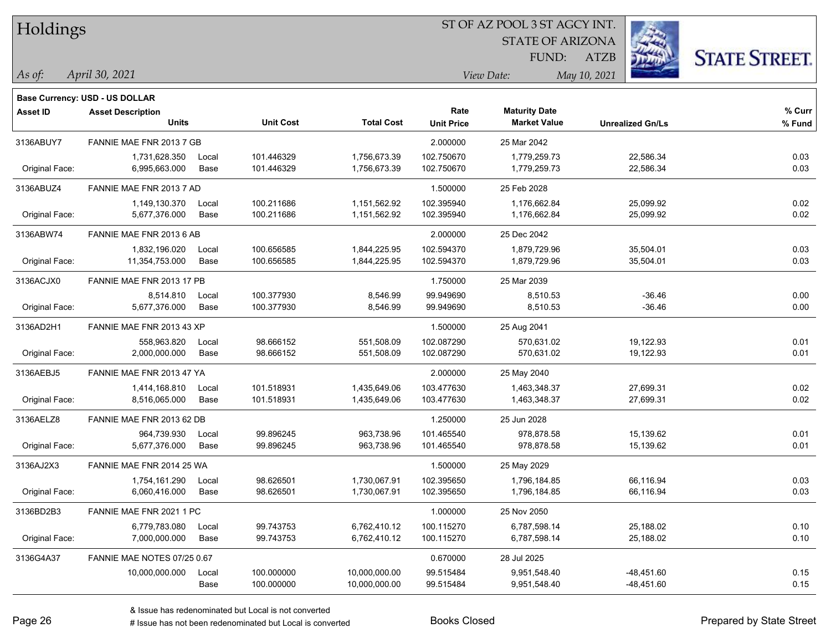| Holdings        |                                          |       |                  | ST OF AZ POOL 3 ST AGCY INT. |                   |                                             |                         |                      |  |  |
|-----------------|------------------------------------------|-------|------------------|------------------------------|-------------------|---------------------------------------------|-------------------------|----------------------|--|--|
|                 |                                          |       |                  |                              |                   | <b>STATE OF ARIZONA</b>                     |                         |                      |  |  |
|                 |                                          |       |                  |                              |                   | FUND:                                       | <b>ATZB</b>             | <b>STATE STREET.</b> |  |  |
| As of:          | April 30, 2021                           |       |                  |                              |                   | View Date:                                  | May 10, 2021            |                      |  |  |
|                 |                                          |       |                  |                              |                   |                                             |                         |                      |  |  |
|                 | <b>Base Currency: USD - US DOLLAR</b>    |       |                  |                              | Rate              |                                             |                         | % Curr               |  |  |
| <b>Asset ID</b> | <b>Asset Description</b><br><b>Units</b> |       | <b>Unit Cost</b> | <b>Total Cost</b>            | <b>Unit Price</b> | <b>Maturity Date</b><br><b>Market Value</b> | <b>Unrealized Gn/Ls</b> | % Fund               |  |  |
| 3136ABUY7       | FANNIE MAE FNR 2013 7 GB                 |       |                  |                              | 2.000000          | 25 Mar 2042                                 |                         |                      |  |  |
|                 | 1,731,628.350                            | Local | 101.446329       | 1,756,673.39                 | 102.750670        | 1,779,259.73                                | 22,586.34               | 0.03                 |  |  |
| Original Face:  | 6,995,663.000                            | Base  | 101.446329       | 1,756,673.39                 | 102.750670        | 1,779,259.73                                | 22,586.34               | 0.03                 |  |  |
| 3136ABUZ4       | FANNIE MAE FNR 2013 7 AD                 |       |                  |                              | 1.500000          | 25 Feb 2028                                 |                         |                      |  |  |
|                 | 1,149,130.370                            | Local | 100.211686       | 1,151,562.92                 | 102.395940        | 1,176,662.84                                | 25,099.92               | 0.02                 |  |  |
| Original Face:  | 5,677,376.000                            | Base  | 100.211686       | 1,151,562.92                 | 102.395940        | 1,176,662.84                                | 25,099.92               | 0.02                 |  |  |
| 3136ABW74       | FANNIE MAE FNR 2013 6 AB                 |       |                  |                              | 2.000000          | 25 Dec 2042                                 |                         |                      |  |  |
|                 | 1,832,196.020                            | Local | 100.656585       | 1,844,225.95                 | 102.594370        | 1,879,729.96                                | 35,504.01               | 0.03                 |  |  |
| Original Face:  | 11,354,753.000                           | Base  | 100.656585       | 1,844,225.95                 | 102.594370        | 1,879,729.96                                | 35,504.01               | 0.03                 |  |  |
| 3136ACJX0       | FANNIE MAE FNR 2013 17 PB                |       |                  |                              | 1.750000          | 25 Mar 2039                                 |                         |                      |  |  |
|                 | 8,514.810                                | Local | 100.377930       | 8,546.99                     | 99.949690         | 8,510.53                                    | $-36.46$                | 0.00                 |  |  |
| Original Face:  | 5,677,376.000                            | Base  | 100.377930       | 8,546.99                     | 99.949690         | 8,510.53                                    | $-36.46$                | 0.00                 |  |  |
| 3136AD2H1       | FANNIE MAE FNR 2013 43 XP                |       |                  |                              | 1.500000          | 25 Aug 2041                                 |                         |                      |  |  |
|                 | 558,963.820                              | Local | 98.666152        | 551,508.09                   | 102.087290        | 570,631.02                                  | 19,122.93               | 0.01                 |  |  |
| Original Face:  | 2,000,000.000                            | Base  | 98.666152        | 551,508.09                   | 102.087290        | 570,631.02                                  | 19,122.93               | 0.01                 |  |  |
| 3136AEBJ5       | FANNIE MAE FNR 2013 47 YA                |       |                  |                              | 2.000000          | 25 May 2040                                 |                         |                      |  |  |
|                 | 1,414,168.810                            | Local | 101.518931       | 1,435,649.06                 | 103.477630        | 1,463,348.37                                | 27,699.31               | 0.02                 |  |  |
| Original Face:  | 8,516,065.000                            | Base  | 101.518931       | 1,435,649.06                 | 103.477630        | 1,463,348.37                                | 27,699.31               | 0.02                 |  |  |
| 3136AELZ8       | FANNIE MAE FNR 2013 62 DB                |       |                  |                              | 1.250000          | 25 Jun 2028                                 |                         |                      |  |  |
|                 | 964,739.930                              | Local | 99.896245        | 963,738.96                   | 101.465540        | 978,878.58                                  | 15,139.62               | 0.01                 |  |  |
| Original Face:  | 5,677,376.000                            | Base  | 99.896245        | 963,738.96                   | 101.465540        | 978,878.58                                  | 15,139.62               | 0.01                 |  |  |
| 3136AJ2X3       | FANNIE MAE FNR 2014 25 WA                |       |                  |                              | 1.500000          | 25 May 2029                                 |                         |                      |  |  |
|                 | 1,754,161.290                            | Local | 98.626501        | 1,730,067.91                 | 102.395650        | 1,796,184.85                                | 66.116.94               | 0.03                 |  |  |
| Original Face:  | 6,060,416.000                            | Base  | 98.626501        | 1,730,067.91                 | 102.395650        | 1,796,184.85                                | 66,116.94               | 0.03                 |  |  |
| 3136BD2B3       | FANNIE MAE FNR 2021 1 PC                 |       |                  |                              | 1.000000          | 25 Nov 2050                                 |                         |                      |  |  |
|                 | 6,779,783.080                            | Local | 99.743753        | 6,762,410.12                 | 100.115270        | 6,787,598.14                                | 25,188.02               | 0.10                 |  |  |
| Original Face:  | 7,000,000.000                            | Base  | 99.743753        | 6,762,410.12                 | 100.115270        | 6,787,598.14                                | 25,188.02               | 0.10                 |  |  |
| 3136G4A37       | FANNIE MAE NOTES 07/25 0.67              |       |                  |                              | 0.670000          | 28 Jul 2025                                 |                         |                      |  |  |
|                 | 10,000,000.000                           | Local | 100.000000       | 10,000,000.00                | 99.515484         | 9,951,548.40                                | $-48,451.60$            | 0.15                 |  |  |
|                 |                                          | Base  | 100.000000       | 10,000,000.00                | 99.515484         | 9,951,548.40                                | $-48,451.60$            | 0.15                 |  |  |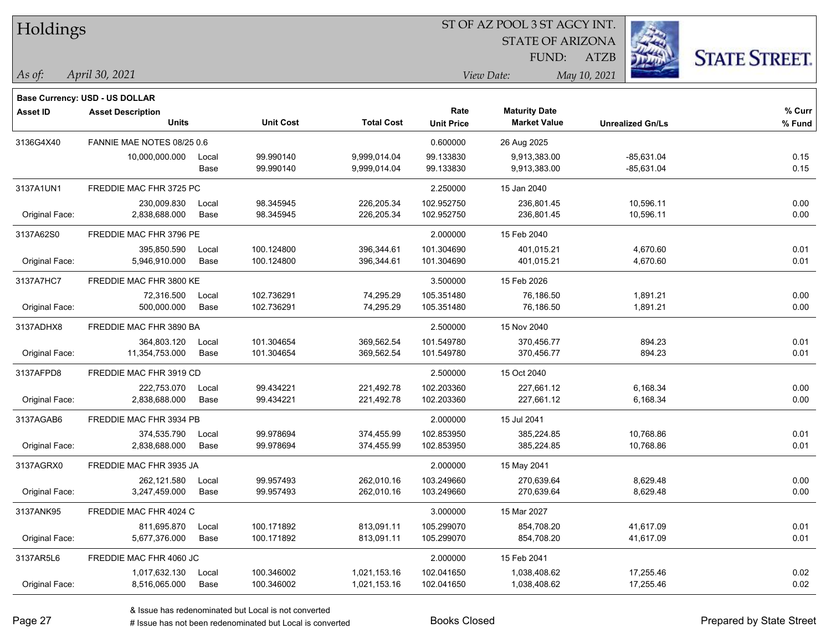| Holdings        |                                       |       |                  |                   | ST OF AZ POOL 3 ST AGCY INT. |                         |                         |                      |  |  |
|-----------------|---------------------------------------|-------|------------------|-------------------|------------------------------|-------------------------|-------------------------|----------------------|--|--|
|                 |                                       |       |                  |                   |                              | <b>STATE OF ARIZONA</b> |                         |                      |  |  |
|                 |                                       |       |                  |                   |                              | FUND:                   | ATZB                    | <b>STATE STREET.</b> |  |  |
| $\vert$ As of:  | April 30, 2021                        |       |                  |                   |                              | View Date:              | May 10, 2021            |                      |  |  |
|                 | <b>Base Currency: USD - US DOLLAR</b> |       |                  |                   |                              |                         |                         |                      |  |  |
| <b>Asset ID</b> | <b>Asset Description</b>              |       |                  |                   | Rate                         | <b>Maturity Date</b>    |                         | % Curr               |  |  |
|                 | <b>Units</b>                          |       | <b>Unit Cost</b> | <b>Total Cost</b> | <b>Unit Price</b>            | <b>Market Value</b>     | <b>Unrealized Gn/Ls</b> | % Fund               |  |  |
| 3136G4X40       | FANNIE MAE NOTES 08/25 0.6            |       |                  |                   | 0.600000                     | 26 Aug 2025             |                         |                      |  |  |
|                 | 10,000,000.000                        | Local | 99.990140        | 9,999,014.04      | 99.133830                    | 9,913,383.00            | $-85,631.04$            | 0.15                 |  |  |
|                 |                                       | Base  | 99.990140        | 9,999,014.04      | 99.133830                    | 9,913,383.00            | -85,631.04              | 0.15                 |  |  |
| 3137A1UN1       | FREDDIE MAC FHR 3725 PC               |       |                  |                   | 2.250000                     | 15 Jan 2040             |                         |                      |  |  |
|                 | 230,009.830                           | Local | 98.345945        | 226,205.34        | 102.952750                   | 236,801.45              | 10,596.11               | 0.00                 |  |  |
| Original Face:  | 2,838,688.000                         | Base  | 98.345945        | 226,205.34        | 102.952750                   | 236,801.45              | 10,596.11               | 0.00                 |  |  |
| 3137A62S0       | FREDDIE MAC FHR 3796 PE               |       |                  |                   | 2.000000                     | 15 Feb 2040             |                         |                      |  |  |
|                 | 395.850.590                           | Local | 100.124800       | 396,344.61        | 101.304690                   | 401.015.21              | 4,670.60                | 0.01                 |  |  |
| Original Face:  | 5,946,910.000                         | Base  | 100.124800       | 396,344.61        | 101.304690                   | 401,015.21              | 4,670.60                | 0.01                 |  |  |
| 3137A7HC7       | FREDDIE MAC FHR 3800 KE               |       |                  |                   | 3.500000                     | 15 Feb 2026             |                         |                      |  |  |
|                 | 72,316.500                            | Local | 102.736291       | 74,295.29         | 105.351480                   | 76,186.50               | 1,891.21                | 0.00                 |  |  |
| Original Face:  | 500,000.000                           | Base  | 102.736291       | 74,295.29         | 105.351480                   | 76,186.50               | 1,891.21                | 0.00                 |  |  |
| 3137ADHX8       | FREDDIE MAC FHR 3890 BA               |       |                  |                   | 2.500000                     | 15 Nov 2040             |                         |                      |  |  |
|                 | 364,803.120                           | Local | 101.304654       | 369,562.54        | 101.549780                   | 370,456.77              | 894.23                  | 0.01                 |  |  |
| Original Face:  | 11,354,753.000                        | Base  | 101.304654       | 369,562.54        | 101.549780                   | 370,456.77              | 894.23                  | 0.01                 |  |  |
| 3137AFPD8       | FREDDIE MAC FHR 3919 CD               |       |                  |                   | 2.500000                     | 15 Oct 2040             |                         |                      |  |  |
|                 | 222,753.070                           | Local | 99.434221        | 221,492.78        | 102.203360                   | 227,661.12              | 6,168.34                | 0.00                 |  |  |
| Original Face:  | 2,838,688.000                         | Base  | 99.434221        | 221,492.78        | 102.203360                   | 227,661.12              | 6,168.34                | 0.00                 |  |  |
| 3137AGAB6       | FREDDIE MAC FHR 3934 PB               |       |                  |                   | 2.000000                     | 15 Jul 2041             |                         |                      |  |  |
|                 | 374,535.790                           | Local | 99.978694        | 374,455.99        | 102.853950                   | 385,224.85              | 10,768.86               | 0.01                 |  |  |
| Original Face:  | 2,838,688.000                         | Base  | 99.978694        | 374,455.99        | 102.853950                   | 385,224.85              | 10,768.86               | 0.01                 |  |  |
| 3137AGRX0       | FREDDIE MAC FHR 3935 JA               |       |                  |                   | 2.000000                     | 15 May 2041             |                         |                      |  |  |
|                 | 262,121.580                           | Local | 99.957493        | 262,010.16        | 103.249660                   | 270,639.64              | 8,629.48                | 0.00                 |  |  |
| Original Face:  | 3,247,459.000                         | Base  | 99.957493        | 262,010.16        | 103.249660                   | 270,639.64              | 8,629.48                | 0.00                 |  |  |
| 3137ANK95       | FREDDIE MAC FHR 4024 C                |       |                  |                   | 3.000000                     | 15 Mar 2027             |                         |                      |  |  |
|                 | 811,695.870                           | Local | 100.171892       | 813,091.11        | 105.299070                   | 854,708.20              | 41,617.09               | 0.01                 |  |  |
| Original Face:  | 5,677,376.000                         | Base  | 100.171892       | 813,091.11        | 105.299070                   | 854,708.20              | 41,617.09               | 0.01                 |  |  |
| 3137AR5L6       | FREDDIE MAC FHR 4060 JC               |       |                  |                   | 2.000000                     | 15 Feb 2041             |                         |                      |  |  |
|                 | 1,017,632.130                         | Local | 100.346002       | 1,021,153.16      | 102.041650                   | 1,038,408.62            | 17,255.46               | 0.02                 |  |  |
| Original Face:  | 8,516,065.000                         | Base  | 100.346002       | 1,021,153.16      | 102.041650                   | 1,038,408.62            | 17,255.46               | 0.02                 |  |  |

& Issue has redenominated but Local is not converted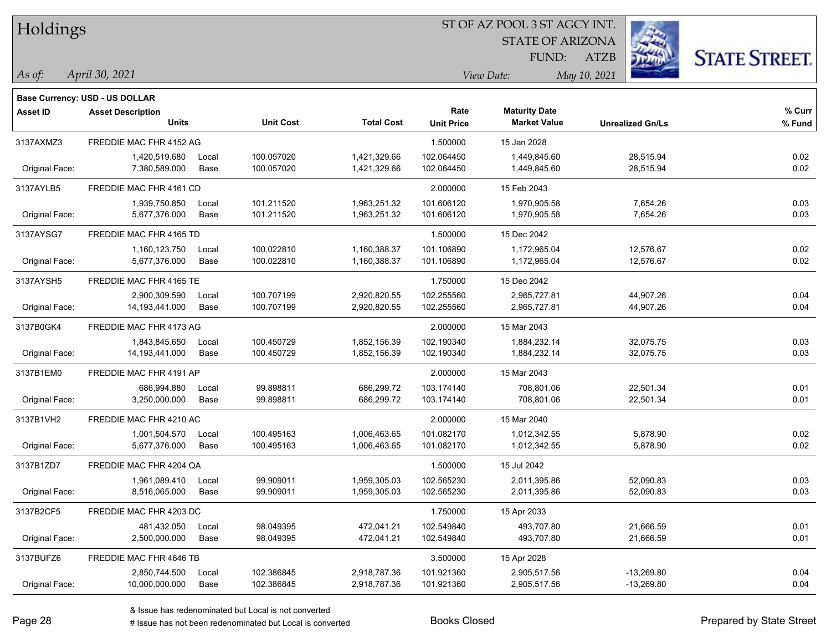| Holdings |  |
|----------|--|
|----------|--|

**Maturity Date**

STATE OF ARIZONA

ATZB



**% Fund**

**% Curr**

*April 30, 2021 As of: View Date: May 10, 2021*

**Base Currency: USD - US DOLLAR**

FUND:

| 3137AXMZ3      | FREDDIE MAC FHR 4152 AG |       |                          |              | 1.500000                 | 15 Jan 2028  |           |              |
|----------------|-------------------------|-------|--------------------------|--------------|--------------------------|--------------|-----------|--------------|
|                | 1,420,519.680           | Local | 100.057020<br>100.057020 | 1,421,329.66 | 102.064450<br>102.064450 | 1,449,845.60 | 28,515.94 | 0.02<br>0.02 |
| Original Face: | 7,380,589.000           | Base  |                          | 1,421,329.66 |                          | 1,449,845.60 | 28,515.94 |              |
| 3137AYLB5      | FREDDIE MAC FHR 4161 CD |       |                          |              | 2.000000                 | 15 Feb 2043  |           |              |
|                | 1,939,750.850           | Local | 101.211520               | 1,963,251.32 | 101.606120               | 1,970,905.58 | 7,654.26  | 0.03         |
| Original Face: | 5,677,376.000           | Base  | 101.211520               | 1,963,251.32 | 101.606120               | 1,970,905.58 | 7,654.26  | 0.03         |
| 3137AYSG7      | FREDDIE MAC FHR 4165 TD |       |                          |              | 1.500000                 | 15 Dec 2042  |           |              |
|                | 1,160,123.750           | Local | 100.022810               | 1,160,388.37 | 101.106890               | 1,172,965.04 | 12,576.67 | 0.02         |
| Original Face: | 5,677,376.000           | Base  | 100.022810               | 1,160,388.37 | 101.106890               | 1,172,965.04 | 12,576.67 | 0.02         |
| 3137AYSH5      | FREDDIE MAC FHR 4165 TE |       |                          |              | 1.750000                 | 15 Dec 2042  |           |              |
|                | 2,900,309.590           | Local | 100.707199               | 2,920,820.55 | 102.255560               | 2,965,727.81 | 44,907.26 | 0.04         |
| Original Face: | 14,193,441.000          | Base  | 100.707199               | 2,920,820.55 | 102.255560               | 2,965,727.81 | 44,907.26 | 0.04         |
| 3137B0GK4      | FREDDIE MAC FHR 4173 AG |       |                          |              | 2.000000                 | 15 Mar 2043  |           |              |
|                | 1,843,845.650           | Local | 100.450729               | 1,852,156.39 | 102.190340               | 1,884,232.14 | 32,075.75 | 0.03         |
| Original Face: | 14,193,441.000          | Base  | 100.450729               | 1,852,156.39 | 102.190340               | 1,884,232.14 | 32,075.75 | 0.03         |
| 3137B1EM0      | FREDDIE MAC FHR 4191 AP |       |                          |              | 2.000000                 | 15 Mar 2043  |           |              |
|                | 686,994.880             | Local | 99.898811                | 686,299.72   | 103.174140               | 708,801.06   | 22,501.34 | 0.01         |
| Original Face: | 3,250,000.000           | Base  | 99.898811                | 686,299.72   | 103.174140               | 708,801.06   | 22,501.34 | 0.01         |
| 3137B1VH2      | FREDDIE MAC FHR 4210 AC |       |                          |              | 2.000000                 | 15 Mar 2040  |           |              |
|                | 1,001,504.570           | Local | 100.495163               | 1,006,463.65 | 101.082170               | 1,012,342.55 | 5,878.90  | 0.02         |
| Original Face: | 5,677,376.000           | Base  | 100.495163               | 1,006,463.65 | 101.082170               | 1,012,342.55 | 5,878.90  | 0.02         |
| 3137B1ZD7      | FREDDIE MAC FHR 4204 QA |       |                          |              | 1.500000                 | 15 Jul 2042  |           |              |
|                | 1,961,089.410           | Local | 99.909011                | 1,959,305.03 | 102.565230               | 2,011,395.86 | 52,090.83 | 0.03         |
| Original Face: | 8,516,065.000           | Base  | 99.909011                | 1,959,305.03 | 102.565230               | 2,011,395.86 | 52,090.83 | 0.03         |
| 3137B2CF5      | FREDDIE MAC FHR 4203 DC |       |                          |              | 1.750000                 | 15 Apr 2033  |           |              |
|                | 481,432.050             | Local | 98.049395                | 472,041.21   | 102.549840               | 493,707.80   | 21,666.59 | 0.01         |
| Original Face: | 2,500,000.000           | Base  | 98.049395                | 472,041.21   | 102.549840               | 493,707.80   | 21,666.59 | 0.01         |

**Units Unit Cost Total Cost Unit Price Market Value Unrealized Gn/Ls**

3137BUFZ6 FREDDIE MAC FHR 4646 TB 3.500000 15 Apr 2028

**Asset ID Asset Description Rate**

Original Face: 10,000,000.000 Base 102.386845 2,918,787.36 101.921360 2,905,517.56 -13,269.80 0.04

2,850,744.500 Local 102.386845 2,918,787.36 101.921360 2,905,517.56 -13,269.80 0.04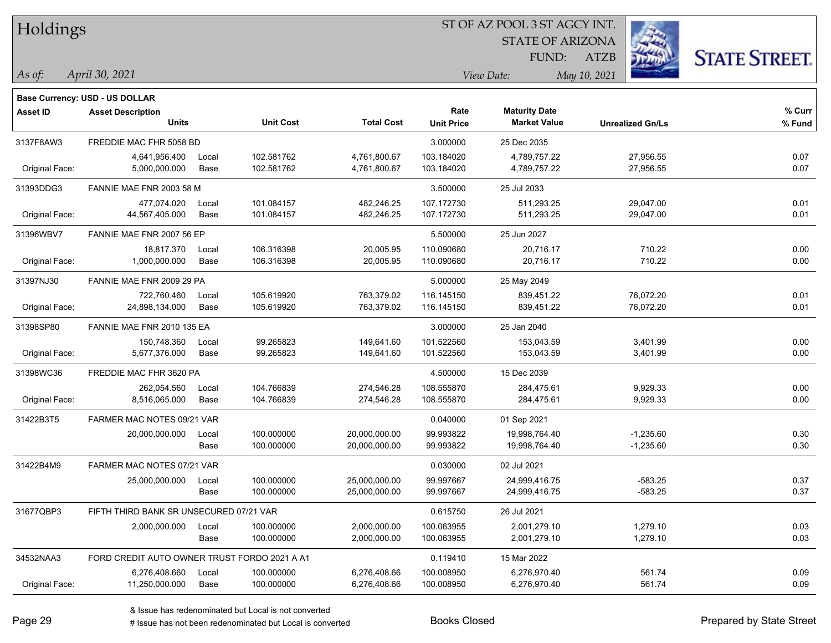| Holdings        |                                                            |       |                  |                   | ST OF AZ POOL 3 ST AGCY INT. |                         |                         |                      |  |  |
|-----------------|------------------------------------------------------------|-------|------------------|-------------------|------------------------------|-------------------------|-------------------------|----------------------|--|--|
|                 |                                                            |       |                  |                   |                              | <b>STATE OF ARIZONA</b> |                         |                      |  |  |
|                 |                                                            |       |                  |                   |                              | FUND:                   | <b>ATZB</b>             | <b>STATE STREET.</b> |  |  |
| $\vert$ As of:  | April 30, 2021                                             |       |                  |                   |                              | View Date:              | May 10, 2021            |                      |  |  |
|                 |                                                            |       |                  |                   |                              |                         |                         |                      |  |  |
| <b>Asset ID</b> | Base Currency: USD - US DOLLAR<br><b>Asset Description</b> |       |                  |                   | Rate                         | <b>Maturity Date</b>    |                         | % Curr               |  |  |
|                 | <b>Units</b>                                               |       | <b>Unit Cost</b> | <b>Total Cost</b> | <b>Unit Price</b>            | <b>Market Value</b>     | <b>Unrealized Gn/Ls</b> | % Fund               |  |  |
| 3137F8AW3       | FREDDIE MAC FHR 5058 BD                                    |       |                  |                   | 3.000000                     | 25 Dec 2035             |                         |                      |  |  |
|                 | 4,641,956.400                                              | Local | 102.581762       | 4,761,800.67      | 103.184020                   | 4,789,757.22            | 27,956.55               | 0.07                 |  |  |
| Original Face:  | 5,000,000.000                                              | Base  | 102.581762       | 4,761,800.67      | 103.184020                   | 4,789,757.22            | 27,956.55               | 0.07                 |  |  |
| 31393DDG3       | FANNIE MAE FNR 2003 58 M                                   |       |                  |                   | 3.500000                     | 25 Jul 2033             |                         |                      |  |  |
|                 | 477,074.020                                                | Local | 101.084157       | 482,246.25        | 107.172730                   | 511,293.25              | 29,047.00               | 0.01                 |  |  |
| Original Face:  | 44,567,405.000                                             | Base  | 101.084157       | 482,246.25        | 107.172730                   | 511,293.25              | 29,047.00               | 0.01                 |  |  |
| 31396WBV7       | FANNIE MAE FNR 2007 56 EP                                  |       |                  |                   | 5.500000                     | 25 Jun 2027             |                         |                      |  |  |
|                 | 18,817.370                                                 | Local | 106.316398       | 20,005.95         | 110.090680                   | 20,716.17               | 710.22                  | 0.00                 |  |  |
| Original Face:  | 1,000,000.000                                              | Base  | 106.316398       | 20,005.95         | 110.090680                   | 20,716.17               | 710.22                  | 0.00                 |  |  |
| 31397NJ30       | FANNIE MAE FNR 2009 29 PA                                  |       |                  |                   | 5.000000                     | 25 May 2049             |                         |                      |  |  |
|                 | 722,760.460                                                | Local | 105.619920       | 763,379.02        | 116.145150                   | 839,451.22              | 76,072.20               | 0.01                 |  |  |
| Original Face:  | 24,898,134.000                                             | Base  | 105.619920       | 763,379.02        | 116.145150                   | 839,451.22              | 76,072.20               | 0.01                 |  |  |
| 31398SP80       | FANNIE MAE FNR 2010 135 EA                                 |       |                  |                   | 3.000000                     | 25 Jan 2040             |                         |                      |  |  |
|                 | 150,748.360                                                | Local | 99.265823        | 149,641.60        | 101.522560                   | 153,043.59              | 3,401.99                | 0.00                 |  |  |
| Original Face:  | 5,677,376.000                                              | Base  | 99.265823        | 149,641.60        | 101.522560                   | 153,043.59              | 3,401.99                | 0.00                 |  |  |
| 31398WC36       | FREDDIE MAC FHR 3620 PA                                    |       |                  |                   | 4.500000                     | 15 Dec 2039             |                         |                      |  |  |
|                 | 262,054.560                                                | Local | 104.766839       | 274,546.28        | 108.555870                   | 284,475.61              | 9,929.33                | 0.00                 |  |  |
| Original Face:  | 8,516,065.000                                              | Base  | 104.766839       | 274,546.28        | 108.555870                   | 284,475.61              | 9,929.33                | 0.00                 |  |  |
| 31422B3T5       | FARMER MAC NOTES 09/21 VAR                                 |       |                  |                   | 0.040000                     | 01 Sep 2021             |                         |                      |  |  |
|                 | 20,000,000.000                                             | Local | 100.000000       | 20,000,000.00     | 99.993822                    | 19,998,764.40           | $-1,235.60$             | 0.30                 |  |  |
|                 |                                                            | Base  | 100.000000       | 20,000,000.00     | 99.993822                    | 19,998,764.40           | $-1,235.60$             | 0.30                 |  |  |
| 31422B4M9       | FARMER MAC NOTES 07/21 VAR                                 |       |                  |                   | 0.030000                     | 02 Jul 2021             |                         |                      |  |  |
|                 | 25,000,000.000                                             | Local | 100.000000       | 25,000,000.00     | 99.997667                    | 24,999,416.75           | -583.25                 | 0.37                 |  |  |
|                 |                                                            | Base  | 100.000000       | 25,000,000.00     | 99.997667                    | 24,999,416.75           | $-583.25$               | 0.37                 |  |  |
| 31677QBP3       | FIFTH THIRD BANK SR UNSECURED 07/21 VAR                    |       |                  |                   | 0.615750                     | 26 Jul 2021             |                         |                      |  |  |
|                 | 2,000,000.000                                              | Local | 100.000000       | 2,000,000.00      | 100.063955                   | 2,001,279.10            | 1,279.10                | 0.03                 |  |  |
|                 |                                                            | Base  | 100.000000       | 2,000,000.00      | 100.063955                   | 2,001,279.10            | 1,279.10                | 0.03                 |  |  |
| 34532NAA3       | FORD CREDIT AUTO OWNER TRUST FORDO 2021 A A1               |       |                  |                   | 0.119410                     | 15 Mar 2022             |                         |                      |  |  |
|                 | 6,276,408.660                                              | Local | 100.000000       | 6,276,408.66      | 100.008950                   | 6,276,970.40            | 561.74                  | 0.09                 |  |  |
| Original Face:  | 11,250,000.000                                             | Base  | 100.000000       | 6,276,408.66      | 100.008950                   | 6,276,970.40            | 561.74                  | 0.09                 |  |  |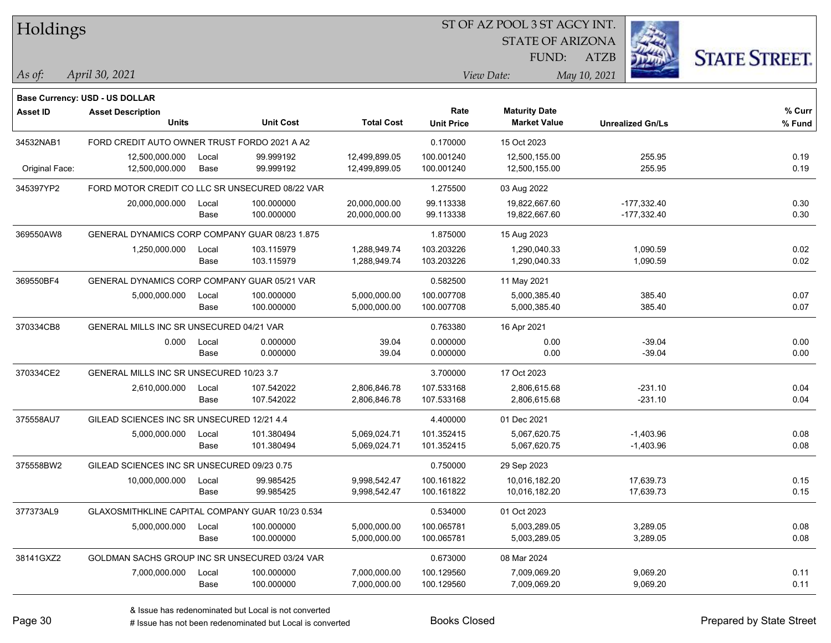| Holdings       |                                                            |       |                  |                   |                   | ST OF AZ POOL 3 ST AGCY INT. |                         |                      |
|----------------|------------------------------------------------------------|-------|------------------|-------------------|-------------------|------------------------------|-------------------------|----------------------|
|                |                                                            |       |                  |                   |                   | <b>STATE OF ARIZONA</b>      |                         |                      |
|                |                                                            |       |                  |                   |                   | FUND:                        | <b>ATZB</b>             | <b>STATE STREET.</b> |
| As of:         | April 30, 2021                                             |       |                  |                   |                   | View Date:                   | May 10, 2021            |                      |
|                |                                                            |       |                  |                   |                   |                              |                         |                      |
| Asset ID       | Base Currency: USD - US DOLLAR<br><b>Asset Description</b> |       |                  |                   | Rate              | <b>Maturity Date</b>         |                         | % Curr               |
|                | <b>Units</b>                                               |       | <b>Unit Cost</b> | <b>Total Cost</b> | <b>Unit Price</b> | <b>Market Value</b>          | <b>Unrealized Gn/Ls</b> | % Fund               |
| 34532NAB1      | FORD CREDIT AUTO OWNER TRUST FORDO 2021 A A2               |       |                  |                   | 0.170000          | 15 Oct 2023                  |                         |                      |
|                | 12,500,000.000                                             | Local | 99.999192        | 12,499,899.05     | 100.001240        | 12,500,155.00                | 255.95                  | 0.19                 |
| Original Face: | 12,500,000.000                                             | Base  | 99.999192        | 12,499,899.05     | 100.001240        | 12,500,155.00                | 255.95                  | 0.19                 |
| 345397YP2      | FORD MOTOR CREDIT CO LLC SR UNSECURED 08/22 VAR            |       |                  |                   | 1.275500          | 03 Aug 2022                  |                         |                      |
|                | 20,000,000.000                                             | Local | 100.000000       | 20,000,000.00     | 99.113338         | 19,822,667.60                | $-177,332.40$           | 0.30                 |
|                |                                                            | Base  | 100.000000       | 20,000,000.00     | 99.113338         | 19,822,667.60                | $-177,332.40$           | 0.30                 |
| 369550AW8      | GENERAL DYNAMICS CORP COMPANY GUAR 08/23 1.875             |       |                  |                   | 1.875000          | 15 Aug 2023                  |                         |                      |
|                | 1,250,000.000                                              | Local | 103.115979       | 1,288,949.74      | 103.203226        | 1,290,040.33                 | 1,090.59                | 0.02                 |
|                |                                                            | Base  | 103.115979       | 1,288,949.74      | 103.203226        | 1,290,040.33                 | 1,090.59                | 0.02                 |
| 369550BF4      | GENERAL DYNAMICS CORP COMPANY GUAR 05/21 VAR               |       |                  |                   | 0.582500          | 11 May 2021                  |                         |                      |
|                | 5,000,000.000                                              | Local | 100.000000       | 5,000,000.00      | 100.007708        | 5,000,385.40                 | 385.40                  | 0.07                 |
|                |                                                            | Base  | 100.000000       | 5,000,000.00      | 100.007708        | 5,000,385.40                 | 385.40                  | 0.07                 |
| 370334CB8      | GENERAL MILLS INC SR UNSECURED 04/21 VAR                   |       |                  |                   | 0.763380          | 16 Apr 2021                  |                         |                      |
|                | 0.000                                                      | Local | 0.000000         | 39.04             | 0.000000          | 0.00                         | $-39.04$                | 0.00                 |
|                |                                                            | Base  | 0.000000         | 39.04             | 0.000000          | 0.00                         | $-39.04$                | 0.00                 |
| 370334CE2      | GENERAL MILLS INC SR UNSECURED 10/23 3.7                   |       |                  |                   | 3.700000          | 17 Oct 2023                  |                         |                      |
|                | 2,610,000.000                                              | Local | 107.542022       | 2,806,846.78      | 107.533168        | 2,806,615.68                 | $-231.10$               | 0.04                 |
|                |                                                            | Base  | 107.542022       | 2,806,846.78      | 107.533168        | 2,806,615.68                 | $-231.10$               | 0.04                 |
| 375558AU7      | GILEAD SCIENCES INC SR UNSECURED 12/21 4.4                 |       |                  |                   | 4.400000          | 01 Dec 2021                  |                         |                      |
|                | 5,000,000.000                                              | Local | 101.380494       | 5,069,024.71      | 101.352415        | 5,067,620.75                 | $-1,403.96$             | 0.08                 |
|                |                                                            | Base  | 101.380494       | 5,069,024.71      | 101.352415        | 5,067,620.75                 | $-1,403.96$             | 0.08                 |
| 375558BW2      | GILEAD SCIENCES INC SR UNSECURED 09/23 0.75                |       |                  |                   | 0.750000          | 29 Sep 2023                  |                         |                      |
|                | 10,000,000.000                                             | Local | 99.985425        | 9,998,542.47      | 100.161822        | 10.016.182.20                | 17,639.73               | 0.15                 |
|                |                                                            | Base  | 99.985425        | 9,998,542.47      | 100.161822        | 10,016,182.20                | 17,639.73               | 0.15                 |
| 377373AL9      | GLAXOSMITHKLINE CAPITAL COMPANY GUAR 10/23 0.534           |       |                  |                   | 0.534000          | 01 Oct 2023                  |                         |                      |
|                | 5,000,000.000                                              | Local | 100.000000       | 5,000,000.00      | 100.065781        | 5,003,289.05                 | 3,289.05                | 0.08                 |
|                |                                                            | Base  | 100.000000       | 5,000,000.00      | 100.065781        | 5,003,289.05                 | 3,289.05                | 0.08                 |
| 38141GXZ2      | GOLDMAN SACHS GROUP INC SR UNSECURED 03/24 VAR             |       |                  |                   | 0.673000          | 08 Mar 2024                  |                         |                      |
|                | 7,000,000.000                                              | Local | 100.000000       | 7,000,000.00      | 100.129560        | 7,009,069.20                 | 9,069.20                | 0.11                 |
|                |                                                            | Base  | 100.000000       | 7,000,000.00      | 100.129560        | 7,009,069.20                 | 9,069.20                | 0.11                 |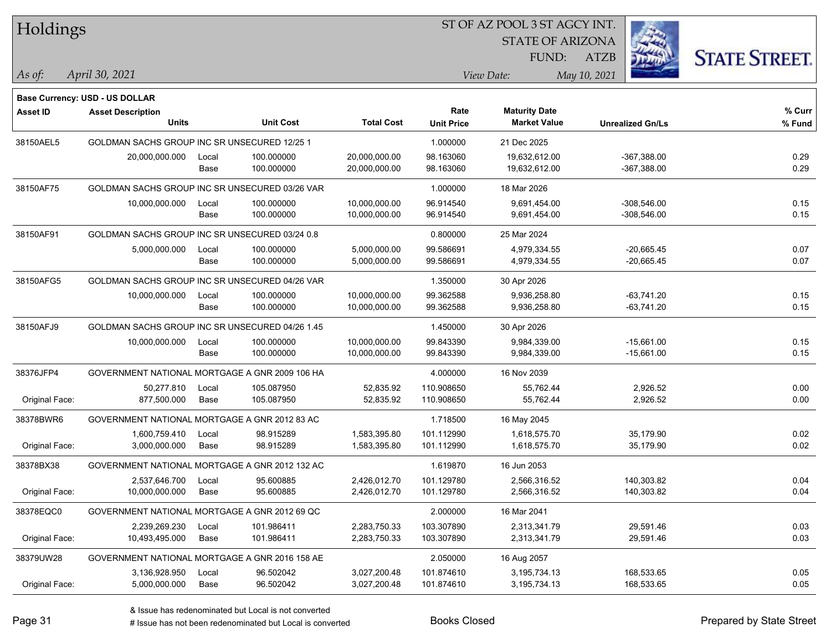| Holdings        |                                                 |       |                  |                   |                   | ST OF AZ POOL 3 ST AGCY INT. |                         |                      |
|-----------------|-------------------------------------------------|-------|------------------|-------------------|-------------------|------------------------------|-------------------------|----------------------|
|                 |                                                 |       |                  |                   |                   | <b>STATE OF ARIZONA</b>      |                         |                      |
|                 |                                                 |       |                  |                   |                   | <b>FUND:</b>                 | <b>ATZB</b>             | <b>STATE STREET.</b> |
| As of:          | April 30, 2021                                  |       |                  |                   |                   | View Date:                   | May 10, 2021            |                      |
|                 | <b>Base Currency: USD - US DOLLAR</b>           |       |                  |                   |                   |                              |                         |                      |
| <b>Asset ID</b> | <b>Asset Description</b>                        |       |                  |                   | Rate              | <b>Maturity Date</b>         |                         | % Curr               |
|                 | Units                                           |       | <b>Unit Cost</b> | <b>Total Cost</b> | <b>Unit Price</b> | <b>Market Value</b>          | <b>Unrealized Gn/Ls</b> | % Fund               |
| 38150AEL5       | GOLDMAN SACHS GROUP INC SR UNSECURED 12/25 1    |       |                  |                   | 1.000000          | 21 Dec 2025                  |                         |                      |
|                 | 20,000,000.000                                  | Local | 100.000000       | 20,000,000.00     | 98.163060         | 19,632,612.00                | $-367,388.00$           | 0.29                 |
|                 |                                                 | Base  | 100.000000       | 20,000,000.00     | 98.163060         | 19,632,612.00                | $-367,388.00$           | 0.29                 |
| 38150AF75       | GOLDMAN SACHS GROUP INC SR UNSECURED 03/26 VAR  |       |                  |                   | 1.000000          | 18 Mar 2026                  |                         |                      |
|                 | 10,000,000.000                                  | Local | 100.000000       | 10,000,000.00     | 96.914540         | 9,691,454.00                 | $-308,546.00$           | 0.15                 |
|                 |                                                 | Base  | 100.000000       | 10,000,000.00     | 96.914540         | 9,691,454.00                 | $-308,546.00$           | 0.15                 |
| 38150AF91       | GOLDMAN SACHS GROUP INC SR UNSECURED 03/24 0.8  |       |                  |                   | 0.800000          | 25 Mar 2024                  |                         |                      |
|                 | 5,000,000.000                                   | Local | 100.000000       | 5,000,000.00      | 99.586691         | 4,979,334.55                 | $-20,665.45$            | 0.07                 |
|                 |                                                 | Base  | 100.000000       | 5,000,000.00      | 99.586691         | 4,979,334.55                 | $-20,665.45$            | 0.07                 |
| 38150AFG5       | GOLDMAN SACHS GROUP INC SR UNSECURED 04/26 VAR  |       |                  |                   | 1.350000          | 30 Apr 2026                  |                         |                      |
|                 | 10,000,000.000                                  | Local | 100.000000       | 10,000,000.00     | 99.362588         | 9,936,258.80                 | $-63.741.20$            | 0.15                 |
|                 |                                                 | Base  | 100.000000       | 10,000,000.00     | 99.362588         | 9,936,258.80                 | $-63,741.20$            | 0.15                 |
| 38150AFJ9       | GOLDMAN SACHS GROUP INC SR UNSECURED 04/26 1.45 |       |                  |                   | 1.450000          | 30 Apr 2026                  |                         |                      |
|                 | 10,000,000.000                                  | Local | 100.000000       | 10,000,000.00     | 99.843390         | 9,984,339.00                 | $-15,661.00$            | 0.15                 |
|                 |                                                 | Base  | 100.000000       | 10,000,000.00     | 99.843390         | 9,984,339.00                 | $-15,661.00$            | 0.15                 |
| 38376JFP4       | GOVERNMENT NATIONAL MORTGAGE A GNR 2009 106 HA  |       |                  |                   | 4.000000          | 16 Nov 2039                  |                         |                      |
|                 | 50,277.810                                      | Local | 105.087950       | 52,835.92         | 110.908650        | 55,762.44                    | 2,926.52                | 0.00                 |
| Original Face:  | 877,500.000                                     | Base  | 105.087950       | 52,835.92         | 110.908650        | 55,762.44                    | 2,926.52                | 0.00                 |
| 38378BWR6       | GOVERNMENT NATIONAL MORTGAGE A GNR 2012 83 AC   |       |                  |                   | 1.718500          | 16 May 2045                  |                         |                      |
|                 | 1,600,759.410                                   | Local | 98.915289        | 1,583,395.80      | 101.112990        | 1,618,575.70                 | 35,179.90               | 0.02                 |
| Original Face:  | 3,000,000.000                                   | Base  | 98.915289        | 1,583,395.80      | 101.112990        | 1,618,575.70                 | 35,179.90               | 0.02                 |
| 38378BX38       | GOVERNMENT NATIONAL MORTGAGE A GNR 2012 132 AC  |       |                  |                   | 1.619870          | 16 Jun 2053                  |                         |                      |
|                 | 2,537,646.700                                   | Local | 95.600885        | 2,426,012.70      | 101.129780        | 2,566,316.52                 | 140,303.82              | 0.04                 |
| Original Face:  | 10,000,000.000                                  | Base  | 95.600885        | 2,426,012.70      | 101.129780        | 2,566,316.52                 | 140,303.82              | 0.04                 |
| 38378EQC0       | GOVERNMENT NATIONAL MORTGAGE A GNR 2012 69 QC   |       |                  |                   | 2.000000          | 16 Mar 2041                  |                         |                      |
|                 | 2,239,269.230                                   | Local | 101.986411       | 2,283,750.33      | 103.307890        | 2,313,341.79                 | 29,591.46               | 0.03                 |
| Original Face:  | 10,493,495.000                                  | Base  | 101.986411       | 2,283,750.33      | 103.307890        | 2,313,341.79                 | 29,591.46               | 0.03                 |
| 38379UW28       | GOVERNMENT NATIONAL MORTGAGE A GNR 2016 158 AE  |       |                  |                   | 2.050000          | 16 Aug 2057                  |                         |                      |
|                 | 3,136,928.950                                   | Local | 96.502042        | 3,027,200.48      | 101.874610        | 3,195,734.13                 | 168,533.65              | 0.05                 |
| Original Face:  | 5,000,000.000                                   | Base  | 96.502042        | 3,027,200.48      | 101.874610        | 3,195,734.13                 | 168,533.65              | 0.05                 |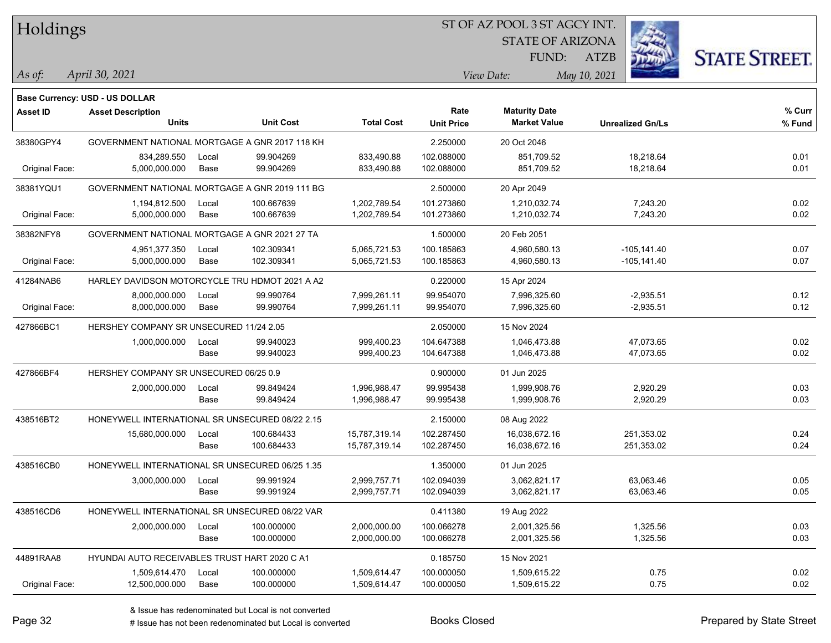Holdings

### ST OF AZ POOL 3 ST AGCY INT.

STATE OF ARIZONA

ATZB



*April 30, 2021 As of: View Date: May 10, 2021*

**Base Currency: USD - US DOLLAR**

FUND:

| <b>Asset ID</b> | <b>Asset Description</b>                        |       |                  |                   | Rate              | <b>Maturity Date</b> |                         | % Curr |
|-----------------|-------------------------------------------------|-------|------------------|-------------------|-------------------|----------------------|-------------------------|--------|
|                 | <b>Units</b>                                    |       | <b>Unit Cost</b> | <b>Total Cost</b> | <b>Unit Price</b> | <b>Market Value</b>  | <b>Unrealized Gn/Ls</b> | % Fund |
| 38380GPY4       | GOVERNMENT NATIONAL MORTGAGE A GNR 2017 118 KH  |       |                  |                   | 2.250000          | 20 Oct 2046          |                         |        |
|                 | 834,289.550                                     | Local | 99.904269        | 833,490.88        | 102.088000        | 851,709.52           | 18,218.64               | 0.01   |
| Original Face:  | 5,000,000.000                                   | Base  | 99.904269        | 833,490.88        | 102.088000        | 851,709.52           | 18,218.64               | 0.01   |
| 38381YQU1       | GOVERNMENT NATIONAL MORTGAGE A GNR 2019 111 BG  |       |                  |                   | 2.500000          | 20 Apr 2049          |                         |        |
|                 | 1,194,812.500                                   | Local | 100.667639       | 1,202,789.54      | 101.273860        | 1,210,032.74         | 7,243.20                | 0.02   |
| Original Face:  | 5,000,000.000                                   | Base  | 100.667639       | 1,202,789.54      | 101.273860        | 1,210,032.74         | 7,243.20                | 0.02   |
| 38382NFY8       | GOVERNMENT NATIONAL MORTGAGE A GNR 2021 27 TA   |       |                  |                   | 1.500000          | 20 Feb 2051          |                         |        |
|                 | 4,951,377.350                                   | Local | 102.309341       | 5,065,721.53      | 100.185863        | 4,960,580.13         | $-105, 141.40$          | 0.07   |
| Original Face:  | 5,000,000.000                                   | Base  | 102.309341       | 5,065,721.53      | 100.185863        | 4,960,580.13         | $-105, 141.40$          | 0.07   |
| 41284NAB6       | HARLEY DAVIDSON MOTORCYCLE TRU HDMOT 2021 A A2  |       |                  |                   | 0.220000          | 15 Apr 2024          |                         |        |
|                 | 8,000,000.000                                   | Local | 99.990764        | 7,999,261.11      | 99.954070         | 7,996,325.60         | $-2,935.51$             | 0.12   |
| Original Face:  | 8,000,000.000                                   | Base  | 99.990764        | 7,999,261.11      | 99.954070         | 7,996,325.60         | $-2,935.51$             | 0.12   |
| 427866BC1       | HERSHEY COMPANY SR UNSECURED 11/24 2.05         |       |                  |                   | 2.050000          | 15 Nov 2024          |                         |        |
|                 | 1,000,000.000                                   | Local | 99.940023        | 999,400.23        | 104.647388        | 1,046,473.88         | 47,073.65               | 0.02   |
|                 |                                                 | Base  | 99.940023        | 999,400.23        | 104.647388        | 1,046,473.88         | 47,073.65               | 0.02   |
| 427866BF4       | HERSHEY COMPANY SR UNSECURED 06/25 0.9          |       |                  |                   | 0.900000          | 01 Jun 2025          |                         |        |
|                 | 2,000,000.000                                   | Local | 99.849424        | 1,996,988.47      | 99.995438         | 1,999,908.76         | 2,920.29                | 0.03   |
|                 |                                                 | Base  | 99.849424        | 1,996,988.47      | 99.995438         | 1,999,908.76         | 2,920.29                | 0.03   |
| 438516BT2       | HONEYWELL INTERNATIONAL SR UNSECURED 08/22 2.15 |       |                  |                   | 2.150000          | 08 Aug 2022          |                         |        |
|                 | 15,680,000.000                                  | Local | 100.684433       | 15,787,319.14     | 102.287450        | 16,038,672.16        | 251,353.02              | 0.24   |
|                 |                                                 | Base  | 100.684433       | 15,787,319.14     | 102.287450        | 16,038,672.16        | 251,353.02              | 0.24   |
| 438516CB0       | HONEYWELL INTERNATIONAL SR UNSECURED 06/25 1.35 |       |                  |                   | 1.350000          | 01 Jun 2025          |                         |        |
|                 | 3,000,000.000                                   | Local | 99.991924        | 2,999,757.71      | 102.094039        | 3,062,821.17         | 63,063.46               | 0.05   |
|                 |                                                 | Base  | 99.991924        | 2,999,757.71      | 102.094039        | 3,062,821.17         | 63,063.46               | 0.05   |
| 438516CD6       | HONEYWELL INTERNATIONAL SR UNSECURED 08/22 VAR  |       |                  |                   | 0.411380          | 19 Aug 2022          |                         |        |
|                 | 2,000,000.000                                   | Local | 100.000000       | 2,000,000.00      | 100.066278        | 2,001,325.56         | 1,325.56                | 0.03   |
|                 |                                                 | Base  | 100.000000       | 2,000,000.00      | 100.066278        | 2,001,325.56         | 1,325.56                | 0.03   |
| 44891RAA8       | HYUNDAI AUTO RECEIVABLES TRUST HART 2020 C A1   |       |                  |                   | 0.185750          | 15 Nov 2021          |                         |        |
|                 | 1,509,614.470                                   | Local | 100.000000       | 1,509,614.47      | 100.000050        | 1,509,615.22         | 0.75                    | 0.02   |
| Original Face:  | 12,500,000.000                                  | Base  | 100.000000       | 1,509,614.47      | 100.000050        | 1,509,615.22         | 0.75                    | 0.02   |

 $\sim$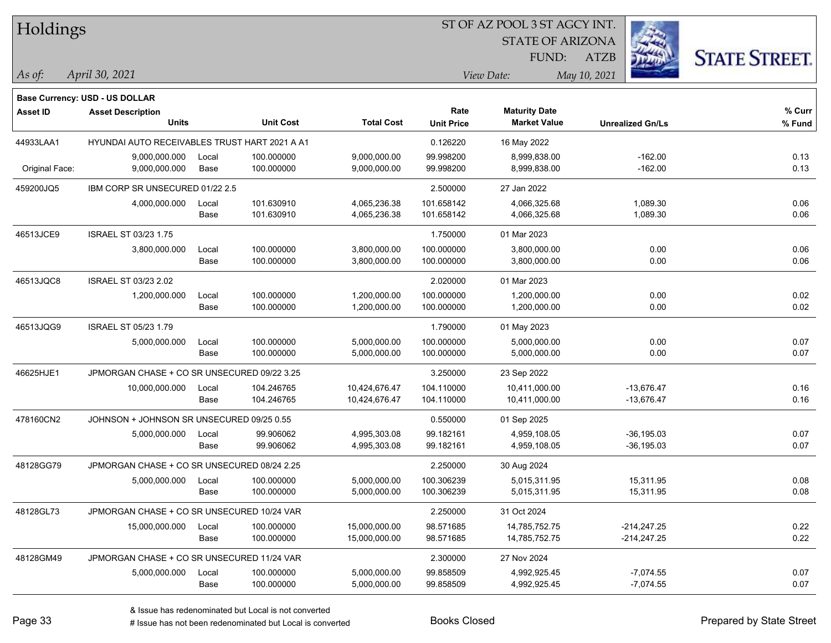| Holdings        |                                               |       |                  | ST OF AZ POOL 3 ST AGCY INT. |                   |                         |                         |                      |  |  |  |
|-----------------|-----------------------------------------------|-------|------------------|------------------------------|-------------------|-------------------------|-------------------------|----------------------|--|--|--|
|                 |                                               |       |                  |                              |                   | <b>STATE OF ARIZONA</b> |                         |                      |  |  |  |
|                 |                                               |       |                  |                              |                   | FUND:                   | <b>ATZB</b>             | <b>STATE STREET.</b> |  |  |  |
| As of:          | April 30, 2021                                |       |                  |                              |                   | View Date:              | May 10, 2021            |                      |  |  |  |
|                 | <b>Base Currency: USD - US DOLLAR</b>         |       |                  |                              |                   |                         |                         |                      |  |  |  |
| <b>Asset ID</b> | <b>Asset Description</b>                      |       |                  |                              | Rate              | <b>Maturity Date</b>    |                         | % Curr               |  |  |  |
|                 | <b>Units</b>                                  |       | <b>Unit Cost</b> | <b>Total Cost</b>            | <b>Unit Price</b> | <b>Market Value</b>     | <b>Unrealized Gn/Ls</b> | % Fund               |  |  |  |
| 44933LAA1       | HYUNDAI AUTO RECEIVABLES TRUST HART 2021 A A1 |       |                  |                              | 0.126220          | 16 May 2022             |                         |                      |  |  |  |
|                 | 9,000,000.000                                 | Local | 100.000000       | 9,000,000.00                 | 99.998200         | 8,999,838.00            | $-162.00$               | 0.13                 |  |  |  |
| Original Face:  | 9,000,000.000                                 | Base  | 100.000000       | 9,000,000.00                 | 99.998200         | 8,999,838.00            | $-162.00$               | 0.13                 |  |  |  |
| 459200JQ5       | IBM CORP SR UNSECURED 01/22 2.5               |       |                  |                              | 2.500000          | 27 Jan 2022             |                         |                      |  |  |  |
|                 | 4,000,000.000                                 | Local | 101.630910       | 4,065,236.38                 | 101.658142        | 4,066,325.68            | 1,089.30                | 0.06                 |  |  |  |
|                 |                                               | Base  | 101.630910       | 4,065,236.38                 | 101.658142        | 4,066,325.68            | 1,089.30                | 0.06                 |  |  |  |
| 46513JCE9       | <b>ISRAEL ST 03/23 1.75</b>                   |       |                  |                              | 1.750000          | 01 Mar 2023             |                         |                      |  |  |  |
|                 | 3,800,000.000                                 | Local | 100.000000       | 3,800,000.00                 | 100.000000        | 3,800,000.00            | 0.00                    | 0.06                 |  |  |  |
|                 |                                               | Base  | 100.000000       | 3,800,000.00                 | 100.000000        | 3,800,000.00            | 0.00                    | 0.06                 |  |  |  |
| 46513JQC8       | <b>ISRAEL ST 03/23 2.02</b>                   |       |                  |                              | 2.020000          | 01 Mar 2023             |                         |                      |  |  |  |
|                 | 1,200,000.000                                 | Local | 100.000000       | 1,200,000.00                 | 100.000000        | 1,200,000.00            | 0.00                    | 0.02                 |  |  |  |
|                 |                                               | Base  | 100.000000       | 1,200,000.00                 | 100.000000        | 1,200,000.00            | 0.00                    | 0.02                 |  |  |  |
| 46513JQG9       | <b>ISRAEL ST 05/23 1.79</b>                   |       |                  |                              | 1.790000          | 01 May 2023             |                         |                      |  |  |  |
|                 | 5,000,000.000                                 | Local | 100.000000       | 5,000,000.00                 | 100.000000        | 5,000,000.00            | 0.00                    | 0.07                 |  |  |  |
|                 |                                               | Base  | 100.000000       | 5,000,000.00                 | 100.000000        | 5,000,000.00            | 0.00                    | 0.07                 |  |  |  |
| 46625HJE1       | JPMORGAN CHASE + CO SR UNSECURED 09/22 3.25   |       |                  |                              | 3.250000          | 23 Sep 2022             |                         |                      |  |  |  |
|                 | 10,000,000.000                                | Local | 104.246765       | 10,424,676.47                | 104.110000        | 10,411,000.00           | $-13,676.47$            | 0.16                 |  |  |  |
|                 |                                               | Base  | 104.246765       | 10,424,676.47                | 104.110000        | 10,411,000.00           | $-13,676.47$            | 0.16                 |  |  |  |
| 478160CN2       | JOHNSON + JOHNSON SR UNSECURED 09/25 0.55     |       |                  |                              | 0.550000          | 01 Sep 2025             |                         |                      |  |  |  |
|                 | 5,000,000.000                                 | Local | 99.906062        | 4,995,303.08                 | 99.182161         | 4,959,108.05            | $-36, 195.03$           | 0.07                 |  |  |  |
|                 |                                               | Base  | 99.906062        | 4,995,303.08                 | 99.182161         | 4,959,108.05            | $-36, 195.03$           | 0.07                 |  |  |  |
| 48128GG79       | JPMORGAN CHASE + CO SR UNSECURED 08/24 2.25   |       |                  |                              | 2.250000          | 30 Aug 2024             |                         |                      |  |  |  |
|                 | 5,000,000.000 Local                           |       | 100.000000       | 5,000,000.00                 | 100.306239        | 5,015,311.95            | 15,311.95               | 0.08                 |  |  |  |
|                 |                                               | Base  | 100.000000       | 5,000,000.00                 | 100.306239        | 5,015,311.95            | 15,311.95               | 0.08                 |  |  |  |
| 48128GL73       | JPMORGAN CHASE + CO SR UNSECURED 10/24 VAR    |       |                  |                              | 2.250000          | 31 Oct 2024             |                         |                      |  |  |  |
|                 | 15,000,000.000                                | Local | 100.000000       | 15,000,000.00                | 98.571685         | 14,785,752.75           | $-214,247.25$           | 0.22                 |  |  |  |
|                 |                                               | Base  | 100.000000       | 15,000,000.00                | 98.571685         | 14,785,752.75           | $-214,247.25$           | 0.22                 |  |  |  |
| 48128GM49       | JPMORGAN CHASE + CO SR UNSECURED 11/24 VAR    |       |                  |                              | 2.300000          | 27 Nov 2024             |                         |                      |  |  |  |
|                 | 5,000,000.000                                 | Local | 100.000000       | 5,000,000.00                 | 99.858509         | 4,992,925.45            | $-7,074.55$             | 0.07                 |  |  |  |
|                 |                                               | Base  | 100.000000       | 5,000,000.00                 | 99.858509         | 4,992,925.45            | $-7,074.55$             | 0.07                 |  |  |  |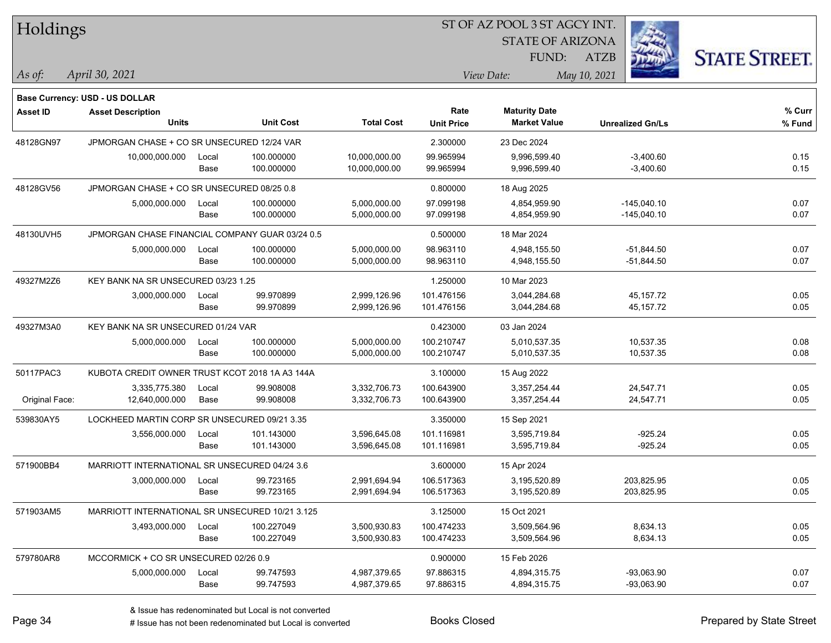| Holdings        |                                                 |       |                  |                   |                   | ST OF AZ POOL 3 ST AGCY INT. |                         |                      |
|-----------------|-------------------------------------------------|-------|------------------|-------------------|-------------------|------------------------------|-------------------------|----------------------|
|                 |                                                 |       |                  |                   |                   | <b>STATE OF ARIZONA</b>      |                         |                      |
|                 |                                                 |       |                  |                   |                   | FUND:                        | <b>ATZB</b>             | <b>STATE STREET.</b> |
| As of:          | April 30, 2021                                  |       |                  |                   |                   | View Date:                   | May 10, 2021            |                      |
|                 | <b>Base Currency: USD - US DOLLAR</b>           |       |                  |                   |                   |                              |                         |                      |
| <b>Asset ID</b> | <b>Asset Description</b>                        |       |                  |                   | Rate              | <b>Maturity Date</b>         |                         | % Curr               |
|                 | <b>Units</b>                                    |       | <b>Unit Cost</b> | <b>Total Cost</b> | <b>Unit Price</b> | <b>Market Value</b>          | <b>Unrealized Gn/Ls</b> | % Fund               |
| 48128GN97       | JPMORGAN CHASE + CO SR UNSECURED 12/24 VAR      |       |                  |                   | 2.300000          | 23 Dec 2024                  |                         |                      |
|                 | 10,000,000.000                                  | Local | 100.000000       | 10,000,000.00     | 99.965994         | 9,996,599.40                 | $-3,400.60$             | 0.15                 |
|                 |                                                 | Base  | 100.000000       | 10,000,000.00     | 99.965994         | 9,996,599.40                 | $-3,400.60$             | 0.15                 |
| 48128GV56       | JPMORGAN CHASE + CO SR UNSECURED 08/25 0.8      |       |                  |                   | 0.800000          | 18 Aug 2025                  |                         |                      |
|                 | 5,000,000.000                                   | Local | 100.000000       | 5,000,000.00      | 97.099198         | 4,854,959.90                 | $-145,040.10$           | 0.07                 |
|                 |                                                 | Base  | 100.000000       | 5,000,000.00      | 97.099198         | 4,854,959.90                 | $-145,040.10$           | 0.07                 |
| 48130UVH5       | JPMORGAN CHASE FINANCIAL COMPANY GUAR 03/24 0.5 |       |                  |                   | 0.500000          | 18 Mar 2024                  |                         |                      |
|                 | 5,000,000.000                                   | Local | 100.000000       | 5,000,000.00      | 98.963110         | 4,948,155.50                 | $-51,844.50$            | 0.07                 |
|                 |                                                 | Base  | 100.000000       | 5,000,000.00      | 98.963110         | 4,948,155.50                 | $-51,844.50$            | 0.07                 |
| 49327M2Z6       | KEY BANK NA SR UNSECURED 03/23 1.25             |       |                  |                   | 1.250000          | 10 Mar 2023                  |                         |                      |
|                 | 3,000,000.000                                   | Local | 99.970899        | 2,999,126.96      | 101.476156        | 3,044,284.68                 | 45, 157. 72             | 0.05                 |
|                 |                                                 | Base  | 99.970899        | 2,999,126.96      | 101.476156        | 3,044,284.68                 | 45,157.72               | 0.05                 |
| 49327M3A0       | KEY BANK NA SR UNSECURED 01/24 VAR              |       |                  |                   | 0.423000          | 03 Jan 2024                  |                         |                      |
|                 | 5,000,000.000                                   | Local | 100.000000       | 5,000,000.00      | 100.210747        | 5,010,537.35                 | 10,537.35               | 0.08                 |
|                 |                                                 | Base  | 100.000000       | 5,000,000.00      | 100.210747        | 5,010,537.35                 | 10,537.35               | 0.08                 |
| 50117PAC3       | KUBOTA CREDIT OWNER TRUST KCOT 2018 1A A3 144A  |       |                  |                   | 3.100000          | 15 Aug 2022                  |                         |                      |
|                 | 3,335,775.380                                   | Local | 99.908008        | 3,332,706.73      | 100.643900        | 3,357,254.44                 | 24,547.71               | 0.05                 |
| Original Face:  | 12,640,000.000                                  | Base  | 99.908008        | 3,332,706.73      | 100.643900        | 3,357,254.44                 | 24,547.71               | 0.05                 |
| 539830AY5       | LOCKHEED MARTIN CORP SR UNSECURED 09/21 3.35    |       |                  |                   | 3.350000          | 15 Sep 2021                  |                         |                      |
|                 | 3,556,000.000                                   | Local | 101.143000       | 3,596,645.08      | 101.116981        | 3,595,719.84                 | $-925.24$               | 0.05                 |
|                 |                                                 | Base  | 101.143000       | 3,596,645.08      | 101.116981        | 3,595,719.84                 | $-925.24$               | 0.05                 |
| 571900BB4       | MARRIOTT INTERNATIONAL SR UNSECURED 04/24 3.6   |       |                  |                   | 3.600000          | 15 Apr 2024                  |                         |                      |
|                 | 3,000,000.000                                   | Local | 99.723165        | 2,991,694.94      | 106.517363        | 3,195,520.89                 | 203,825.95              | 0.05                 |
|                 |                                                 | Base  | 99.723165        | 2,991,694.94      | 106.517363        | 3,195,520.89                 | 203,825.95              | 0.05                 |
| 571903AM5       | MARRIOTT INTERNATIONAL SR UNSECURED 10/21 3.125 |       |                  |                   | 3.125000          | 15 Oct 2021                  |                         |                      |
|                 | 3,493,000.000                                   | Local | 100.227049       | 3,500,930.83      | 100.474233        | 3,509,564.96                 | 8,634.13                | 0.05                 |
|                 |                                                 | Base  | 100.227049       | 3,500,930.83      | 100.474233        | 3,509,564.96                 | 8,634.13                | 0.05                 |
| 579780AR8       | MCCORMICK + CO SR UNSECURED 02/26 0.9           |       |                  |                   | 0.900000          | 15 Feb 2026                  |                         |                      |
|                 | 5,000,000.000                                   | Local | 99.747593        | 4,987,379.65      | 97.886315         | 4,894,315.75                 | -93,063.90              | 0.07                 |
|                 |                                                 | Base  | 99.747593        | 4,987,379.65      | 97.886315         | 4,894,315.75                 | -93,063.90              | 0.07                 |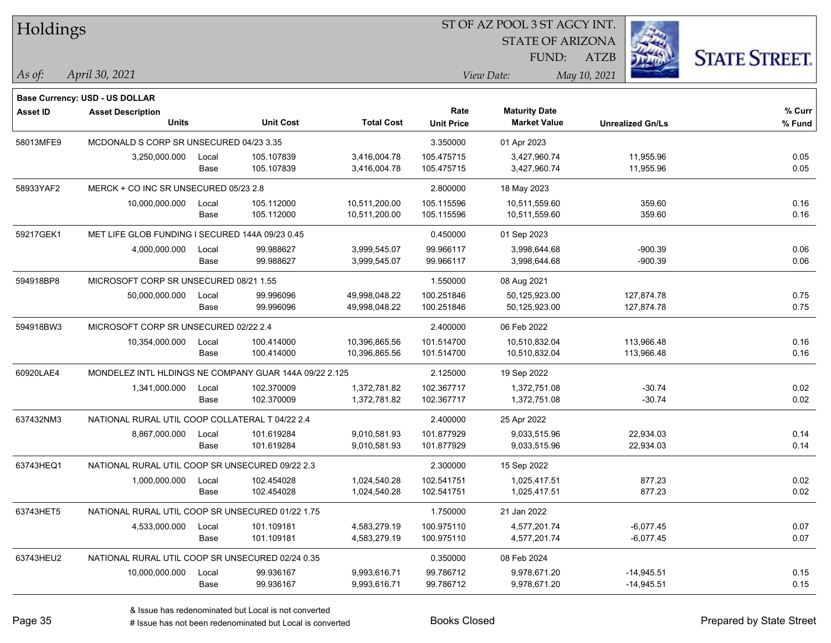| Holdings        |                                                            |       |                  |                   | ST OF AZ POOL 3 ST AGCY INT. |                         |                         |                      |  |  |
|-----------------|------------------------------------------------------------|-------|------------------|-------------------|------------------------------|-------------------------|-------------------------|----------------------|--|--|
|                 |                                                            |       |                  |                   |                              | <b>STATE OF ARIZONA</b> |                         |                      |  |  |
|                 |                                                            |       |                  |                   |                              | FUND:                   | <b>ATZB</b>             | <b>STATE STREET.</b> |  |  |
| As of:          | April 30, 2021                                             |       |                  |                   |                              | View Date:              | May 10, 2021            |                      |  |  |
|                 |                                                            |       |                  |                   |                              |                         |                         |                      |  |  |
| <b>Asset ID</b> | Base Currency: USD - US DOLLAR<br><b>Asset Description</b> |       |                  |                   | Rate                         | <b>Maturity Date</b>    |                         | % Curr               |  |  |
|                 | <b>Units</b>                                               |       | <b>Unit Cost</b> | <b>Total Cost</b> | <b>Unit Price</b>            | <b>Market Value</b>     | <b>Unrealized Gn/Ls</b> | % Fund               |  |  |
| 58013MFE9       | MCDONALD S CORP SR UNSECURED 04/23 3.35                    |       |                  |                   | 3.350000                     | 01 Apr 2023             |                         |                      |  |  |
|                 | 3,250,000.000                                              | Local | 105.107839       | 3,416,004.78      | 105.475715                   | 3,427,960.74            | 11,955.96               | 0.05                 |  |  |
|                 |                                                            | Base  | 105.107839       | 3,416,004.78      | 105.475715                   | 3,427,960.74            | 11,955.96               | 0.05                 |  |  |
| 58933YAF2       | MERCK + CO INC SR UNSECURED 05/23 2.8                      |       |                  |                   | 2.800000                     | 18 May 2023             |                         |                      |  |  |
|                 | 10,000,000.000                                             | Local | 105.112000       | 10,511,200.00     | 105.115596                   | 10,511,559.60           | 359.60                  | 0.16                 |  |  |
|                 |                                                            | Base  | 105.112000       | 10,511,200.00     | 105.115596                   | 10,511,559.60           | 359.60                  | 0.16                 |  |  |
| 59217GEK1       | MET LIFE GLOB FUNDING I SECURED 144A 09/23 0.45            |       |                  |                   | 0.450000                     | 01 Sep 2023             |                         |                      |  |  |
|                 | 4,000,000.000                                              | Local | 99.988627        | 3,999,545.07      | 99.966117                    | 3,998,644.68            | $-900.39$               | 0.06                 |  |  |
|                 |                                                            | Base  | 99.988627        | 3,999,545.07      | 99.966117                    | 3,998,644.68            | $-900.39$               | 0.06                 |  |  |
| 594918BP8       | MICROSOFT CORP SR UNSECURED 08/21 1.55                     |       |                  |                   | 1.550000                     | 08 Aug 2021             |                         |                      |  |  |
|                 | 50,000,000.000                                             | Local | 99.996096        | 49,998,048.22     | 100.251846                   | 50,125,923.00           | 127,874.78              | 0.75                 |  |  |
|                 |                                                            | Base  | 99.996096        | 49,998,048.22     | 100.251846                   | 50,125,923.00           | 127,874.78              | 0.75                 |  |  |
| 594918BW3       | MICROSOFT CORP SR UNSECURED 02/22 2.4                      |       |                  |                   | 2.400000                     | 06 Feb 2022             |                         |                      |  |  |
|                 | 10,354,000.000                                             | Local | 100.414000       | 10,396,865.56     | 101.514700                   | 10,510,832.04           | 113,966.48              | 0.16                 |  |  |
|                 |                                                            | Base  | 100.414000       | 10,396,865.56     | 101.514700                   | 10,510,832.04           | 113,966.48              | 0.16                 |  |  |
| 60920LAE4       | MONDELEZ INTL HLDINGS NE COMPANY GUAR 144A 09/22 2.125     |       |                  |                   | 2.125000                     | 19 Sep 2022             |                         |                      |  |  |
|                 | 1,341,000.000                                              | Local | 102.370009       | 1,372,781.82      | 102.367717                   | 1,372,751.08            | $-30.74$                | 0.02                 |  |  |
|                 |                                                            | Base  | 102.370009       | 1,372,781.82      | 102.367717                   | 1,372,751.08            | $-30.74$                | 0.02                 |  |  |
| 637432NM3       | NATIONAL RURAL UTIL COOP COLLATERAL T 04/22 2.4            |       |                  |                   | 2.400000                     | 25 Apr 2022             |                         |                      |  |  |
|                 | 8,867,000.000                                              | Local | 101.619284       | 9,010,581.93      | 101.877929                   | 9,033,515.96            | 22,934.03               | 0.14                 |  |  |
|                 |                                                            | Base  | 101.619284       | 9,010,581.93      | 101.877929                   | 9,033,515.96            | 22,934.03               | 0.14                 |  |  |
| 63743HEQ1       | NATIONAL RURAL UTIL COOP SR UNSECURED 09/22 2.3            |       |                  |                   | 2.300000                     | 15 Sep 2022             |                         |                      |  |  |
|                 | 1,000,000.000                                              | Local | 102.454028       | 1,024,540.28      | 102.541751                   | 1,025,417.51            | 877.23                  | 0.02                 |  |  |
|                 |                                                            | Base  | 102.454028       | 1,024,540.28      | 102.541751                   | 1,025,417.51            | 877.23                  | 0.02                 |  |  |
| 63743HET5       | NATIONAL RURAL UTIL COOP SR UNSECURED 01/22 1.75           |       |                  |                   | 1.750000                     | 21 Jan 2022             |                         |                      |  |  |
|                 | 4,533,000.000                                              | Local | 101.109181       | 4,583,279.19      | 100.975110                   | 4,577,201.74            | $-6,077.45$             | 0.07                 |  |  |
|                 |                                                            | Base  | 101.109181       | 4,583,279.19      | 100.975110                   | 4,577,201.74            | $-6,077.45$             | 0.07                 |  |  |
| 63743HEU2       | NATIONAL RURAL UTIL COOP SR UNSECURED 02/24 0.35           |       |                  |                   | 0.350000                     | 08 Feb 2024             |                         |                      |  |  |
|                 | 10,000,000.000                                             | Local | 99.936167        | 9,993,616.71      | 99.786712                    | 9,978,671.20            | $-14,945.51$            | 0.15                 |  |  |
|                 |                                                            | Base  | 99.936167        | 9,993,616.71      | 99.786712                    | 9,978,671.20            | $-14,945.51$            | 0.15                 |  |  |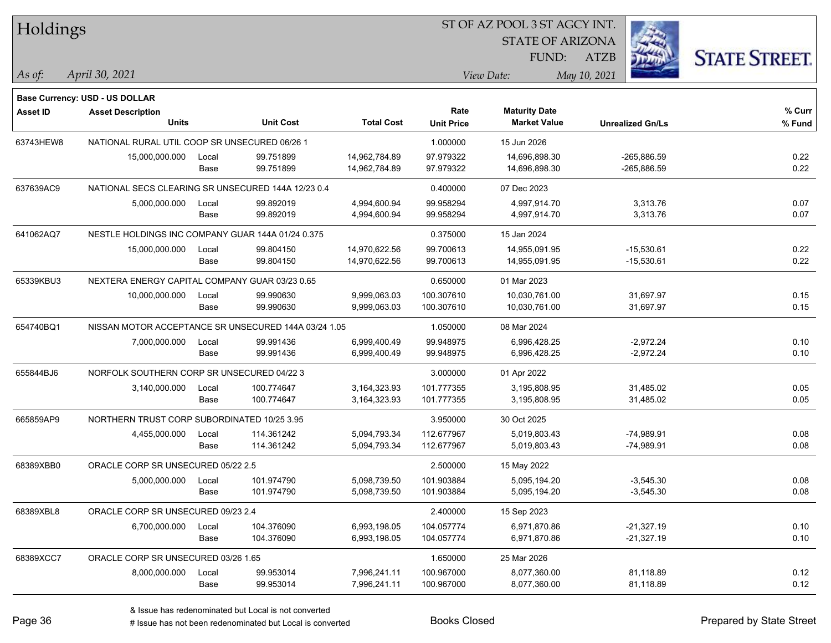| Holdings        |                                                      |       |                  |                   | ST OF AZ POOL 3 ST AGCY INT. |                                             |                         |                      |  |
|-----------------|------------------------------------------------------|-------|------------------|-------------------|------------------------------|---------------------------------------------|-------------------------|----------------------|--|
|                 |                                                      |       |                  |                   |                              | <b>STATE OF ARIZONA</b>                     |                         |                      |  |
|                 |                                                      |       |                  |                   |                              | FUND:                                       | <b>ATZB</b>             | <b>STATE STREET.</b> |  |
| $ As\;of:$      | April 30, 2021                                       |       |                  |                   |                              | View Date:                                  | May 10, 2021            |                      |  |
|                 |                                                      |       |                  |                   |                              |                                             |                         |                      |  |
|                 | Base Currency: USD - US DOLLAR                       |       |                  |                   | Rate                         |                                             |                         | % Curr               |  |
| <b>Asset ID</b> | <b>Asset Description</b><br><b>Units</b>             |       | <b>Unit Cost</b> | <b>Total Cost</b> | <b>Unit Price</b>            | <b>Maturity Date</b><br><b>Market Value</b> | <b>Unrealized Gn/Ls</b> | % Fund               |  |
| 63743HEW8       | NATIONAL RURAL UTIL COOP SR UNSECURED 06/26 1        |       |                  |                   | 1.000000                     | 15 Jun 2026                                 |                         |                      |  |
|                 | 15,000,000.000                                       | Local | 99.751899        | 14,962,784.89     | 97.979322                    | 14,696,898.30                               | $-265,886.59$           | 0.22                 |  |
|                 |                                                      | Base  | 99.751899        | 14,962,784.89     | 97.979322                    | 14,696,898.30                               | $-265,886.59$           | 0.22                 |  |
| 637639AC9       | NATIONAL SECS CLEARING SR UNSECURED 144A 12/23 0.4   |       |                  |                   | 0.400000                     | 07 Dec 2023                                 |                         |                      |  |
|                 | 5,000,000.000                                        | Local | 99.892019        | 4,994,600.94      | 99.958294                    | 4,997,914.70                                | 3,313.76                | 0.07                 |  |
|                 |                                                      | Base  | 99.892019        | 4,994,600.94      | 99.958294                    | 4,997,914.70                                | 3,313.76                | 0.07                 |  |
| 641062AQ7       | NESTLE HOLDINGS INC COMPANY GUAR 144A 01/24 0.375    |       |                  |                   | 0.375000                     | 15 Jan 2024                                 |                         |                      |  |
|                 | 15,000,000.000                                       | Local | 99.804150        | 14,970,622.56     | 99.700613                    | 14,955,091.95                               | $-15,530.61$            | 0.22                 |  |
|                 |                                                      | Base  | 99.804150        | 14,970,622.56     | 99.700613                    | 14,955,091.95                               | $-15,530.61$            | 0.22                 |  |
| 65339KBU3       | NEXTERA ENERGY CAPITAL COMPANY GUAR 03/23 0.65       |       |                  |                   | 0.650000                     | 01 Mar 2023                                 |                         |                      |  |
|                 | 10,000,000.000                                       | Local | 99.990630        | 9,999,063.03      | 100.307610                   | 10,030,761.00                               | 31,697.97               | 0.15                 |  |
|                 |                                                      | Base  | 99.990630        | 9,999,063.03      | 100.307610                   | 10,030,761.00                               | 31,697.97               | 0.15                 |  |
| 654740BQ1       | NISSAN MOTOR ACCEPTANCE SR UNSECURED 144A 03/24 1.05 |       |                  |                   | 1.050000                     | 08 Mar 2024                                 |                         |                      |  |
|                 | 7,000,000.000                                        | Local | 99.991436        | 6,999,400.49      | 99.948975                    | 6,996,428.25                                | $-2,972.24$             | 0.10                 |  |
|                 |                                                      | Base  | 99.991436        | 6,999,400.49      | 99.948975                    | 6,996,428.25                                | $-2,972.24$             | 0.10                 |  |
| 655844BJ6       | NORFOLK SOUTHERN CORP SR UNSECURED 04/22 3           |       |                  |                   | 3.000000                     | 01 Apr 2022                                 |                         |                      |  |
|                 | 3,140,000.000                                        | Local | 100.774647       | 3,164,323.93      | 101.777355                   | 3,195,808.95                                | 31,485.02               | 0.05                 |  |
|                 |                                                      | Base  | 100.774647       | 3, 164, 323. 93   | 101.777355                   | 3,195,808.95                                | 31,485.02               | 0.05                 |  |
| 665859AP9       | NORTHERN TRUST CORP SUBORDINATED 10/25 3.95          |       |                  |                   | 3.950000                     | 30 Oct 2025                                 |                         |                      |  |
|                 | 4,455,000.000                                        | Local | 114.361242       | 5,094,793.34      | 112.677967                   | 5,019,803.43                                | $-74,989.91$            | 0.08                 |  |
|                 |                                                      | Base  | 114.361242       | 5,094,793.34      | 112.677967                   | 5,019,803.43                                | $-74,989.91$            | 0.08                 |  |
| 68389XBB0       | ORACLE CORP SR UNSECURED 05/22 2.5                   |       |                  |                   | 2.500000                     | 15 May 2022                                 |                         |                      |  |
|                 | 5,000,000.000                                        | Local | 101.974790       | 5,098,739.50      | 101.903884                   | 5,095,194.20                                | $-3,545.30$             | 0.08                 |  |
|                 |                                                      | Base  | 101.974790       | 5,098,739.50      | 101.903884                   | 5,095,194.20                                | $-3,545.30$             | 0.08                 |  |
| 68389XBL8       | ORACLE CORP SR UNSECURED 09/23 2.4                   |       |                  |                   | 2.400000                     | 15 Sep 2023                                 |                         |                      |  |
|                 | 6,700,000.000                                        | Local | 104.376090       | 6,993,198.05      | 104.057774                   | 6,971,870.86                                | $-21,327.19$            | 0.10                 |  |
|                 |                                                      | Base  | 104.376090       | 6,993,198.05      | 104.057774                   | 6,971,870.86                                | $-21,327.19$            | 0.10                 |  |
| 68389XCC7       | ORACLE CORP SR UNSECURED 03/26 1.65                  |       |                  |                   | 1.650000                     | 25 Mar 2026                                 |                         |                      |  |
|                 | 8,000,000.000                                        | Local | 99.953014        | 7,996,241.11      | 100.967000                   | 8,077,360.00                                | 81,118.89               | 0.12                 |  |
|                 |                                                      | Base  | 99.953014        | 7,996,241.11      | 100.967000                   | 8,077,360.00                                | 81,118.89               | 0.12                 |  |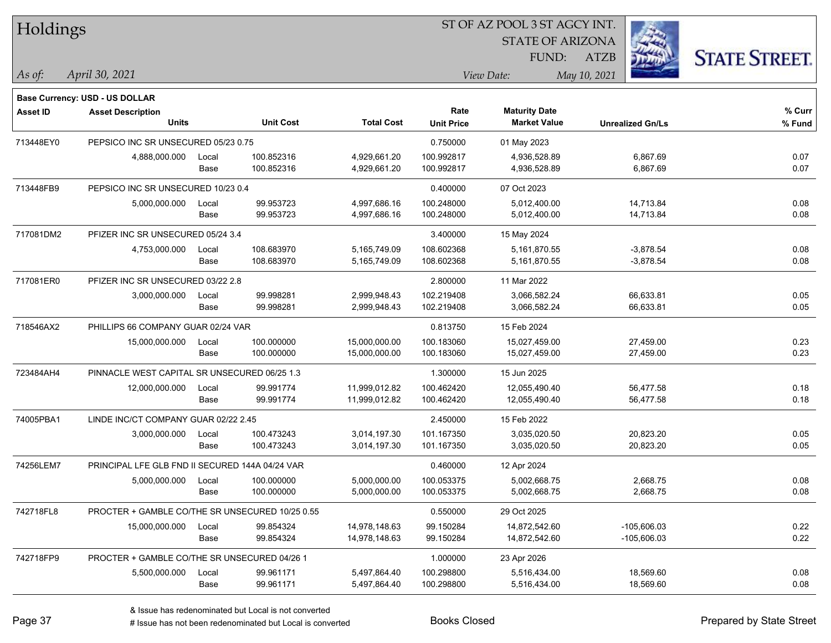| Holdings        |                                                 |       |                  |                   |                   | 51 OF AZ POOL 3 51 AGCY INT.<br><b>STATE OF ARIZONA</b> |                         |                      |
|-----------------|-------------------------------------------------|-------|------------------|-------------------|-------------------|---------------------------------------------------------|-------------------------|----------------------|
|                 |                                                 |       |                  |                   |                   | FUND:                                                   | <b>ATZB</b>             | <b>STATE STREET.</b> |
| As of:          | April 30, 2021                                  |       |                  |                   |                   | View Date:                                              | May 10, 2021            |                      |
|                 | <b>Base Currency: USD - US DOLLAR</b>           |       |                  |                   |                   |                                                         |                         |                      |
| <b>Asset ID</b> | <b>Asset Description</b>                        |       |                  |                   | Rate              | <b>Maturity Date</b>                                    |                         | % Curr               |
|                 | <b>Units</b>                                    |       | <b>Unit Cost</b> | <b>Total Cost</b> | <b>Unit Price</b> | <b>Market Value</b>                                     | <b>Unrealized Gn/Ls</b> | % Fund               |
| 713448EY0       | PEPSICO INC SR UNSECURED 05/23 0.75             |       |                  |                   | 0.750000          | 01 May 2023                                             |                         |                      |
|                 | 4,888,000.000                                   | Local | 100.852316       | 4,929,661.20      | 100.992817        | 4,936,528.89                                            | 6,867.69                | 0.07                 |
|                 |                                                 | Base  | 100.852316       | 4,929,661.20      | 100.992817        | 4,936,528.89                                            | 6,867.69                | 0.07                 |
| 713448FB9       | PEPSICO INC SR UNSECURED 10/23 0.4              |       |                  |                   | 0.400000          | 07 Oct 2023                                             |                         |                      |
|                 | 5,000,000.000                                   | Local | 99.953723        | 4,997,686.16      | 100.248000        | 5,012,400.00                                            | 14,713.84               | 0.08                 |
|                 |                                                 | Base  | 99.953723        | 4,997,686.16      | 100.248000        | 5,012,400.00                                            | 14,713.84               | 0.08                 |
| 717081DM2       | PFIZER INC SR UNSECURED 05/24 3.4               |       |                  |                   | 3.400000          | 15 May 2024                                             |                         |                      |
|                 | 4,753,000.000                                   | Local | 108.683970       | 5,165,749.09      | 108.602368        | 5,161,870.55                                            | $-3,878.54$             | 0.08                 |
|                 |                                                 | Base  | 108.683970       | 5,165,749.09      | 108.602368        | 5,161,870.55                                            | $-3,878.54$             | 0.08                 |
| 717081ER0       | PFIZER INC SR UNSECURED 03/22 2.8               |       |                  |                   | 2.800000          | 11 Mar 2022                                             |                         |                      |
|                 | 3,000,000.000                                   | Local | 99.998281        | 2,999,948.43      | 102.219408        | 3,066,582.24                                            | 66,633.81               | 0.05                 |
|                 |                                                 | Base  | 99.998281        | 2,999,948.43      | 102.219408        | 3,066,582.24                                            | 66,633.81               | 0.05                 |
| 718546AX2       | PHILLIPS 66 COMPANY GUAR 02/24 VAR              |       |                  | 0.813750          | 15 Feb 2024       |                                                         |                         |                      |
|                 | 15,000,000.000                                  | Local | 100.000000       | 15,000,000.00     | 100.183060        | 15,027,459.00                                           | 27,459.00               | 0.23                 |
|                 |                                                 | Base  | 100.000000       | 15,000,000.00     | 100.183060        | 15,027,459.00                                           | 27,459.00               | 0.23                 |
| 723484AH4       | PINNACLE WEST CAPITAL SR UNSECURED 06/25 1.3    |       |                  |                   | 1.300000          | 15 Jun 2025                                             |                         |                      |
|                 | 12,000,000.000                                  | Local | 99.991774        | 11,999,012.82     | 100.462420        | 12,055,490.40                                           | 56,477.58               | 0.18                 |
|                 |                                                 | Base  | 99.991774        | 11,999,012.82     | 100.462420        | 12,055,490.40                                           | 56,477.58               | 0.18                 |
| 74005PBA1       | LINDE INC/CT COMPANY GUAR 02/22 2.45            |       |                  |                   | 2.450000          | 15 Feb 2022                                             |                         |                      |
|                 | 3,000,000.000                                   | Local | 100.473243       | 3,014,197.30      | 101.167350        | 3,035,020.50                                            | 20,823.20               | 0.05                 |
|                 |                                                 | Base  | 100.473243       | 3,014,197.30      | 101.167350        | 3,035,020.50                                            | 20,823.20               | 0.05                 |
| 74256LEM7       | PRINCIPAL LFE GLB FND II SECURED 144A 04/24 VAR |       |                  |                   | 0.460000          | 12 Apr 2024                                             |                         |                      |
|                 | 5,000,000.000                                   | Local | 100.000000       | 5,000,000.00      | 100.053375        | 5,002,668.75                                            | 2,668.75                | 0.08                 |
|                 |                                                 | Base  | 100.000000       | 5,000,000.00      | 100.053375        | 5,002,668.75                                            | 2,668.75                | 0.08                 |
| 742718FL8       | PROCTER + GAMBLE CO/THE SR UNSECURED 10/25 0.55 |       |                  |                   | 0.550000          | 29 Oct 2025                                             |                         |                      |
|                 | 15,000,000.000                                  | Local | 99.854324        | 14,978,148.63     | 99.150284         | 14,872,542.60                                           | $-105,606.03$           | 0.22                 |
|                 |                                                 | Base  | 99.854324        | 14,978,148.63     | 99.150284         | 14,872,542.60                                           | $-105,606.03$           | 0.22                 |
| 742718FP9       | PROCTER + GAMBLE CO/THE SR UNSECURED 04/26 1    |       |                  |                   | 1.000000          | 23 Apr 2026                                             |                         |                      |
|                 | 5,500,000.000                                   | Local | 99.961171        | 5,497,864.40      | 100.298800        | 5,516,434.00                                            | 18,569.60               | 0.08                 |
|                 |                                                 | Base  | 99.961171        | 5,497,864.40      | 100.298800        | 5,516,434.00                                            | 18,569.60               | 0.08                 |

ST OF A Z POOL 2 ST ACCV INT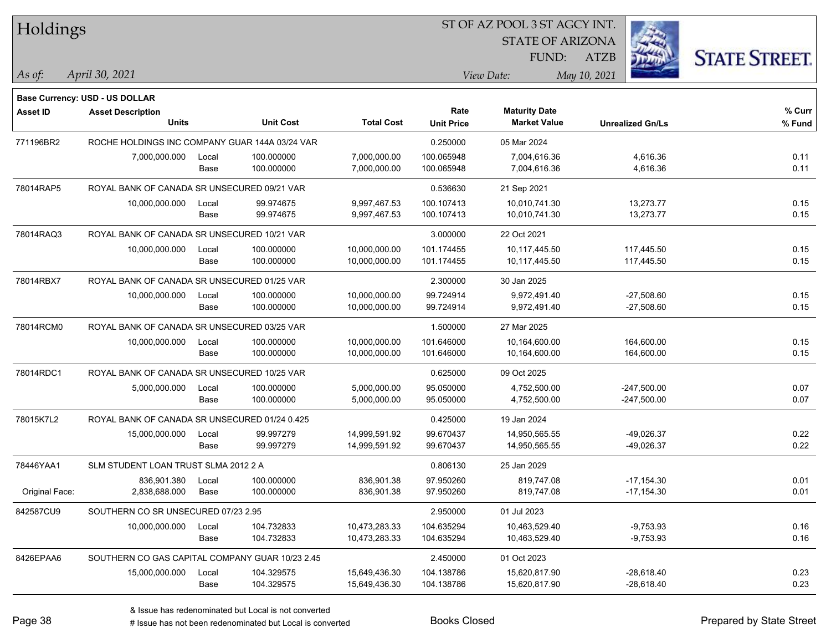| Holdings        |                                                 |       |                  |                   | ST OF AZ POOL 3 ST AGCY INT. |                         |                         |                      |  |  |
|-----------------|-------------------------------------------------|-------|------------------|-------------------|------------------------------|-------------------------|-------------------------|----------------------|--|--|
|                 |                                                 |       |                  |                   |                              | <b>STATE OF ARIZONA</b> |                         |                      |  |  |
|                 |                                                 |       |                  |                   |                              | FUND:                   | <b>ATZB</b>             | <b>STATE STREET.</b> |  |  |
| As of:          | April 30, 2021                                  |       |                  |                   |                              | View Date:              | May 10, 2021            |                      |  |  |
|                 | Base Currency: USD - US DOLLAR                  |       |                  |                   |                              |                         |                         |                      |  |  |
| <b>Asset ID</b> | <b>Asset Description</b>                        |       |                  |                   | Rate                         | <b>Maturity Date</b>    |                         | % Curr               |  |  |
|                 | <b>Units</b>                                    |       | <b>Unit Cost</b> | <b>Total Cost</b> | <b>Unit Price</b>            | <b>Market Value</b>     | <b>Unrealized Gn/Ls</b> | % Fund               |  |  |
| 771196BR2       | ROCHE HOLDINGS INC COMPANY GUAR 144A 03/24 VAR  |       |                  |                   | 0.250000                     | 05 Mar 2024             |                         |                      |  |  |
|                 | 7,000,000.000                                   | Local | 100.000000       | 7,000,000.00      | 100.065948                   | 7,004,616.36            | 4,616.36                | 0.11                 |  |  |
|                 |                                                 | Base  | 100.000000       | 7,000,000.00      | 100.065948                   | 7,004,616.36            | 4,616.36                | 0.11                 |  |  |
| 78014RAP5       | ROYAL BANK OF CANADA SR UNSECURED 09/21 VAR     |       |                  |                   | 0.536630                     | 21 Sep 2021             |                         |                      |  |  |
|                 | 10,000,000.000                                  | Local | 99.974675        | 9,997,467.53      | 100.107413                   | 10,010,741.30           | 13,273.77               | 0.15                 |  |  |
|                 |                                                 | Base  | 99.974675        | 9,997,467.53      | 100.107413                   | 10,010,741.30           | 13,273.77               | 0.15                 |  |  |
| 78014RAQ3       | ROYAL BANK OF CANADA SR UNSECURED 10/21 VAR     |       |                  |                   | 3.000000                     | 22 Oct 2021             |                         |                      |  |  |
|                 | 10,000,000.000                                  | Local | 100.000000       | 10,000,000.00     | 101.174455                   | 10,117,445.50           | 117,445.50              | 0.15                 |  |  |
|                 |                                                 | Base  | 100.000000       | 10,000,000.00     | 101.174455                   | 10,117,445.50           | 117,445.50              | 0.15                 |  |  |
| 78014RBX7       | ROYAL BANK OF CANADA SR UNSECURED 01/25 VAR     |       |                  |                   | 2.300000                     | 30 Jan 2025             |                         |                      |  |  |
|                 | 10,000,000.000                                  | Local | 100.000000       | 10,000,000.00     | 99.724914                    | 9,972,491.40            | $-27,508.60$            | 0.15                 |  |  |
|                 |                                                 | Base  | 100.000000       | 10,000,000.00     | 99.724914                    | 9,972,491.40            | $-27,508.60$            | 0.15                 |  |  |
| 78014RCM0       | ROYAL BANK OF CANADA SR UNSECURED 03/25 VAR     |       |                  |                   | 1.500000                     | 27 Mar 2025             |                         |                      |  |  |
|                 | 10,000,000.000                                  | Local | 100.000000       | 10,000,000.00     | 101.646000                   | 10,164,600.00           | 164,600.00              | 0.15                 |  |  |
|                 |                                                 | Base  | 100.000000       | 10,000,000.00     | 101.646000                   | 10,164,600.00           | 164,600.00              | 0.15                 |  |  |
| 78014RDC1       | ROYAL BANK OF CANADA SR UNSECURED 10/25 VAR     |       |                  |                   | 0.625000                     | 09 Oct 2025             |                         |                      |  |  |
|                 | 5,000,000.000                                   | Local | 100.000000       | 5,000,000.00      | 95.050000                    | 4,752,500.00            | $-247,500.00$           | 0.07                 |  |  |
|                 |                                                 | Base  | 100.000000       | 5,000,000.00      | 95.050000                    | 4,752,500.00            | $-247,500.00$           | 0.07                 |  |  |
| 78015K7L2       | ROYAL BANK OF CANADA SR UNSECURED 01/24 0.425   |       |                  |                   | 0.425000                     | 19 Jan 2024             |                         |                      |  |  |
|                 | 15,000,000.000                                  | Local | 99.997279        | 14,999,591.92     | 99.670437                    | 14,950,565.55           | -49,026.37              | 0.22                 |  |  |
|                 |                                                 | Base  | 99.997279        | 14,999,591.92     | 99.670437                    | 14,950,565.55           | -49,026.37              | 0.22                 |  |  |
| 78446YAA1       | SLM STUDENT LOAN TRUST SLMA 2012 2 A            |       |                  |                   | 0.806130                     | 25 Jan 2029             |                         |                      |  |  |
|                 | 836,901.380                                     | Local | 100.000000       | 836,901.38        | 97.950260                    | 819,747.08              | $-17,154.30$            | 0.01                 |  |  |
| Original Face:  | 2,838,688.000                                   | Base  | 100.000000       | 836,901.38        | 97.950260                    | 819,747.08              | $-17,154.30$            | 0.01                 |  |  |
| 842587CU9       | SOUTHERN CO SR UNSECURED 07/23 2.95             |       |                  |                   | 2.950000                     | 01 Jul 2023             |                         |                      |  |  |
|                 | 10,000,000.000                                  | Local | 104.732833       | 10,473,283.33     | 104.635294                   | 10,463,529.40           | $-9,753.93$             | 0.16                 |  |  |
|                 |                                                 | Base  | 104.732833       | 10,473,283.33     | 104.635294                   | 10,463,529.40           | $-9,753.93$             | 0.16                 |  |  |
| 8426EPAA6       | SOUTHERN CO GAS CAPITAL COMPANY GUAR 10/23 2.45 |       |                  |                   | 2.450000                     | 01 Oct 2023             |                         |                      |  |  |
|                 | 15,000,000.000                                  | Local | 104.329575       | 15,649,436.30     | 104.138786                   | 15,620,817.90           | $-28,618.40$            | 0.23                 |  |  |
|                 |                                                 | Base  | 104.329575       | 15,649,436.30     | 104.138786                   | 15,620,817.90           | $-28,618.40$            | 0.23                 |  |  |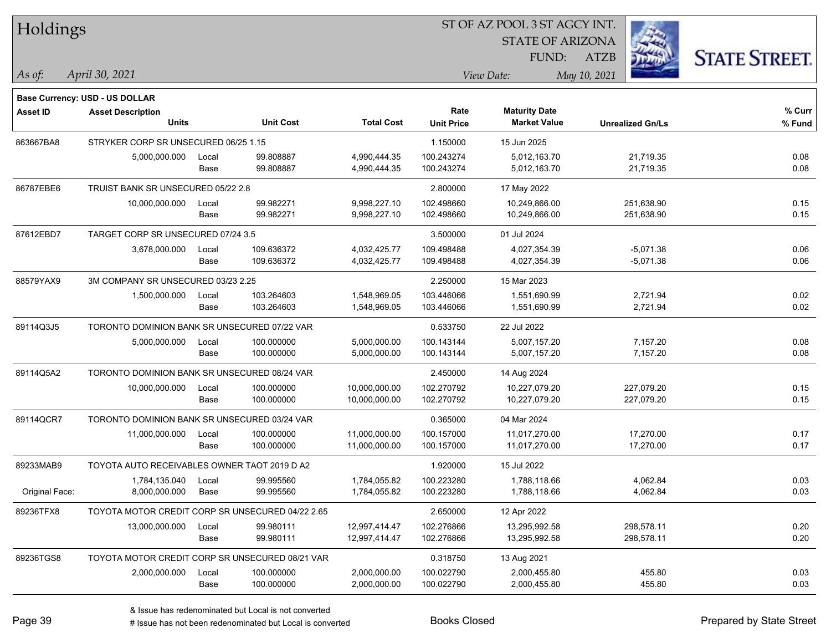| Holdings        |                                                                   |       |                  |                   | ST OF AZ POOL 3 ST AGCY INT. |                         |                         |                      |
|-----------------|-------------------------------------------------------------------|-------|------------------|-------------------|------------------------------|-------------------------|-------------------------|----------------------|
|                 |                                                                   |       |                  |                   |                              | <b>STATE OF ARIZONA</b> |                         |                      |
|                 |                                                                   |       |                  |                   |                              | FUND:                   | <b>ATZB</b>             | <b>STATE STREET.</b> |
| $\vert$ As of:  | April 30, 2021                                                    |       |                  |                   |                              | View Date:              | May 10, 2021            |                      |
|                 |                                                                   |       |                  |                   |                              |                         |                         |                      |
| <b>Asset ID</b> | <b>Base Currency: USD - US DOLLAR</b><br><b>Asset Description</b> |       |                  |                   | Rate                         | <b>Maturity Date</b>    |                         | % Curr               |
|                 | Units                                                             |       | <b>Unit Cost</b> | <b>Total Cost</b> | <b>Unit Price</b>            | <b>Market Value</b>     | <b>Unrealized Gn/Ls</b> | % Fund               |
| 863667BA8       | STRYKER CORP SR UNSECURED 06/25 1.15                              |       |                  |                   | 1.150000                     | 15 Jun 2025             |                         |                      |
|                 | 5,000,000.000                                                     | Local | 99.808887        | 4,990,444.35      | 100.243274                   | 5,012,163.70            | 21,719.35               | 0.08                 |
|                 |                                                                   | Base  | 99.808887        | 4,990,444.35      | 100.243274                   | 5,012,163.70            | 21,719.35               | 0.08                 |
| 86787EBE6       | TRUIST BANK SR UNSECURED 05/22 2.8                                |       |                  |                   | 2.800000                     | 17 May 2022             |                         |                      |
|                 | 10,000,000.000                                                    | Local | 99.982271        | 9,998,227.10      | 102.498660                   | 10,249,866.00           | 251,638.90              | 0.15                 |
|                 |                                                                   | Base  | 99.982271        | 9,998,227.10      | 102.498660                   | 10,249,866.00           | 251,638.90              | 0.15                 |
| 87612EBD7       | TARGET CORP SR UNSECURED 07/24 3.5                                |       |                  |                   | 3.500000                     | 01 Jul 2024             |                         |                      |
|                 | 3,678,000.000                                                     | Local | 109.636372       | 4,032,425.77      | 109.498488                   | 4,027,354.39            | $-5,071.38$             | 0.06                 |
|                 |                                                                   | Base  | 109.636372       | 4,032,425.77      | 109.498488                   | 4,027,354.39            | $-5,071.38$             | 0.06                 |
| 88579YAX9       | 3M COMPANY SR UNSECURED 03/23 2.25                                |       |                  |                   | 2.250000                     | 15 Mar 2023             |                         |                      |
|                 | 1,500,000.000                                                     | Local | 103.264603       | 1,548,969.05      | 103.446066                   | 1,551,690.99            | 2,721.94                | 0.02                 |
|                 |                                                                   | Base  | 103.264603       | 1,548,969.05      | 103.446066                   | 1,551,690.99            | 2,721.94                | 0.02                 |
| 89114Q3J5       | TORONTO DOMINION BANK SR UNSECURED 07/22 VAR                      |       |                  |                   | 0.533750                     | 22 Jul 2022             |                         |                      |
|                 | 5,000,000.000                                                     | Local | 100.000000       | 5,000,000.00      | 100.143144                   | 5,007,157.20            | 7,157.20                | 0.08                 |
|                 |                                                                   | Base  | 100.000000       | 5,000,000.00      | 100.143144                   | 5,007,157.20            | 7,157.20                | 0.08                 |
| 89114Q5A2       | TORONTO DOMINION BANK SR UNSECURED 08/24 VAR                      |       |                  |                   | 2.450000                     | 14 Aug 2024             |                         |                      |
|                 | 10,000,000.000                                                    | Local | 100.000000       | 10,000,000.00     | 102.270792                   | 10,227,079.20           | 227,079.20              | 0.15                 |
|                 |                                                                   | Base  | 100.000000       | 10,000,000.00     | 102.270792                   | 10,227,079.20           | 227,079.20              | 0.15                 |
| 89114QCR7       | TORONTO DOMINION BANK SR UNSECURED 03/24 VAR                      |       |                  |                   | 0.365000                     | 04 Mar 2024             |                         |                      |
|                 | 11,000,000.000                                                    | Local | 100.000000       | 11,000,000.00     | 100.157000                   | 11,017,270.00           | 17,270.00               | 0.17                 |
|                 |                                                                   | Base  | 100.000000       | 11,000,000.00     | 100.157000                   | 11,017,270.00           | 17,270.00               | 0.17                 |
| 89233MAB9       | TOYOTA AUTO RECEIVABLES OWNER TAOT 2019 D A2                      |       |                  |                   | 1.920000                     | 15 Jul 2022             |                         |                      |
|                 | 1,784,135.040                                                     | Local | 99.995560        | 1,784,055.82      | 100.223280                   | 1,788,118.66            | 4,062.84                | 0.03                 |
| Original Face:  | 8,000,000.000                                                     | Base  | 99.995560        | 1,784,055.82      | 100.223280                   | 1,788,118.66            | 4,062.84                | 0.03                 |
| 89236TFX8       | TOYOTA MOTOR CREDIT CORP SR UNSECURED 04/22 2.65                  |       |                  |                   | 2.650000                     | 12 Apr 2022             |                         |                      |
|                 | 13,000,000.000                                                    | Local | 99.980111        | 12,997,414.47     | 102.276866                   | 13,295,992.58           | 298,578.11              | 0.20                 |
|                 |                                                                   | Base  | 99.980111        | 12,997,414.47     | 102.276866                   | 13,295,992.58           | 298,578.11              | 0.20                 |
| 89236TGS8       | TOYOTA MOTOR CREDIT CORP SR UNSECURED 08/21 VAR                   |       |                  |                   | 0.318750                     | 13 Aug 2021             |                         |                      |
|                 | 2,000,000.000                                                     | Local | 100.000000       | 2,000,000.00      | 100.022790                   | 2,000,455.80            | 455.80                  | 0.03                 |
|                 |                                                                   | Base  | 100.000000       | 2,000,000.00      | 100.022790                   | 2,000,455.80            | 455.80                  | 0.03                 |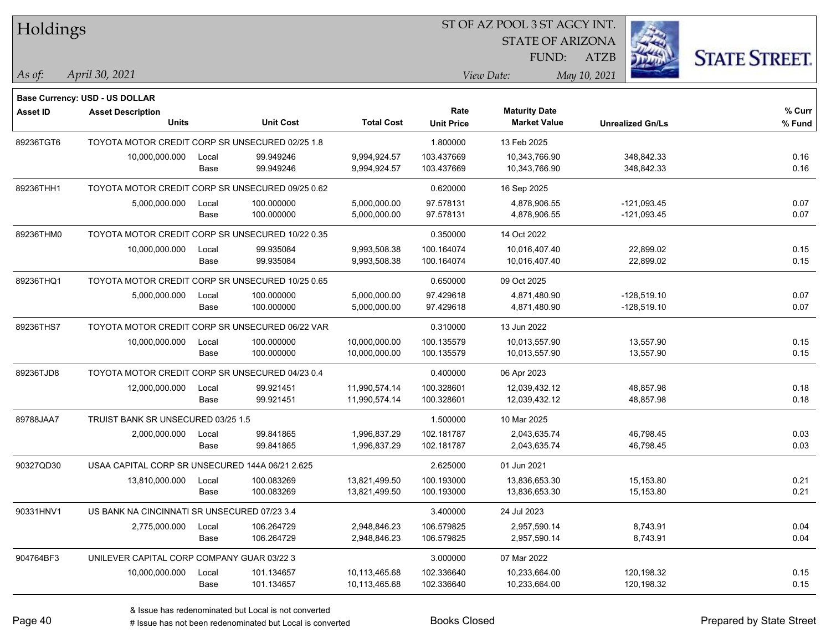| Holdings        |                                                  |       |                  |                   | ST OF AZ POOL 3 ST AGCY INT. |                         |                         |                      |  |
|-----------------|--------------------------------------------------|-------|------------------|-------------------|------------------------------|-------------------------|-------------------------|----------------------|--|
|                 |                                                  |       |                  |                   |                              | <b>STATE OF ARIZONA</b> |                         |                      |  |
|                 |                                                  |       |                  |                   |                              | <b>FUND:</b>            | <b>ATZB</b>             | <b>STATE STREET.</b> |  |
| $\vert$ As of:  | April 30, 2021                                   |       |                  |                   |                              | View Date:              | May 10, 2021            |                      |  |
|                 |                                                  |       |                  |                   |                              |                         |                         |                      |  |
|                 | <b>Base Currency: USD - US DOLLAR</b>            |       |                  |                   | Rate                         | <b>Maturity Date</b>    |                         | % Curr               |  |
| <b>Asset ID</b> | <b>Asset Description</b><br><b>Units</b>         |       | <b>Unit Cost</b> | <b>Total Cost</b> | <b>Unit Price</b>            | <b>Market Value</b>     | <b>Unrealized Gn/Ls</b> | % Fund               |  |
| 89236TGT6       | TOYOTA MOTOR CREDIT CORP SR UNSECURED 02/25 1.8  |       |                  |                   | 1.800000                     | 13 Feb 2025             |                         |                      |  |
|                 | 10,000,000.000                                   | Local | 99.949246        | 9,994,924.57      | 103.437669                   | 10,343,766.90           | 348,842.33              | 0.16                 |  |
|                 |                                                  | Base  | 99.949246        | 9,994,924.57      | 103.437669                   | 10,343,766.90           | 348,842.33              | 0.16                 |  |
| 89236THH1       | TOYOTA MOTOR CREDIT CORP SR UNSECURED 09/25 0.62 |       |                  |                   | 0.620000                     | 16 Sep 2025             |                         |                      |  |
|                 | 5,000,000.000                                    | Local | 100.000000       | 5,000,000.00      | 97.578131                    | 4,878,906.55            | $-121,093.45$           | 0.07                 |  |
|                 |                                                  | Base  | 100.000000       | 5,000,000.00      | 97.578131                    | 4,878,906.55            | $-121,093.45$           | 0.07                 |  |
| 89236THM0       | TOYOTA MOTOR CREDIT CORP SR UNSECURED 10/22 0.35 |       |                  |                   | 0.350000                     | 14 Oct 2022             |                         |                      |  |
|                 | 10,000,000.000                                   | Local | 99.935084        | 9,993,508.38      | 100.164074                   | 10,016,407.40           | 22,899.02               | 0.15                 |  |
|                 |                                                  | Base  | 99.935084        | 9,993,508.38      | 100.164074                   | 10,016,407.40           | 22,899.02               | 0.15                 |  |
| 89236THQ1       | TOYOTA MOTOR CREDIT CORP SR UNSECURED 10/25 0.65 |       |                  |                   | 0.650000                     | 09 Oct 2025             |                         |                      |  |
|                 | 5,000,000.000                                    | Local | 100.000000       | 5,000,000.00      | 97.429618                    | 4,871,480.90            | -128,519.10             | 0.07                 |  |
|                 |                                                  | Base  | 100.000000       | 5,000,000.00      | 97.429618                    | 4,871,480.90            | $-128,519.10$           | 0.07                 |  |
| 89236THS7       | TOYOTA MOTOR CREDIT CORP SR UNSECURED 06/22 VAR  |       |                  |                   | 0.310000                     | 13 Jun 2022             |                         |                      |  |
|                 | 10,000,000.000                                   | Local | 100.000000       | 10,000,000.00     | 100.135579                   | 10,013,557.90           | 13,557.90               | 0.15                 |  |
|                 |                                                  | Base  | 100.000000       | 10,000,000.00     | 100.135579                   | 10,013,557.90           | 13,557.90               | 0.15                 |  |
| 89236TJD8       | TOYOTA MOTOR CREDIT CORP SR UNSECURED 04/23 0.4  |       |                  |                   | 0.400000                     | 06 Apr 2023             |                         |                      |  |
|                 | 12,000,000.000                                   | Local | 99.921451        | 11,990,574.14     | 100.328601                   | 12,039,432.12           | 48,857.98               | 0.18                 |  |
|                 |                                                  | Base  | 99.921451        | 11,990,574.14     | 100.328601                   | 12,039,432.12           | 48,857.98               | 0.18                 |  |
| 89788JAA7       | TRUIST BANK SR UNSECURED 03/25 1.5               |       |                  |                   | 1.500000                     | 10 Mar 2025             |                         |                      |  |
|                 | 2,000,000.000                                    | Local | 99.841865        | 1,996,837.29      | 102.181787                   | 2,043,635.74            | 46,798.45               | 0.03                 |  |
|                 |                                                  | Base  | 99.841865        | 1,996,837.29      | 102.181787                   | 2,043,635.74            | 46,798.45               | 0.03                 |  |
| 90327QD30       | USAA CAPITAL CORP SR UNSECURED 144A 06/21 2.625  |       |                  |                   | 2.625000                     | 01 Jun 2021             |                         |                      |  |
|                 | 13,810,000.000                                   | Local | 100.083269       | 13,821,499.50     | 100.193000                   | 13,836,653.30           | 15,153.80               | 0.21                 |  |
|                 |                                                  | Base  | 100.083269       | 13,821,499.50     | 100.193000                   | 13,836,653.30           | 15,153.80               | 0.21                 |  |
| 90331HNV1       | US BANK NA CINCINNATI SR UNSECURED 07/23 3.4     |       |                  |                   | 3.400000                     | 24 Jul 2023             |                         |                      |  |
|                 | 2,775,000.000                                    | Local | 106.264729       | 2,948,846.23      | 106.579825                   | 2,957,590.14            | 8,743.91                | 0.04                 |  |
|                 |                                                  | Base  | 106.264729       | 2,948,846.23      | 106.579825                   | 2,957,590.14            | 8,743.91                | 0.04                 |  |
| 904764BF3       | UNILEVER CAPITAL CORP COMPANY GUAR 03/22 3       |       |                  |                   | 3.000000                     | 07 Mar 2022             |                         |                      |  |
|                 | 10,000,000.000                                   | Local | 101.134657       | 10,113,465.68     | 102.336640                   | 10,233,664.00           | 120,198.32              | 0.15                 |  |
|                 |                                                  | Base  | 101.134657       | 10,113,465.68     | 102.336640                   | 10,233,664.00           | 120,198.32              | 0.15                 |  |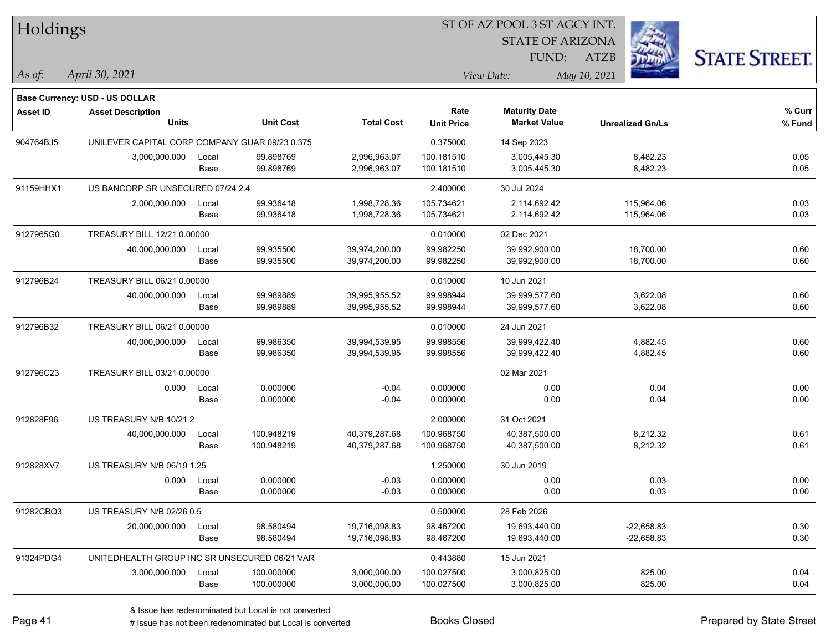| Holdings        |                                                |       |                  |                   |                   | ST OF AZ POOL 3 ST AGCY INT. |                         |                      |
|-----------------|------------------------------------------------|-------|------------------|-------------------|-------------------|------------------------------|-------------------------|----------------------|
|                 |                                                |       |                  |                   |                   | <b>STATE OF ARIZONA</b>      |                         |                      |
|                 |                                                |       |                  |                   |                   | FUND:                        | <b>ATZB</b>             | <b>STATE STREET.</b> |
| $\vert$ As of:  | April 30, 2021                                 |       |                  |                   |                   | View Date:                   | May 10, 2021            |                      |
|                 | Base Currency: USD - US DOLLAR                 |       |                  |                   |                   |                              |                         |                      |
| <b>Asset ID</b> | <b>Asset Description</b>                       |       |                  |                   | Rate              | <b>Maturity Date</b>         |                         | $%$ Curr             |
|                 | <b>Units</b>                                   |       | <b>Unit Cost</b> | <b>Total Cost</b> | <b>Unit Price</b> | <b>Market Value</b>          | <b>Unrealized Gn/Ls</b> | % Fund               |
| 904764BJ5       | UNILEVER CAPITAL CORP COMPANY GUAR 09/23 0.375 |       |                  |                   | 0.375000          | 14 Sep 2023                  |                         |                      |
|                 | 3,000,000.000                                  | Local | 99.898769        | 2,996,963.07      | 100.181510        | 3,005,445.30                 | 8,482.23                | 0.05                 |
|                 |                                                | Base  | 99.898769        | 2,996,963.07      | 100.181510        | 3,005,445.30                 | 8,482.23                | 0.05                 |
| 91159HHX1       | US BANCORP SR UNSECURED 07/24 2.4              |       |                  |                   | 2.400000          | 30 Jul 2024                  |                         |                      |
|                 | 2,000,000.000                                  | Local | 99.936418        | 1,998,728.36      | 105.734621        | 2,114,692.42                 | 115,964.06              | 0.03                 |
|                 |                                                | Base  | 99.936418        | 1,998,728.36      | 105.734621        | 2,114,692.42                 | 115,964.06              | 0.03                 |
| 9127965G0       | TREASURY BILL 12/21 0.00000                    |       |                  |                   | 0.010000          | 02 Dec 2021                  |                         |                      |
|                 | 40,000,000.000                                 | Local | 99.935500        | 39,974,200.00     | 99.982250         | 39,992,900.00                | 18,700.00               | 0.60                 |
|                 |                                                | Base  | 99.935500        | 39,974,200.00     | 99.982250         | 39,992,900.00                | 18,700.00               | 0.60                 |
| 912796B24       | TREASURY BILL 06/21 0.00000                    |       |                  |                   | 0.010000          | 10 Jun 2021                  |                         |                      |
|                 | 40,000,000.000                                 | Local | 99.989889        | 39,995,955.52     | 99.998944         | 39,999,577.60                | 3,622.08                | 0.60                 |
|                 |                                                | Base  | 99.989889        | 39,995,955.52     | 99.998944         | 39,999,577.60                | 3,622.08                | 0.60                 |
| 912796B32       | TREASURY BILL 06/21 0.00000                    |       |                  |                   | 0.010000          | 24 Jun 2021                  |                         |                      |
|                 | 40,000,000.000                                 | Local | 99.986350        | 39,994,539.95     | 99.998556         | 39,999,422.40                | 4,882.45                | 0.60                 |
|                 |                                                | Base  | 99.986350        | 39,994,539.95     | 99.998556         | 39,999,422.40                | 4,882.45                | 0.60                 |
| 912796C23       | TREASURY BILL 03/21 0.00000                    |       |                  |                   |                   | 02 Mar 2021                  |                         |                      |
|                 | 0.000                                          | Local | 0.000000         | $-0.04$           | 0.000000          | 0.00                         | 0.04                    | 0.00                 |
|                 |                                                | Base  | 0.000000         | $-0.04$           | 0.000000          | 0.00                         | 0.04                    | 0.00                 |
| 912828F96       | US TREASURY N/B 10/21 2                        |       |                  |                   | 2.000000          | 31 Oct 2021                  |                         |                      |
|                 | 40,000,000.000                                 | Local | 100.948219       | 40,379,287.68     | 100.968750        | 40,387,500.00                | 8,212.32                | 0.61                 |
|                 |                                                | Base  | 100.948219       | 40,379,287.68     | 100.968750        | 40,387,500.00                | 8,212.32                | 0.61                 |
| 912828XV7       | <b>US TREASURY N/B 06/19 1.25</b>              |       |                  |                   | 1.250000          | 30 Jun 2019                  |                         |                      |
|                 | 0.000                                          | Local | 0.000000         | $-0.03$           | 0.000000          | 0.00                         | 0.03                    | 0.00                 |
|                 |                                                | Base  | 0.000000         | $-0.03$           | 0.000000          | 0.00                         | 0.03                    | 0.00                 |
| 91282CBQ3       | US TREASURY N/B 02/26 0.5                      |       |                  |                   | 0.500000          | 28 Feb 2026                  |                         |                      |
|                 | 20,000,000.000                                 | Local | 98.580494        | 19,716,098.83     | 98.467200         | 19,693,440.00                | $-22,658.83$            | 0.30                 |
|                 |                                                | Base  | 98.580494        | 19,716,098.83     | 98.467200         | 19,693,440.00                | $-22,658.83$            | 0.30                 |
| 91324PDG4       | UNITEDHEALTH GROUP INC SR UNSECURED 06/21 VAR  |       |                  |                   | 0.443880          | 15 Jun 2021                  |                         |                      |
|                 | 3,000,000.000                                  | Local | 100.000000       | 3,000,000.00      | 100.027500        | 3,000,825.00                 | 825.00                  | 0.04                 |
|                 |                                                | Base  | 100.000000       | 3,000,000.00      | 100.027500        | 3,000,825.00                 | 825.00                  | 0.04                 |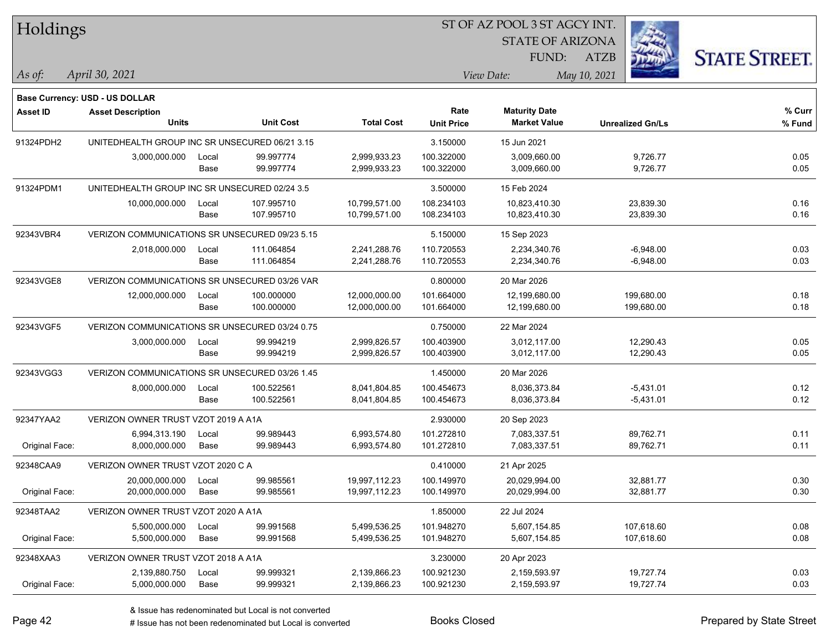| Holdings        |                                                                   |       |                  |                   | ST OF AZ POOL 3 ST AGCY INT. |                         |                         |                      |
|-----------------|-------------------------------------------------------------------|-------|------------------|-------------------|------------------------------|-------------------------|-------------------------|----------------------|
|                 |                                                                   |       |                  |                   |                              | <b>STATE OF ARIZONA</b> |                         |                      |
|                 |                                                                   |       |                  |                   |                              | FUND:                   | <b>ATZB</b>             | <b>STATE STREET.</b> |
| $\vert$ As of:  | April 30, 2021                                                    |       |                  |                   |                              | View Date:              | May 10, 2021            |                      |
|                 |                                                                   |       |                  |                   |                              |                         |                         |                      |
| <b>Asset ID</b> | <b>Base Currency: USD - US DOLLAR</b><br><b>Asset Description</b> |       |                  |                   | Rate                         | <b>Maturity Date</b>    |                         | % Curr               |
|                 | <b>Units</b>                                                      |       | <b>Unit Cost</b> | <b>Total Cost</b> | <b>Unit Price</b>            | <b>Market Value</b>     | <b>Unrealized Gn/Ls</b> | % Fund               |
| 91324PDH2       | UNITEDHEALTH GROUP INC SR UNSECURED 06/21 3.15                    |       |                  |                   | 3.150000                     | 15 Jun 2021             |                         |                      |
|                 | 3,000,000.000                                                     | Local | 99.997774        | 2,999,933.23      | 100.322000                   | 3,009,660.00            | 9,726.77                | 0.05                 |
|                 |                                                                   | Base  | 99.997774        | 2,999,933.23      | 100.322000                   | 3,009,660.00            | 9,726.77                | 0.05                 |
| 91324PDM1       | UNITEDHEALTH GROUP INC SR UNSECURED 02/24 3.5                     |       |                  |                   | 3.500000                     | 15 Feb 2024             |                         |                      |
|                 | 10,000,000.000                                                    | Local | 107.995710       | 10,799,571.00     | 108.234103                   | 10,823,410.30           | 23,839.30               | 0.16                 |
|                 |                                                                   | Base  | 107.995710       | 10,799,571.00     | 108.234103                   | 10,823,410.30           | 23,839.30               | 0.16                 |
| 92343VBR4       | VERIZON COMMUNICATIONS SR UNSECURED 09/23 5.15                    |       |                  |                   | 5.150000                     | 15 Sep 2023             |                         |                      |
|                 | 2,018,000.000                                                     | Local | 111.064854       | 2,241,288.76      | 110.720553                   | 2,234,340.76            | $-6,948.00$             | 0.03                 |
|                 |                                                                   | Base  | 111.064854       | 2,241,288.76      | 110.720553                   | 2,234,340.76            | $-6,948.00$             | 0.03                 |
| 92343VGE8       | VERIZON COMMUNICATIONS SR UNSECURED 03/26 VAR                     |       |                  |                   | 0.800000                     | 20 Mar 2026             |                         |                      |
|                 | 12,000,000.000                                                    | Local | 100.000000       | 12,000,000.00     | 101.664000                   | 12,199,680.00           | 199,680.00              | 0.18                 |
|                 |                                                                   | Base  | 100.000000       | 12,000,000.00     | 101.664000                   | 12,199,680.00           | 199,680.00              | 0.18                 |
| 92343VGF5       | VERIZON COMMUNICATIONS SR UNSECURED 03/24 0.75                    |       |                  |                   | 0.750000                     | 22 Mar 2024             |                         |                      |
|                 | 3,000,000.000                                                     | Local | 99.994219        | 2,999,826.57      | 100.403900                   | 3,012,117.00            | 12,290.43               | 0.05                 |
|                 |                                                                   | Base  | 99.994219        | 2,999,826.57      | 100.403900                   | 3,012,117.00            | 12,290.43               | 0.05                 |
| 92343VGG3       | VERIZON COMMUNICATIONS SR UNSECURED 03/26 1.45                    |       |                  |                   | 1.450000                     | 20 Mar 2026             |                         |                      |
|                 | 8,000,000.000                                                     | Local | 100.522561       | 8,041,804.85      | 100.454673                   | 8,036,373.84            | $-5,431.01$             | 0.12                 |
|                 |                                                                   | Base  | 100.522561       | 8,041,804.85      | 100.454673                   | 8,036,373.84            | $-5,431.01$             | 0.12                 |
| 92347YAA2       | VERIZON OWNER TRUST VZOT 2019 A A1A                               |       |                  |                   | 2.930000                     | 20 Sep 2023             |                         |                      |
|                 | 6,994,313.190                                                     | Local | 99.989443        | 6,993,574.80      | 101.272810                   | 7,083,337.51            | 89,762.71               | 0.11                 |
| Original Face:  | 8,000,000.000                                                     | Base  | 99.989443        | 6,993,574.80      | 101.272810                   | 7,083,337.51            | 89,762.71               | 0.11                 |
| 92348CAA9       | VERIZON OWNER TRUST VZOT 2020 C A                                 |       |                  |                   | 0.410000                     | 21 Apr 2025             |                         |                      |
|                 | 20,000,000.000                                                    | Local | 99.985561        | 19,997,112.23     | 100.149970                   | 20,029,994.00           | 32,881.77               | 0.30                 |
| Original Face:  | 20,000,000.000                                                    | Base  | 99.985561        | 19,997,112.23     | 100.149970                   | 20,029,994.00           | 32,881.77               | 0.30                 |
| 92348TAA2       | VERIZON OWNER TRUST VZOT 2020 A A1A                               |       |                  |                   | 1.850000                     | 22 Jul 2024             |                         |                      |
|                 | 5,500,000.000                                                     | Local | 99.991568        | 5,499,536.25      | 101.948270                   | 5,607,154.85            | 107,618.60              | 0.08                 |
| Original Face:  | 5,500,000.000                                                     | Base  | 99.991568        | 5,499,536.25      | 101.948270                   | 5,607,154.85            | 107,618.60              | 0.08                 |
| 92348XAA3       | VERIZON OWNER TRUST VZOT 2018 A A1A                               |       |                  |                   | 3.230000                     | 20 Apr 2023             |                         |                      |
|                 | 2,139,880.750                                                     | Local | 99.999321        | 2,139,866.23      | 100.921230                   | 2,159,593.97            | 19,727.74               | 0.03                 |
| Original Face:  | 5,000,000.000                                                     | Base  | 99.999321        | 2,139,866.23      | 100.921230                   | 2,159,593.97            | 19,727.74               | 0.03                 |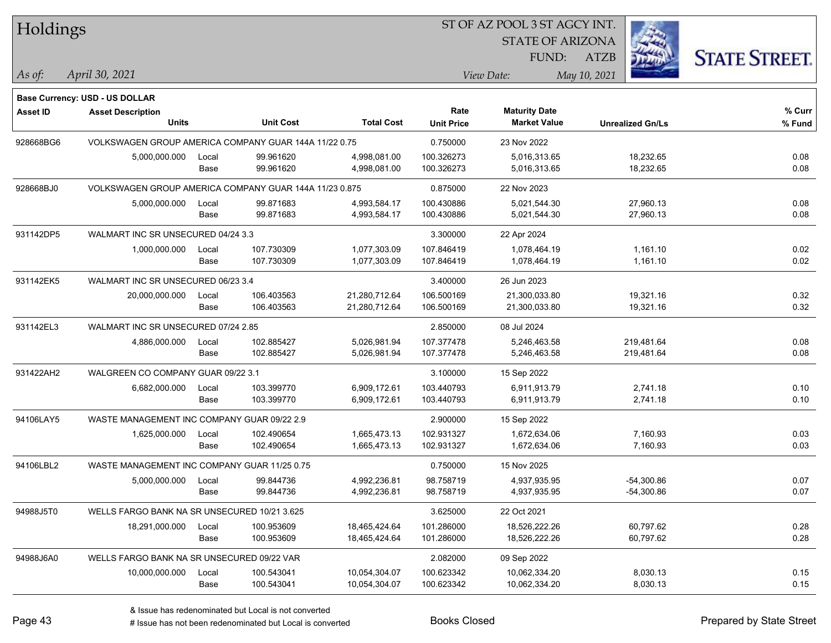| Holdings        |                                                        |       |                  |                   | 51 OF AZ POOL 351 AGCY INT. |                         |                         |                      |
|-----------------|--------------------------------------------------------|-------|------------------|-------------------|-----------------------------|-------------------------|-------------------------|----------------------|
|                 |                                                        |       |                  |                   |                             | <b>STATE OF ARIZONA</b> |                         |                      |
|                 |                                                        |       |                  |                   |                             | FUND:                   | <b>ATZB</b>             | <b>STATE STREET.</b> |
| As of:          | April 30, 2021                                         |       |                  |                   |                             | View Date:              | May 10, 2021            |                      |
|                 | Base Currency: USD - US DOLLAR                         |       |                  |                   |                             |                         |                         |                      |
| <b>Asset ID</b> | <b>Asset Description</b>                               |       |                  |                   | Rate                        | <b>Maturity Date</b>    |                         | % Curr               |
|                 | <b>Units</b>                                           |       | <b>Unit Cost</b> | <b>Total Cost</b> | <b>Unit Price</b>           | <b>Market Value</b>     | <b>Unrealized Gn/Ls</b> | % Fund               |
| 928668BG6       | VOLKSWAGEN GROUP AMERICA COMPANY GUAR 144A 11/22 0.75  |       |                  |                   | 0.750000                    | 23 Nov 2022             |                         |                      |
|                 | 5,000,000.000                                          | Local | 99.961620        | 4,998,081.00      | 100.326273                  | 5,016,313.65            | 18,232.65               | 0.08                 |
|                 |                                                        | Base  | 99.961620        | 4,998,081.00      | 100.326273                  | 5,016,313.65            | 18,232.65               | 0.08                 |
| 928668BJ0       | VOLKSWAGEN GROUP AMERICA COMPANY GUAR 144A 11/23 0.875 |       |                  |                   | 0.875000                    | 22 Nov 2023             |                         |                      |
|                 | 5,000,000.000                                          | Local | 99.871683        | 4,993,584.17      | 100.430886                  | 5,021,544.30            | 27,960.13               | 0.08                 |
|                 |                                                        | Base  | 99.871683        | 4,993,584.17      | 100.430886                  | 5,021,544.30            | 27,960.13               | 0.08                 |
| 931142DP5       | WALMART INC SR UNSECURED 04/24 3.3                     |       |                  |                   | 3.300000                    | 22 Apr 2024             |                         |                      |
|                 | 1,000,000.000                                          | Local | 107.730309       | 1,077,303.09      | 107.846419                  | 1,078,464.19            | 1,161.10                | 0.02                 |
|                 |                                                        | Base  | 107.730309       | 1,077,303.09      | 107.846419                  | 1,078,464.19            | 1,161.10                | 0.02                 |
| 931142EK5       | WALMART INC SR UNSECURED 06/23 3.4                     |       |                  |                   | 3.400000                    | 26 Jun 2023             |                         |                      |
|                 | 20,000,000.000                                         | Local | 106.403563       | 21,280,712.64     | 106.500169                  | 21,300,033.80           | 19,321.16               | 0.32                 |
|                 |                                                        | Base  | 106.403563       | 21,280,712.64     | 106.500169                  | 21,300,033.80           | 19,321.16               | 0.32                 |
| 931142EL3       | WALMART INC SR UNSECURED 07/24 2.85                    |       |                  | 2.850000          | 08 Jul 2024                 |                         |                         |                      |
|                 | 4,886,000.000                                          | Local | 102.885427       | 5,026,981.94      | 107.377478                  | 5,246,463.58            | 219,481.64              | 0.08                 |
|                 |                                                        | Base  | 102.885427       | 5,026,981.94      | 107.377478                  | 5,246,463.58            | 219,481.64              | 0.08                 |
| 931422AH2       | WALGREEN CO COMPANY GUAR 09/22 3.1                     |       |                  |                   | 3.100000                    | 15 Sep 2022             |                         |                      |
|                 | 6,682,000.000                                          | Local | 103.399770       | 6,909,172.61      | 103.440793                  | 6,911,913.79            | 2,741.18                | 0.10                 |
|                 |                                                        | Base  | 103.399770       | 6,909,172.61      | 103.440793                  | 6,911,913.79            | 2,741.18                | 0.10                 |
| 94106LAY5       | WASTE MANAGEMENT INC COMPANY GUAR 09/22 2.9            |       |                  |                   | 2.900000                    | 15 Sep 2022             |                         |                      |
|                 | 1,625,000.000                                          | Local | 102.490654       | 1,665,473.13      | 102.931327                  | 1,672,634.06            | 7,160.93                | 0.03                 |
|                 |                                                        | Base  | 102.490654       | 1,665,473.13      | 102.931327                  | 1,672,634.06            | 7,160.93                | 0.03                 |
| 94106LBL2       | WASTE MANAGEMENT INC COMPANY GUAR 11/25 0.75           |       |                  |                   | 0.750000                    | 15 Nov 2025             |                         |                      |
|                 | 5,000,000.000                                          | Local | 99.844736        | 4,992,236.81      | 98.758719                   | 4,937,935.95            | $-54,300.86$            | 0.07                 |
|                 |                                                        | Base  | 99.844736        | 4,992,236.81      | 98.758719                   | 4,937,935.95            | $-54,300.86$            | 0.07                 |
| 94988J5T0       | WELLS FARGO BANK NA SR UNSECURED 10/21 3.625           |       |                  |                   | 3.625000                    | 22 Oct 2021             |                         |                      |
|                 | 18,291,000.000                                         | Local | 100.953609       | 18,465,424.64     | 101.286000                  | 18,526,222.26           | 60,797.62               | 0.28                 |
|                 |                                                        | Base  | 100.953609       | 18,465,424.64     | 101.286000                  | 18,526,222.26           | 60,797.62               | 0.28                 |
| 94988J6A0       | WELLS FARGO BANK NA SR UNSECURED 09/22 VAR             |       |                  |                   | 2.082000                    | 09 Sep 2022             |                         |                      |
|                 | 10,000,000.000                                         | Local | 100.543041       | 10,054,304.07     | 100.623342                  | 10,062,334.20           | 8,030.13                | 0.15                 |
|                 |                                                        | Base  | 100.543041       | 10,054,304.07     | 100.623342                  | 10,062,334.20           | 8,030.13                | 0.15                 |

ST OF A Z POOL 2 ST ACCV INT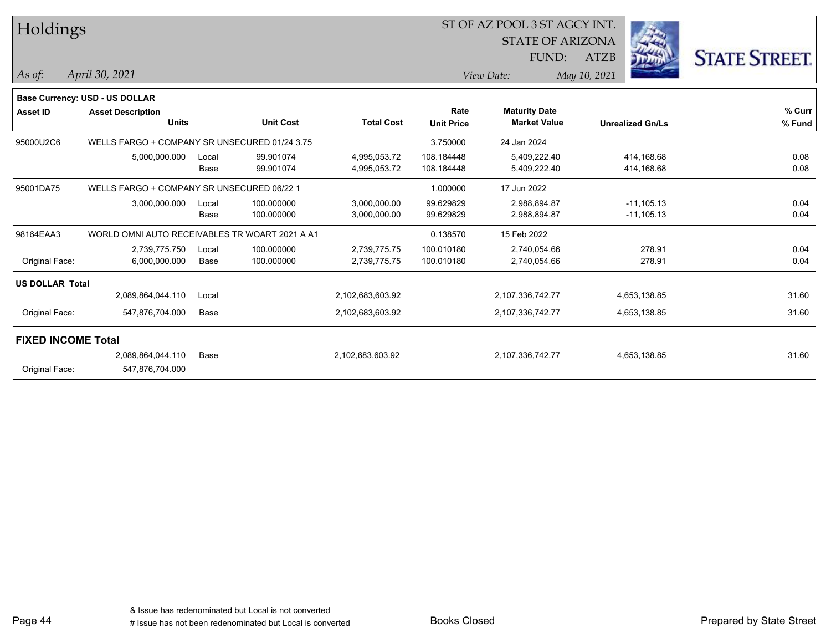| Holdings                  |                                                |       |                  |                   |                   | ST OF AZ POOL 3 ST AGCY INT.<br><b>STATE OF ARIZONA</b> |                         |                      |
|---------------------------|------------------------------------------------|-------|------------------|-------------------|-------------------|---------------------------------------------------------|-------------------------|----------------------|
|                           |                                                |       |                  |                   |                   | FUND:                                                   | المناسب<br><b>ATZB</b>  | <b>STATE STREET.</b> |
|                           |                                                |       |                  |                   |                   |                                                         |                         |                      |
| As of:                    | April 30, 2021                                 |       |                  |                   |                   | View Date:                                              | May 10, 2021            |                      |
|                           | <b>Base Currency: USD - US DOLLAR</b>          |       |                  |                   |                   |                                                         |                         |                      |
| <b>Asset ID</b>           | <b>Asset Description</b>                       |       |                  |                   | Rate              | <b>Maturity Date</b>                                    |                         | % Curr               |
|                           | <b>Units</b>                                   |       | <b>Unit Cost</b> | <b>Total Cost</b> | <b>Unit Price</b> | <b>Market Value</b>                                     | <b>Unrealized Gn/Ls</b> | % Fund               |
| 95000U2C6                 | WELLS FARGO + COMPANY SR UNSECURED 01/24 3.75  |       |                  |                   | 3.750000          | 24 Jan 2024                                             |                         |                      |
|                           | 5,000,000.000                                  | Local | 99.901074        | 4,995,053.72      | 108.184448        | 5,409,222.40                                            | 414,168.68              | 0.08                 |
|                           |                                                | Base  | 99.901074        | 4,995,053.72      | 108.184448        | 5,409,222.40                                            | 414,168.68              | 0.08                 |
| 95001DA75                 | WELLS FARGO + COMPANY SR UNSECURED 06/22 1     |       |                  |                   | 1.000000          | 17 Jun 2022                                             |                         |                      |
|                           | 3,000,000.000                                  | Local | 100.000000       | 3,000,000.00      | 99.629829         | 2,988,894.87                                            | $-11,105.13$            | 0.04                 |
|                           |                                                | Base  | 100.000000       | 3,000,000.00      | 99.629829         | 2,988,894.87                                            | $-11,105.13$            | 0.04                 |
| 98164EAA3                 | WORLD OMNI AUTO RECEIVABLES TR WOART 2021 A A1 |       |                  |                   | 0.138570          | 15 Feb 2022                                             |                         |                      |
|                           | 2,739,775.750                                  | Local | 100.000000       | 2,739,775.75      | 100.010180        | 2,740,054.66                                            | 278.91                  | 0.04                 |
| Original Face:            | 6,000,000.000                                  | Base  | 100.000000       | 2,739,775.75      | 100.010180        | 2,740,054.66                                            | 278.91                  | 0.04                 |
| <b>US DOLLAR Total</b>    |                                                |       |                  |                   |                   |                                                         |                         |                      |
|                           | 2,089,864,044.110                              | Local |                  | 2,102,683,603.92  |                   | 2,107,336,742.77                                        | 4,653,138.85            | 31.60                |
| Original Face:            | 547,876,704.000                                | Base  |                  | 2,102,683,603.92  |                   | 2,107,336,742.77                                        | 4,653,138.85            | 31.60                |
| <b>FIXED INCOME Total</b> |                                                |       |                  |                   |                   |                                                         |                         |                      |
|                           | 2,089,864,044.110                              | Base  |                  | 2,102,683,603.92  |                   | 2,107,336,742.77                                        | 4,653,138.85            | 31.60                |
| Original Face:            | 547,876,704.000                                |       |                  |                   |                   |                                                         |                         |                      |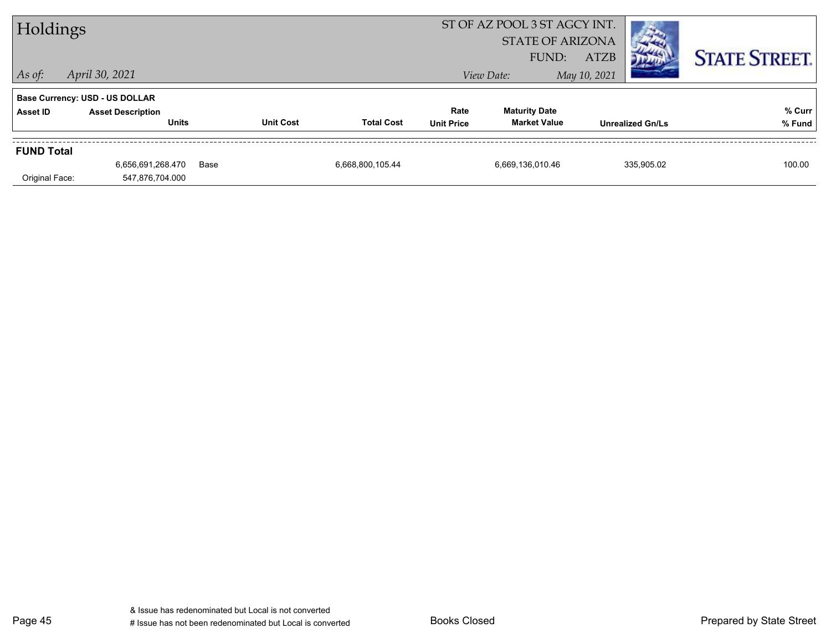| Holdings          |                                                                   |      |                  | ST OF AZ POOL 3 ST AGCY INT.<br><b>STATE OF ARIZONA</b> |                   |                      |                             |                         |                      |
|-------------------|-------------------------------------------------------------------|------|------------------|---------------------------------------------------------|-------------------|----------------------|-----------------------------|-------------------------|----------------------|
| $ $ As of:        | April 30, 2021                                                    |      |                  |                                                         |                   | FUND:<br>View Date:  | <b>ATZB</b><br>May 10, 2021 |                         | <b>STATE STREET.</b> |
| <b>Asset ID</b>   | <b>Base Currency: USD - US DOLLAR</b><br><b>Asset Description</b> |      |                  |                                                         | Rate              | <b>Maturity Date</b> |                             |                         | % Curr               |
|                   | <b>Units</b>                                                      |      | <b>Unit Cost</b> | <b>Total Cost</b>                                       | <b>Unit Price</b> | <b>Market Value</b>  |                             | <b>Unrealized Gn/Ls</b> | % Fund               |
| <b>FUND Total</b> |                                                                   |      |                  |                                                         |                   |                      |                             |                         |                      |
|                   | 6,656,691,268.470                                                 | Base |                  | 6,668,800,105.44                                        |                   | 6,669,136,010.46     |                             | 335.905.02              | 100.00               |
| Original Face:    | 547,876,704.000                                                   |      |                  |                                                         |                   |                      |                             |                         |                      |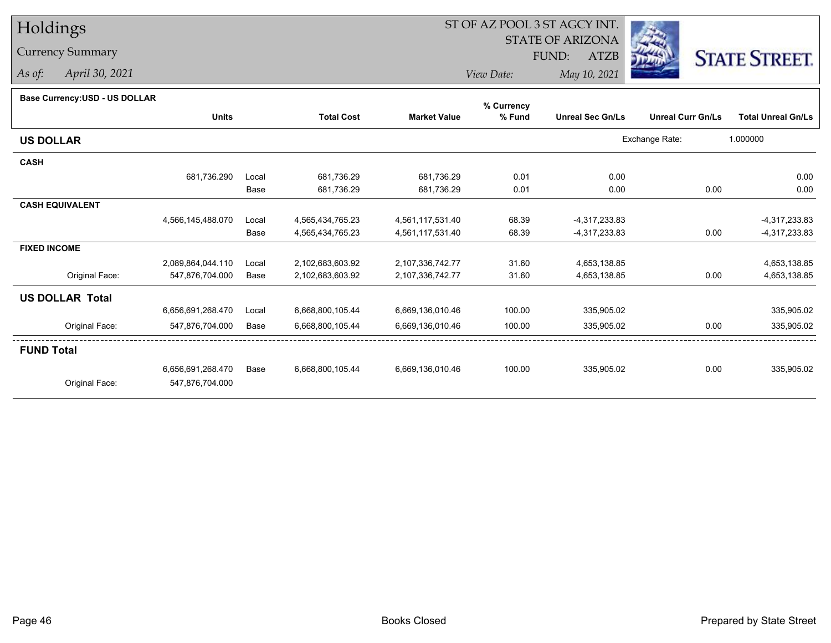# Holdings

## Currency Summary

*As of: April 30, 2021*

# ST OF AZ POOL 3 ST AGCY INT.

 STATE OF ARIZONAFUND:

ATZB



*View Date:May 10, 2021*

#### **Base Currency:USD - US DOLLAR**

|                        |                   |       |                   |                     | % Currency |                         |                          |                           |
|------------------------|-------------------|-------|-------------------|---------------------|------------|-------------------------|--------------------------|---------------------------|
|                        | <b>Units</b>      |       | <b>Total Cost</b> | <b>Market Value</b> | % Fund     | <b>Unreal Sec Gn/Ls</b> | <b>Unreal Curr Gn/Ls</b> | <b>Total Unreal Gn/Ls</b> |
| <b>US DOLLAR</b>       |                   |       |                   |                     |            |                         | Exchange Rate:           | 1.000000                  |
| <b>CASH</b>            |                   |       |                   |                     |            |                         |                          |                           |
|                        | 681,736.290       | Local | 681,736.29        | 681,736.29          | 0.01       | 0.00                    |                          | 0.00                      |
|                        |                   | Base  | 681,736.29        | 681,736.29          | 0.01       | 0.00                    | 0.00                     | 0.00                      |
| <b>CASH EQUIVALENT</b> |                   |       |                   |                     |            |                         |                          |                           |
|                        | 4,566,145,488.070 | Local | 4,565,434,765.23  | 4,561,117,531.40    | 68.39      | $-4,317,233.83$         |                          | -4,317,233.83             |
|                        |                   | Base  | 4,565,434,765.23  | 4,561,117,531.40    | 68.39      | -4,317,233.83           | 0.00                     | -4,317,233.83             |
| <b>FIXED INCOME</b>    |                   |       |                   |                     |            |                         |                          |                           |
|                        | 2,089,864,044.110 | Local | 2,102,683,603.92  | 2,107,336,742.77    | 31.60      | 4,653,138.85            |                          | 4,653,138.85              |
| Original Face:         | 547,876,704.000   | Base  | 2,102,683,603.92  | 2,107,336,742.77    | 31.60      | 4,653,138.85            | 0.00                     | 4,653,138.85              |
| <b>US DOLLAR Total</b> |                   |       |                   |                     |            |                         |                          |                           |
|                        | 6,656,691,268.470 | Local | 6,668,800,105.44  | 6,669,136,010.46    | 100.00     | 335,905.02              |                          | 335,905.02                |
| Original Face:         | 547,876,704.000   | Base  | 6,668,800,105.44  | 6,669,136,010.46    | 100.00     | 335,905.02              | 0.00                     | 335,905.02                |
| <b>FUND Total</b>      |                   |       |                   |                     |            |                         |                          |                           |
|                        | 6,656,691,268.470 | Base  | 6,668,800,105.44  | 6,669,136,010.46    | 100.00     | 335,905.02              | 0.00                     | 335,905.02                |
| Original Face:         | 547,876,704.000   |       |                   |                     |            |                         |                          |                           |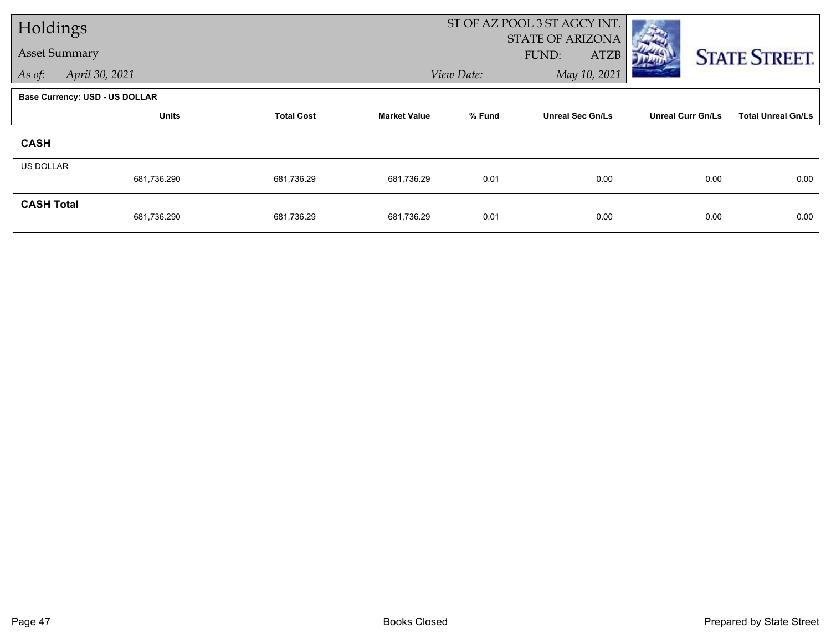| Holdings                 |                                       |                   |                     | ST OF AZ POOL 3 ST AGCY INT. |                                          |                          |                           |
|--------------------------|---------------------------------------|-------------------|---------------------|------------------------------|------------------------------------------|--------------------------|---------------------------|
|                          | <b>Asset Summary</b>                  |                   |                     |                              | STATE OF ARIZONA<br>FUND:<br><b>ATZB</b> |                          | <b>STATE STREET.</b>      |
| April 30, 2021<br>As of: |                                       |                   | View Date:          | May 10, 2021                 |                                          |                          |                           |
|                          | <b>Base Currency: USD - US DOLLAR</b> |                   |                     |                              |                                          |                          |                           |
|                          | <b>Units</b>                          | <b>Total Cost</b> | <b>Market Value</b> | % Fund                       | <b>Unreal Sec Gn/Ls</b>                  | <b>Unreal Curr Gn/Ls</b> | <b>Total Unreal Gn/Ls</b> |
| <b>CASH</b>              |                                       |                   |                     |                              |                                          |                          |                           |
| <b>US DOLLAR</b>         |                                       |                   |                     |                              |                                          |                          |                           |
|                          | 681,736.290                           | 681,736.29        | 681,736.29          | 0.01                         | 0.00                                     | 0.00                     | 0.00                      |
| <b>CASH Total</b>        | 681,736.290                           | 681,736.29        | 681,736.29          | 0.01                         | 0.00                                     | 0.00                     | 0.00                      |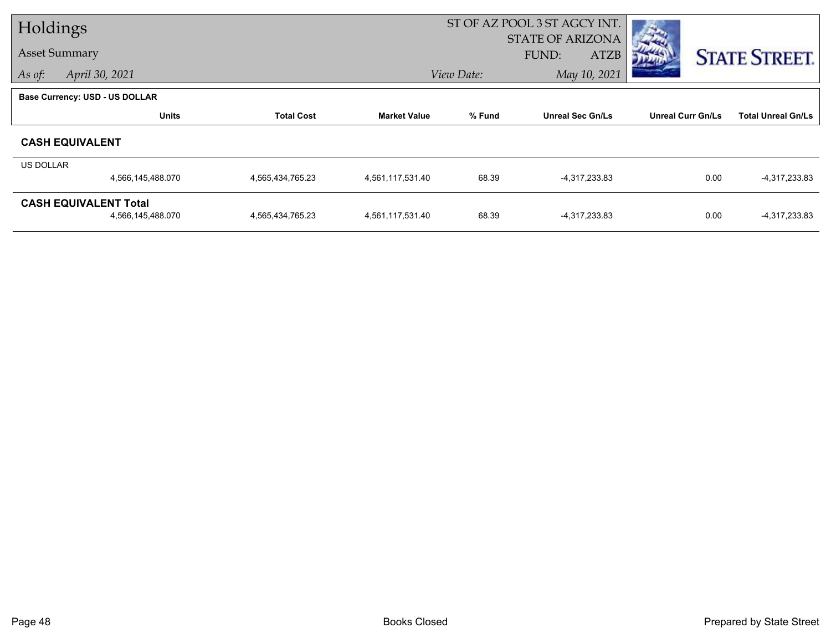| Holdings                                          |                   |                     | ST OF AZ POOL 3 ST AGCY INT. |                         |                                          |                           |  |  |
|---------------------------------------------------|-------------------|---------------------|------------------------------|-------------------------|------------------------------------------|---------------------------|--|--|
| <b>Asset Summary</b>                              |                   |                     |                              |                         |                                          | <b>STATE STREET.</b>      |  |  |
| April 30, 2021                                    |                   |                     |                              | May 10, 2021            |                                          |                           |  |  |
| <b>Base Currency: USD - US DOLLAR</b>             |                   |                     |                              |                         |                                          |                           |  |  |
| <b>Units</b>                                      | <b>Total Cost</b> | <b>Market Value</b> | % Fund                       | <b>Unreal Sec Gn/Ls</b> | <b>Unreal Curr Gn/Ls</b>                 | <b>Total Unreal Gn/Ls</b> |  |  |
| <b>CASH EQUIVALENT</b>                            |                   |                     |                              |                         |                                          |                           |  |  |
| US DOLLAR                                         |                   |                     |                              |                         |                                          |                           |  |  |
| 4,566,145,488.070                                 | 4,565,434,765.23  | 4,561,117,531.40    | 68.39                        | -4,317,233.83           | 0.00                                     | -4,317,233.83             |  |  |
| <b>CASH EQUIVALENT Total</b><br>4,566,145,488.070 | 4,565,434,765.23  | 4,561,117,531.40    | 68.39                        | -4,317,233.83           | 0.00                                     | -4,317,233.83             |  |  |
|                                                   |                   |                     |                              | View Date:              | <b>STATE OF ARIZONA</b><br>FUND:<br>ATZB |                           |  |  |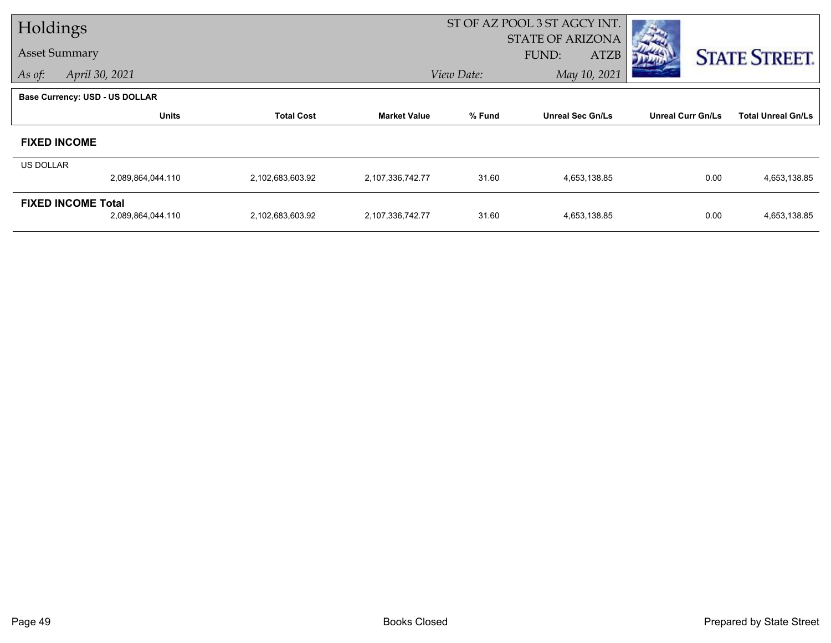| Holdings             |                                       |                   |                     | ST OF AZ POOL 3 ST AGCY INT. |                                          |                          |                           |  |  |
|----------------------|---------------------------------------|-------------------|---------------------|------------------------------|------------------------------------------|--------------------------|---------------------------|--|--|
| <b>Asset Summary</b> |                                       |                   |                     |                              | STATE OF ARIZONA<br>FUND:<br><b>ATZB</b> |                          | <b>STATE STREET.</b>      |  |  |
| As of:               | April 30, 2021                        |                   |                     | View Date:                   | May 10, 2021                             |                          |                           |  |  |
|                      | <b>Base Currency: USD - US DOLLAR</b> |                   |                     |                              |                                          |                          |                           |  |  |
|                      | <b>Units</b>                          | <b>Total Cost</b> | <b>Market Value</b> | % Fund                       | <b>Unreal Sec Gn/Ls</b>                  | <b>Unreal Curr Gn/Ls</b> | <b>Total Unreal Gn/Ls</b> |  |  |
|                      | <b>FIXED INCOME</b>                   |                   |                     |                              |                                          |                          |                           |  |  |
| US DOLLAR            |                                       |                   |                     |                              |                                          |                          |                           |  |  |
|                      | 2,089,864,044.110                     | 2,102,683,603.92  | 2,107,336,742.77    | 31.60                        | 4,653,138.85                             | 0.00                     | 4,653,138.85              |  |  |
|                      | <b>FIXED INCOME Total</b>             |                   |                     |                              |                                          |                          |                           |  |  |
|                      | 2,089,864,044.110                     | 2,102,683,603.92  | 2,107,336,742.77    | 31.60                        | 4,653,138.85                             | 0.00                     | 4,653,138.85              |  |  |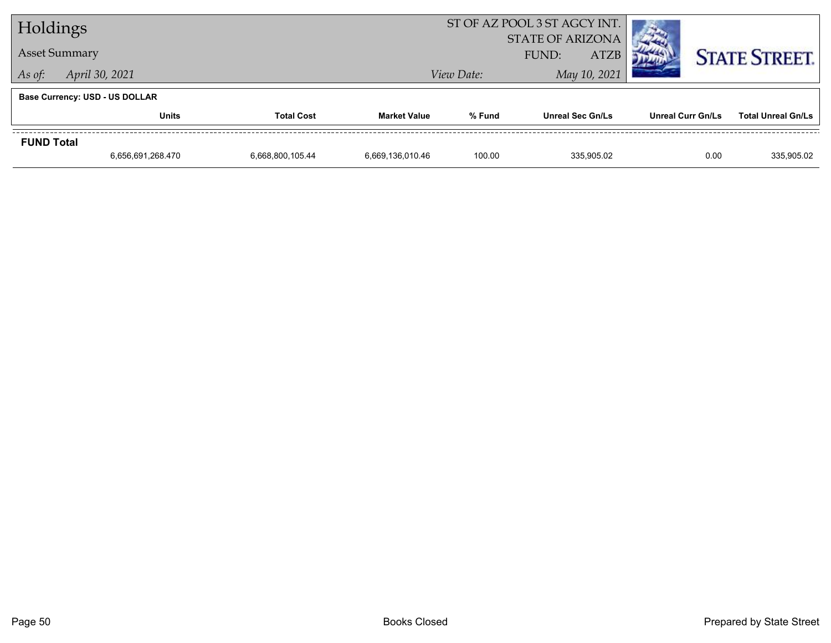| Holdings             |                                       |                   |                                                 | ST OF AZ POOL 3 ST AGCY INT. |                         |                          |                           |
|----------------------|---------------------------------------|-------------------|-------------------------------------------------|------------------------------|-------------------------|--------------------------|---------------------------|
| <b>Asset Summary</b> |                                       |                   | <b>STATE OF ARIZONA</b><br><b>ATZB</b><br>FUND: |                              |                         | <b>STATE STREET.</b>     |                           |
| As of:               | April 30, 2021                        |                   |                                                 | View Date:                   | May 10, 2021            |                          |                           |
|                      | <b>Base Currency: USD - US DOLLAR</b> |                   |                                                 |                              |                         |                          |                           |
|                      | <b>Units</b>                          | <b>Total Cost</b> |                                                 | % Fund                       | <b>Unreal Sec Gn/Ls</b> | <b>Unreal Curr Gn/Ls</b> | <b>Total Unreal Gn/Ls</b> |
| <b>FUND Total</b>    |                                       |                   |                                                 |                              |                         |                          |                           |
|                      | 6,656,691,268.470                     | 6,668,800,105.44  | 6,669,136,010.46                                | 100.00                       | 335.905.02              | 0.00                     | 335,905.02                |